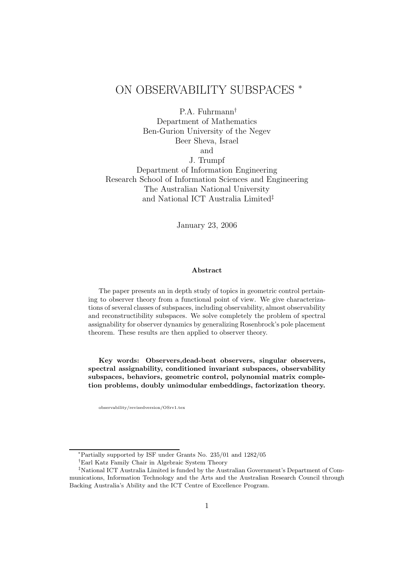# ON OBSERVABILITY SUBSPACES <sup>∗</sup>

P.A. Fuhrmann†

Department of Mathematics Ben-Gurion University of the Negev Beer Sheva, Israel and J. Trumpf

Department of Information Engineering Research School of Information Sciences and Engineering The Australian National University and National ICT Australia Limited‡

January 23, 2006

#### Abstract

The paper presents an in depth study of topics in geometric control pertaining to observer theory from a functional point of view. We give characterizations of several classes of subspaces, including observability, almost observability and reconstructibility subspaces. We solve completely the problem of spectral assignability for observer dynamics by generalizing Rosenbrock's pole placement theorem. These results are then applied to observer theory.

Key words: Observers,dead-beat observers, singular observers, spectral assignability, conditioned invariant subspaces, observability subspaces, behaviors, geometric control, polynomial matrix completion problems, doubly unimodular embeddings, factorization theory.

observability/revisedversion/OSrv1.tex

<sup>∗</sup>Partially supported by ISF under Grants No. 235/01 and 1282/05

<sup>†</sup>Earl Katz Family Chair in Algebraic System Theory

<sup>‡</sup>National ICT Australia Limited is funded by the Australian Government's Department of Communications, Information Technology and the Arts and the Australian Research Council through Backing Australia's Ability and the ICT Centre of Excellence Program.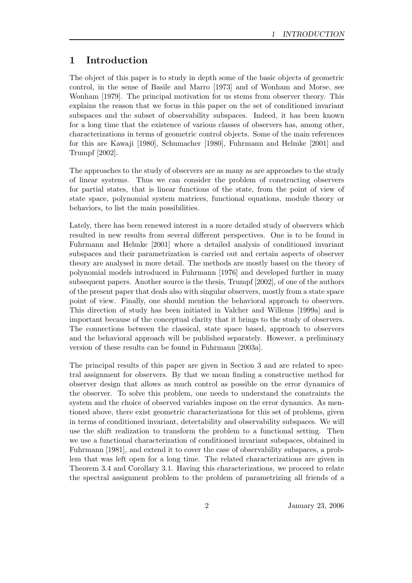# 1 Introduction

The object of this paper is to study in depth some of the basic objects of geometric control, in the sense of Basile and Marro [1973] and of Wonham and Morse, see Wonham [1979]. The principal motivation for us stems from observer theory. This explains the reason that we focus in this paper on the set of conditioned invariant subspaces and the subset of observability subspaces. Indeed, it has been known for a long time that the existence of various classes of observers has, among other, characterizations in terms of geometric control objects. Some of the main references for this are Kawaji [1980], Schumacher [1980], Fuhrmann and Helmke [2001] and Trumpf [2002].

The approaches to the study of observers are as many as are approaches to the study of linear systems. Thus we can consider the problem of constructing observers for partial states, that is linear functions of the state, from the point of view of state space, polynomial system matrices, functional equations, module theory or behaviors, to list the main possibilities.

Lately, there has been renewed interest in a more detailed study of observers which resulted in new results from several different perspectives. One is to be found in Fuhrmann and Helmke [2001] where a detailed analysis of conditioned invariant subspaces and their parametrization is carried out and certain aspects of observer theory are analysed in more detail. The methods are mostly based on the theory of polynomial models introduced in Fuhrmann [1976] and developed further in many subsequent papers. Another source is the thesis, Trumpf [2002], of one of the authors of the present paper that deals also with singular observers, mostly from a state space point of view. Finally, one should mention the behavioral approach to observers. This direction of study has been initiated in Valcher and Willems [1999a] and is important because of the conceptual clarity that it brings to the study of observers. The connections between the classical, state space based, approach to observers and the behavioral approach will be published separately. However, a preliminary version of these results can be found in Fuhrmann [2003a].

The principal results of this paper are given in Section 3 and are related to spectral assignment for observers. By that we mean finding a constructive method for observer design that allows as much control as possible on the error dynamics of the observer. To solve this problem, one needs to understand the constraints the system and the choice of observed variables impose on the error dynamics. As mentioned above, there exist geometric characterizations for this set of problems, given in terms of conditioned invariant, detectability and observability subspaces. We will use the shift realization to transform the problem to a functional setting. Then we use a functional characterization of conditioned invariant subspaces, obtained in Fuhrmann [1981], and extend it to cover the case of observability subspaces, a problem that was left open for a long time. The related characterizations are given in Theorem 3.4 and Corollary 3.1. Having this characterizations, we proceed to relate the spectral assignment problem to the problem of parametrizing all friends of a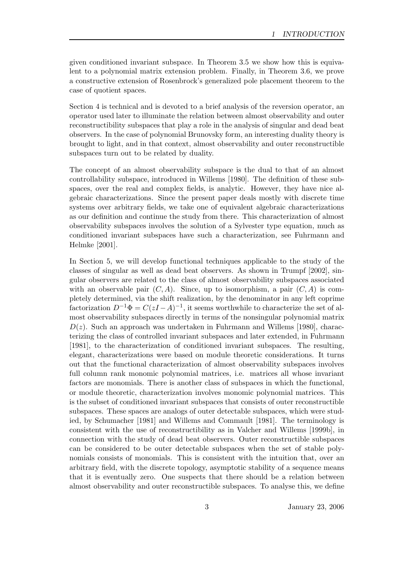given conditioned invariant subspace. In Theorem 3.5 we show how this is equivalent to a polynomial matrix extension problem. Finally, in Theorem 3.6, we prove a constructive extension of Rosenbrock's generalized pole placement theorem to the case of quotient spaces.

Section 4 is technical and is devoted to a brief analysis of the reversion operator, an operator used later to illuminate the relation between almost observability and outer reconstructibility subspaces that play a role in the analysis of singular and dead beat observers. In the case of polynomial Brunovsky form, an interesting duality theory is brought to light, and in that context, almost observability and outer reconstructible subspaces turn out to be related by duality.

The concept of an almost observability subspace is the dual to that of an almost controllability subspace, introduced in Willems [1980]. The definition of these subspaces, over the real and complex fields, is analytic. However, they have nice algebraic characterizations. Since the present paper deals mostly with discrete time systems over arbitrary fields, we take one of equivalent algebraic characterizations as our definition and continue the study from there. This characterization of almost observability subspaces involves the solution of a Sylvester type equation, much as conditioned invariant subspaces have such a characterization, see Fuhrmann and Helmke [2001].

In Section 5, we will develop functional techniques applicable to the study of the classes of singular as well as dead beat observers. As shown in Trumpf [2002], singular observers are related to the class of almost observability subspaces associated with an observable pair  $(C, A)$ . Since, up to isomorphism, a pair  $(C, A)$  is completely determined, via the shift realization, by the denominator in any left coprime factorization  $D^{-1}\Phi = C(zI-A)^{-1}$ , it seems worthwhile to characterize the set of almost observability subspaces directly in terms of the nonsingular polynomial matrix  $D(z)$ . Such an approach was undertaken in Fuhrmann and Willems [1980], characterizing the class of controlled invariant subspaces and later extended, in Fuhrmann [1981], to the characterization of conditioned invariant subspaces. The resulting, elegant, characterizations were based on module theoretic considerations. It turns out that the functional characterization of almost observability subspaces involves full column rank monomic polynomial matrices, i.e. matrices all whose invariant factors are monomials. There is another class of subspaces in which the functional, or module theoretic, characterization involves monomic polynomial matrices. This is the subset of conditioned invariant subspaces that consists of outer reconstructible subspaces. These spaces are analogs of outer detectable subspaces, which were studied, by Schumacher [1981] and Willems and Commault [1981]. The terminology is consistent with the use of reconstructibility as in Valcher and Willems [1999b], in connection with the study of dead beat observers. Outer reconstructible subspaces can be considered to be outer detectable subspaces when the set of stable polynomials consists of monomials. This is consistent with the intuition that, over an arbitrary field, with the discrete topology, asymptotic stability of a sequence means that it is eventually zero. One suspects that there should be a relation between almost observability and outer reconstructible subspaces. To analyse this, we define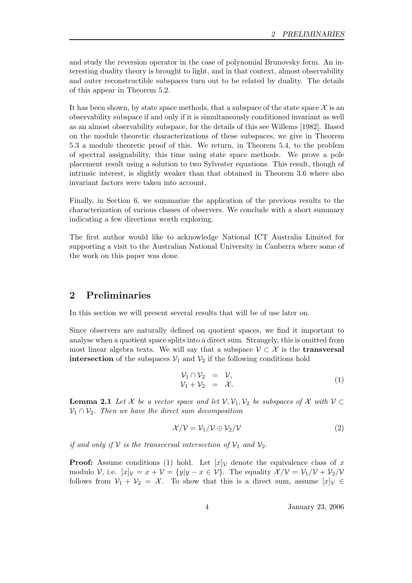and study the reversion operator in the case of polynomial Brunovsky form. An interesting duality theory is brought to light, and in that context, almost observability and outer reconstructible subspaces turn out to be related by duality. The details of this appear in Theorem 5.2.

It has been shown, by state space methods, that a subspace of the state space  $\mathcal X$  is an observability subspace if and only if it is simultaneously conditioned invariant as well as an almost observability subspace, for the details of this see Willems [1982]. Based on the module theoretic characterizations of these subspaces, we give in Theorem 5.3 a module theoretic proof of this. We return, in Theorem 5.4, to the problem of spectral assignability, this time using state space methods. We prove a pole placement result using a solution to two Sylvester equations. This result, though of intrinsic interest, is slightly weaker than that obtained in Theorem 3.6 where also invariant factors were taken into account.

Finally, in Section 6, we summarize the application of the previous results to the characterization of various classes of observers. We conclude with a short summary indicating a few directions worth exploring.

The first author would like to acknowledge National ICT Australia Limited for supporting a visit to the Australian National University in Canberra where some of the work on this paper was done.

# 2 Preliminaries

In this section we will present several results that will be of use later on.

Since observers are naturally defined on quotient spaces, we find it important to analyse when a quotient space splits into a direct sum. Strangely, this is omitted from most linear algebra texts. We will say that a subspace  $\mathcal{V} \subset \mathcal{X}$  is the **transversal** intersection of the subspaces  $V_1$  and  $V_2$  if the following conditions hold

$$
\begin{array}{rcl}\n\mathcal{V}_1 \cap \mathcal{V}_2 &=& \mathcal{V}, \\
\mathcal{V}_1 + \mathcal{V}_2 &=& \mathcal{X}.\n\end{array} \tag{1}
$$

**Lemma 2.1** Let X be a vector space and let  $V, V_1, V_2$  be subspaces of X with  $V \subset$  $\mathcal{V}_1 \cap \mathcal{V}_2$ . Then we have the direct sum decomposition

$$
\mathcal{X}/\mathcal{V} = \mathcal{V}_1/\mathcal{V} \oplus \mathcal{V}_2/\mathcal{V} \tag{2}
$$

if and only if V is the transversal intersection of  $\mathcal{V}_1$  and  $\mathcal{V}_2$ .

**Proof:** Assume conditions (1) hold. Let  $[x]_V$  denote the equivalence class of x modulo V, i.e.  $[x]_V = x + V = \{y|y - x \in V\}$ . The equality  $\mathcal{X}/\mathcal{V} = \mathcal{V}_1/\mathcal{V} + \mathcal{V}_2/\mathcal{V}$ follows from  $V_1 + V_2 = X$ . To show that this is a direct sum, assume  $[x]_V \in$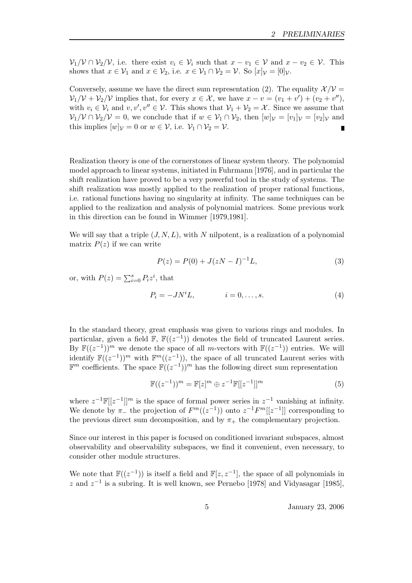$V_1/V \cap V_2/V$ , i.e. there exist  $v_i \in V_i$  such that  $x - v_1 \in V$  and  $x - v_2 \in V$ . This shows that  $x \in V_1$  and  $x \in V_2$ , i.e.  $x \in V_1 \cap V_2 = V$ . So  $[x]_V = [0]_V$ .

Conversely, assume we have the direct sum representation (2). The equality  $\mathcal{X}/\mathcal{V} =$  $V_1/V + V_2/V$  implies that, for every  $x \in \mathcal{X}$ , we have  $x - v = (v_1 + v') + (v_2 + v'')$ , with  $v_i \in V_i$  and  $v, v', v'' \in V$ . This shows that  $V_1 + V_2 = X$ . Since we assume that  $\mathcal{V}_1/\mathcal{V} \cap \mathcal{V}_2/\mathcal{V} = 0$ , we conclude that if  $w \in \mathcal{V}_1 \cap \mathcal{V}_2$ , then  $[w]_{\mathcal{V}} = [v_1]_{\mathcal{V}} = [v_2]_{\mathcal{V}}$  and this implies  $[w]_{\mathcal{V}} = 0$  or  $w \in \mathcal{V}$ , i.e.  $\mathcal{V}_1 \cap \mathcal{V}_2 = \mathcal{V}$ .

Realization theory is one of the cornerstones of linear system theory. The polynomial model approach to linear systems, initiated in Fuhrmann [1976], and in particular the shift realization have proved to be a very powerful tool in the study of systems. The shift realization was mostly applied to the realization of proper rational functions, i.e. rational functions having no singularity at infinity. The same techniques can be applied to the realization and analysis of polynomial matrices. Some previous work in this direction can be found in Wimmer [1979,1981].

We will say that a triple  $(J, N, L)$ , with N nilpotent, is a realization of a polynomial matrix  $P(z)$  if we can write

$$
P(z) = P(0) + J(zN - I)^{-1}L,
$$
\n(3)

or, with  $P(z) = \sum_{i=0}^{s} P_i z^i$ , that

$$
P_i = -JN^iL, \qquad i = 0, \dots, s. \tag{4}
$$

In the standard theory, great emphasis was given to various rings and modules. In particular, given a field  $\mathbb{F}$ ,  $\mathbb{F}((z^{-1}))$  denotes the field of truncated Laurent series. By  $\mathbb{F}((z^{-1}))^m$  we denote the space of all m-vectors with  $\mathbb{F}((z^{-1}))$  entries. We will identify  $\mathbb{F}((z^{-1}))^m$  with  $\mathbb{F}^m((z^{-1}))$ , the space of all truncated Laurent series with  $\mathbb{F}^m$  coefficients. The space  $\mathbb{F}((z^{-1}))^m$  has the following direct sum representation

$$
\mathbb{F}((z^{-1}))^{m} = \mathbb{F}[z]^{m} \oplus z^{-1} \mathbb{F}[[z^{-1}]]^{m}
$$
\n(5)

where  $z^{-1}\mathbb{F}[[z^{-1}]]^m$  is the space of formal power series in  $z^{-1}$  vanishing at infinity. We denote by  $\pi_{-}$  the projection of  $F^m((z^{-1}))$  onto  $z^{-1}F^m[[z^{-1}]]$  corresponding to the previous direct sum decomposition, and by  $\pi_{+}$  the complementary projection.

Since our interest in this paper is focused on conditioned invariant subspaces, almost observability and observability subspaces, we find it convenient, even necessary, to consider other module structures.

We note that  $\mathbb{F}((z^{-1}))$  is itself a field and  $\mathbb{F}[z, z^{-1}]$ , the space of all polynomials in z and  $z^{-1}$  is a subring. It is well known, see Pernebo [1978] and Vidyasagar [1985],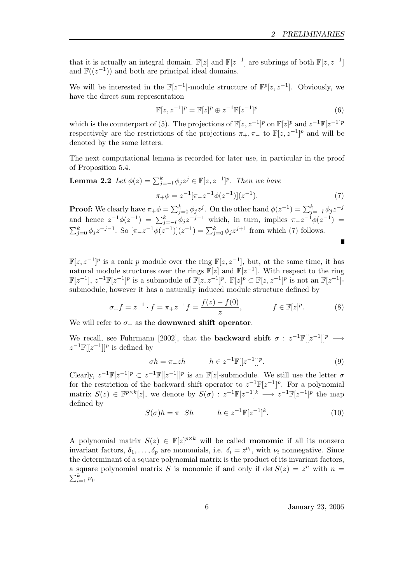that it is actually an integral domain.  $\mathbb{F}[z]$  and  $\mathbb{F}[z^{-1}]$  are subrings of both  $\mathbb{F}[z, z^{-1}]$ and  $\mathbb{F}((z^{-1}))$  and both are principal ideal domains.

We will be interested in the  $\mathbb{F}[z^{-1}]$ -module structure of  $\mathbb{F}^p[z, z^{-1}]$ . Obviously, we have the direct sum representation

$$
\mathbb{F}[z, z^{-1}]^p = \mathbb{F}[z]^p \oplus z^{-1} \mathbb{F}[z^{-1}]^p \tag{6}
$$

which is the counterpart of (5). The projections of  $\mathbb{F}[z, z^{-1}]^p$  on  $\mathbb{F}[z]^p$  and  $z^{-1}\mathbb{F}[z^{-1}]^p$ respectively are the restrictions of the projections  $\pi_+$ ,  $\pi_-$  to  $\mathbb{F}[z, z^{-1}]^p$  and will be denoted by the same letters.

The next computational lemma is recorded for later use, in particular in the proof of Proposition 5.4.

**Lemma 2.2** Let 
$$
\phi(z) = \sum_{j=-l}^{k} \phi_j z^j \in \mathbb{F}[z, z^{-1}]^p
$$
. Then we have  

$$
\pi_+ \phi = z^{-1} [\pi_- z^{-1} \phi(z^{-1})](z^{-1}).
$$
 (7)

**Proof:** We clearly have  $\pi_+\phi = \sum_{j=0}^k \phi_j z^j$ . On the other hand  $\phi(z^{-1}) = \sum_{j=-l}^k \phi_j z^{-j}$ and hence  $z^{-1}\phi(z^{-1}) = \sum_{j=-l}^{k} \phi_j z^{-j-1}$  which, in turn, implies  $\pi z^{-1}\phi(z^{-1}) =$  $\sum_{j=0}^{k} \phi_j z^{-j-1}$ . So  $[\pi_- z^{-1} \phi(z^{-1})](z^{-1}) = \sum_{j=0}^{k} \phi_j z^{j+1}$  from which (7) follows. Ē

 $\mathbb{F}[z, z^{-1}]^p$  is a rank p module over the ring  $\mathbb{F}[z, z^{-1}]$ , but, at the same time, it has natural module structures over the rings  $\mathbb{F}[z]$  and  $\mathbb{F}[z^{-1}]$ . With respect to the ring  $\mathbb{F}[z^{-1}], z^{-1}\mathbb{F}[z^{-1}]^p$  is a submodule of  $\mathbb{F}[z, z^{-1}]^p$ .  $\mathbb{F}[z]^p \subset \mathbb{F}[z, z^{-1}]^p$  is not an  $\mathbb{F}[z^{-1}]$ submodule, however it has a naturally induced module structure defined by

$$
\sigma_{+}f = z^{-1} \cdot f = \pi_{+}z^{-1}f = \frac{f(z) - f(0)}{z}, \qquad f \in \mathbb{F}[z]^p. \tag{8}
$$

We will refer to  $\sigma_+$  as the **downward shift operator**.

We recall, see Fuhrmann [2002], that the **backward shift**  $\sigma : z^{-1}\mathbb{F}[[z^{-1}]]^p \longrightarrow$  $z^{-1}\mathbb{F}[[z^{-1}]]^p$  is defined by

$$
\sigma h = \pi_- z h \qquad h \in z^{-1} \mathbb{F}[[z^{-1}]]^p. \tag{9}
$$

Clearly,  $z^{-1}\mathbb{F}[z^{-1}]^p \subset z^{-1}\mathbb{F}[[z^{-1}]]^p$  is an  $\mathbb{F}[z]$ -submodule. We still use the letter  $\sigma$ for the restriction of the backward shift operator to  $z^{-1}\mathbb{F}[z^{-1}]^p$ . For a polynomial matrix  $S(z) \in \mathbb{F}^{p \times k}[z]$ , we denote by  $S(\sigma) : z^{-1}\mathbb{F}[z^{-1}]^k \longrightarrow z^{-1}\mathbb{F}[z^{-1}]^p$  the map defined by

$$
S(\sigma)h = \pi_- Sh \qquad h \in z^{-1} \mathbb{F}[z^{-1}]^k. \tag{10}
$$

A polynomial matrix  $S(z) \in \mathbb{F}[z]^{p \times k}$  will be called **monomic** if all its nonzero invariant factors,  $\delta_1, \ldots, \delta_p$  are monomials, i.e.  $\delta_i = z^{\nu_i}$ , with  $\nu_i$  nonnegative. Since the determinant of a square polynomial matrix is the product of its invariant factors, a square polynomial matrix S is monomic if and only if  $\det S(z) = z^n$  with  $n =$  $\sum_{i=1}^k \nu_i$ .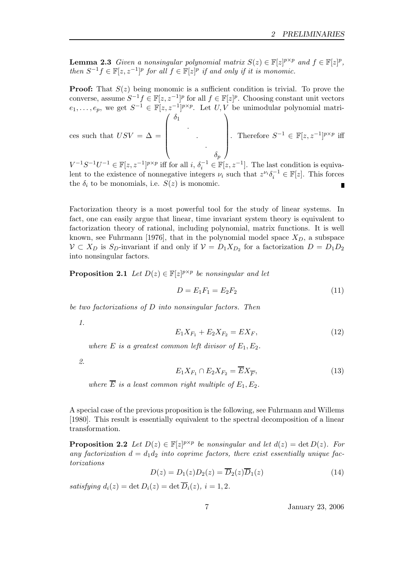**Lemma 2.3** Given a nonsingular polynomial matrix  $S(z) \in \mathbb{F}[z]^{p \times p}$  and  $f \in \mathbb{F}[z]^p$ , then  $S^{-1}f \in \mathbb{F}[z, z^{-1}]^p$  for all  $f \in \mathbb{F}[z]^p$  if and only if it is monomic.

**Proof:** That  $S(z)$  being monomic is a sufficient condition is trivial. To prove the converse, assume  $S^{-1}f \in \mathbb{F}[z, z^{-1}]^p$  for all  $f \in \mathbb{F}[z]^p$ . Choosing constant unit vectors  $e_1, \ldots, e_p$ , we get  $S^{-1} \in \mathbb{F}[z, z^{-1}]^{p \times p}$ . Let  $U, V$  be unimodular polynomial matrices such that  $USV = \Delta =$  $\sqrt{ }$   $\delta_1$ . . .  $\setminus$  $\begin{array}{c} \begin{array}{c} \begin{array}{c} \end{array} \\ \begin{array}{c} \end{array} \end{array} \end{array}$ . Therefore  $S^{-1} \in \mathbb{F}[z, z^{-1}]^{p \times p}$  iff

 $\delta_p$  $V^{-1}S^{-1}U^{-1} \in \mathbb{F}[z, z^{-1}]^{p \times p}$  iff for all  $i, \delta_i^{-1} \in \mathbb{F}[z, z^{-1}]$ . The last condition is equivalent to the existence of nonnegative integers  $\nu_i$  such that  $z^{\nu_i} \delta_i^{-1} \in \mathbb{F}[z]$ . This forces the  $\delta_i$  to be monomials, i.e.  $S(z)$  is monomic. Г

Factorization theory is a most powerful tool for the study of linear systems. In fact, one can easily argue that linear, time invariant system theory is equivalent to factorization theory of rational, including polynomial, matrix functions. It is well known, see Fuhrmann [1976], that in the polynomial model space  $X_D$ , a subspace  $V \subset X_D$  is  $S_D$ -invariant if and only if  $V = D_1 X_{D_2}$  for a factorization  $D = D_1 D_2$ into nonsingular factors.

**Proposition 2.1** Let  $D(z) \in \mathbb{F}[z]^{p \times p}$  be nonsingular and let

$$
D = E_1 F_1 = E_2 F_2 \tag{11}
$$

be two factorizations of D into nonsingular factors. Then

1.

$$
E_1 X_{F_1} + E_2 X_{F_2} = E X_F, \tag{12}
$$

where E is a greatest common left divisor of  $E_1, E_2$ .

2.

$$
E_1 X_{F_1} \cap E_2 X_{F_2} = \overline{E} X_{\overline{F}},\tag{13}
$$

where  $\overline{E}$  is a least common right multiple of  $E_1, E_2$ .

A special case of the previous proposition is the following, see Fuhrmann and Willems [1980]. This result is essentially equivalent to the spectral decomposition of a linear transformation.

**Proposition 2.2** Let  $D(z) \in \mathbb{F}[z]^{p \times p}$  be nonsingular and let  $d(z) = \det D(z)$ . For any factorization  $d = d_1 d_2$  into coprime factors, there exist essentially unique factorizations

$$
D(z) = D_1(z)D_2(z) = \overline{D}_2(z)\overline{D}_1(z)
$$
\n(14)

satisfying  $d_i(z) = \det D_i(z) = \det \overline{D}_i(z), i = 1, 2.$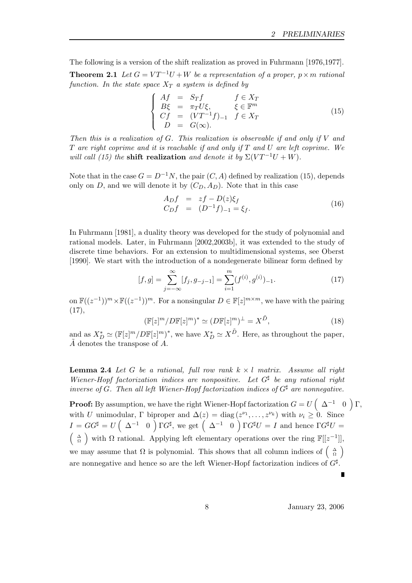The following is a version of the shift realization as proved in Fuhrmann [1976,1977].

**Theorem 2.1** Let  $G = VT^{-1}U + W$  be a representation of a proper,  $p \times m$  rational function. In the state space  $X_T$  a system is defined by

$$
\begin{cases}\nAf = S_T f & f \in X_T \\
B\xi = \pi_T U\xi, & \xi \in \mathbb{F}^m \\
Cf = (VT^{-1}f)_{-1} & f \in X_T \\
D = G(\infty).\n\end{cases}
$$
\n(15)

Then this is a realization of  $G$ . This realization is observable if and only if  $V$  and  $T$  are right coprime and it is reachable if and only if  $T$  and  $U$  are left coprime. We will call (15) the shift realization and denote it by  $\Sigma(VT^{-1}U+W)$ .

Note that in the case  $G = D^{-1}N$ , the pair  $(C, A)$  defined by realization (15), depends only on D, and we will denote it by  $(C_D, A_D)$ . Note that in this case

$$
A_D f = zf - D(z)\xi_f C_D f = (D^{-1}f)_{-1} = \xi_f.
$$
 (16)

In Fuhrmann [1981], a duality theory was developed for the study of polynomial and rational models. Later, in Fuhrmann [2002,2003b], it was extended to the study of discrete time behaviors. For an extension to multidimensional systems, see Oberst [1990]. We start with the introduction of a nondegenerate bilinear form defined by

$$
[f,g] = \sum_{j=-\infty}^{\infty} [f_j, g_{-j-1}] = \sum_{i=1}^{m} (f^{(i)}, g^{(i)})_{-1}.
$$
 (17)

on  $\mathbb{F}((z^{-1}))^m \times \mathbb{F}((z^{-1}))^m$ . For a nonsingular  $D \in \mathbb{F}[z]^{m \times m}$ , we have with the pairing  $(17),$ 

$$
(\mathbb{F}[z]^m / D\mathbb{F}[z]^m)^* \simeq (D\mathbb{F}[z]^m)^\perp = X^{\tilde{D}},\tag{18}
$$

and as  $X_D^* \simeq (\mathbb{F}[z]^m / D \mathbb{F}[z]^m)^*$ , we have  $X_D^* \simeq X^{\tilde{D}}$ . Here, as throughout the paper,  $\overline{A}$  denotes the transpose of  $\overline{A}$ .

**Lemma 2.4** Let G be a rational, full row rank  $k \times l$  matrix. Assume all right Wiener-Hopf factorization indices are nonpositive. Let  $G^{\sharp}$  be any rational right inverse of G. Then all left Wiener-Hopf factorization indices of  $G^{\sharp}$  are nonnegative.

**Proof:** By assumption, we have the right Wiener-Hopf factorization  $G = U \begin{pmatrix} \Delta^{-1} & 0 \end{pmatrix} \Gamma$ , with U unimodular,  $\Gamma$  biproper and  $\Delta(z) = \text{diag}(z^{\nu_1}, \ldots, z^{\nu_k})$  with  $\nu_i \geq 0$ . Since  $I = GG^{\sharp} = U \begin{pmatrix} \Delta^{-1} & 0 \end{pmatrix} \Gamma G^{\sharp}$ , we get  $\begin{pmatrix} \Delta^{-1} & 0 \end{pmatrix} \Gamma G^{\sharp} U = I$  and hence  $\Gamma G^{\sharp} U =$  $\begin{pmatrix} \Delta \\ \Omega \end{pmatrix}$  with  $\Omega$  rational. Applying left elementary operations over the ring  $\mathbb{F}[[z^{-1}]],$ we may assume that  $\Omega$  is polynomial. This shows that all column indices of  $\begin{pmatrix} \Delta \\ \Omega \end{pmatrix}$ are nonnegative and hence so are the left Wiener-Hopf factorization indices of  $G^{\sharp}$ .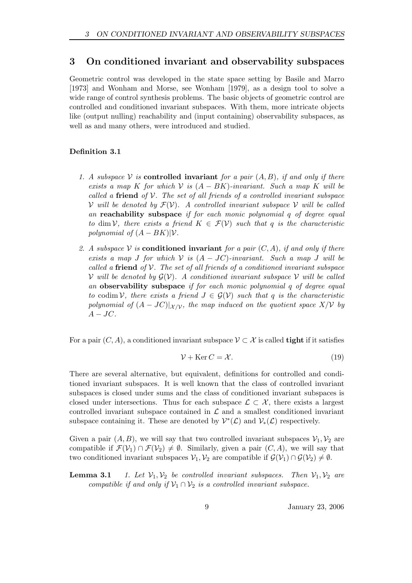# 3 On conditioned invariant and observability subspaces

Geometric control was developed in the state space setting by Basile and Marro [1973] and Wonham and Morse, see Wonham [1979], as a design tool to solve a wide range of control synthesis problems. The basic objects of geometric control are controlled and conditioned invariant subspaces. With them, more intricate objects like (output nulling) reachability and (input containing) observability subspaces, as well as and many others, were introduced and studied.

# Definition 3.1

- 1. A subspace V is **controlled invariant** for a pair  $(A, B)$ , if and only if there exists a map K for which  $V$  is  $(A - BK)$ -invariant. Such a map K will be called a friend of  $\mathcal V$ . The set of all friends of a controlled invariant subspace V will be denoted by  $\mathcal{F}(\mathcal{V})$ . A controlled invariant subspace V will be called an **reachability** subspace if for each monic polynomial q of degree equal to dim V, there exists a friend  $K \in \mathcal{F}(\mathcal{V})$  such that q is the characteristic polynomial of  $(A - BK)|\mathcal{V}$ .
- 2. A subspace V is **conditioned invariant** for a pair  $(C, A)$ , if and only if there exists a map J for which  $V$  is  $(A - JC)$ -invariant. Such a map J will be called a friend of  $\mathcal V$ . The set of all friends of a conditioned invariant subspace V will be denoted by  $G(V)$ . A conditioned invariant subspace V will be called an observability subspace if for each monic polynomial q of degree equal to codim V, there exists a friend  $J \in \mathcal{G}(V)$  such that q is the characteristic polynomial of  $(A - JC)|_{\mathcal{X}/\mathcal{V}}$ , the map induced on the quotient space  $X/\mathcal{V}$  by  $A-JC$ .

For a pair  $(C, A)$ , a conditioned invariant subspace  $\mathcal{V} \subset \mathcal{X}$  is called **tight** if it satisfies

$$
\mathcal{V} + \text{Ker}\,C = \mathcal{X}.\tag{19}
$$

There are several alternative, but equivalent, definitions for controlled and conditioned invariant subspaces. It is well known that the class of controlled invariant subspaces is closed under sums and the class of conditioned invariant subspaces is closed under intersections. Thus for each subspace  $\mathcal{L} \subset \mathcal{X}$ , there exists a largest controlled invariant subspace contained in  $\mathcal L$  and a smallest conditioned invariant subspace containing it. These are denoted by  $\mathcal{V}^*(\mathcal{L})$  and  $\mathcal{V}_*(\mathcal{L})$  respectively.

Given a pair  $(A, B)$ , we will say that two controlled invariant subspaces  $\mathcal{V}_1, \mathcal{V}_2$  are compatible if  $\mathcal{F}(\mathcal{V}_1) \cap \mathcal{F}(\mathcal{V}_2) \neq \emptyset$ . Similarly, given a pair  $(C, A)$ , we will say that two conditioned invariant subspaces  $V_1, V_2$  are compatible if  $\mathcal{G}(V_1) \cap \mathcal{G}(V_2) \neq \emptyset$ .

**Lemma 3.1** 1. Let  $V_1, V_2$  be controlled invariant subspaces. Then  $V_1, V_2$  are compatible if and only if  $\mathcal{V}_1 \cap \mathcal{V}_2$  is a controlled invariant subspace.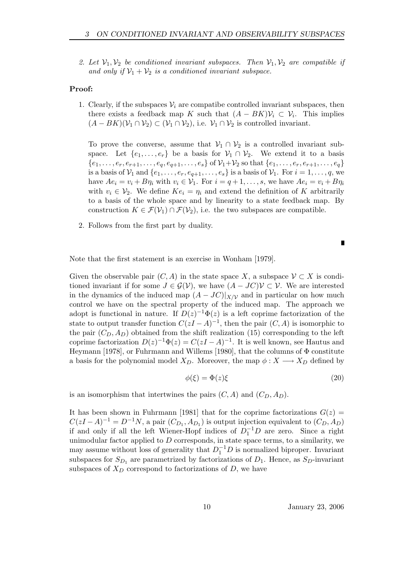2. Let  $\mathcal{V}_1, \mathcal{V}_2$  be conditioned invariant subspaces. Then  $\mathcal{V}_1, \mathcal{V}_2$  are compatible if and only if  $\mathcal{V}_1 + \mathcal{V}_2$  is a conditioned invariant subspace.

### Proof:

1. Clearly, if the subspaces  $V_i$  are compatibe controlled invariant subspaces, then there exists a feedback map K such that  $(A - BK)\mathcal{V}_i \subset \mathcal{V}_i$ . This implies  $(A - BK)(\mathcal{V}_1 \cap \mathcal{V}_2) \subset (\mathcal{V}_1 \cap \mathcal{V}_2)$ , i.e.  $\mathcal{V}_1 \cap \mathcal{V}_2$  is controlled invariant.

To prove the converse, assume that  $\mathcal{V}_1 \cap \mathcal{V}_2$  is a controlled invariant subspace. Let  $\{e_1, \ldots, e_r\}$  be a basis for  $\mathcal{V}_1 \cap \mathcal{V}_2$ . We extend it to a basis  $\{e_1, \ldots, e_r, e_{r+1}, \ldots, e_q, e_{q+1}, \ldots, e_s\}$  of  $\mathcal{V}_1 + \mathcal{V}_2$  so that  $\{e_1, \ldots, e_r, e_{r+1}, \ldots, e_q\}$ is a basis of  $\mathcal{V}_1$  and  $\{e_1, \ldots, e_r, e_{q+1}, \ldots, e_s\}$  is a basis of  $\mathcal{V}_1$ . For  $i = 1, \ldots, q$ , we have  $Ae_i = v_i + B\eta_i$  with  $v_i \in V_1$ . For  $i = q+1, \ldots, s$ , we have  $Ae_i = v_i + B\eta_i$ with  $v_i \in V_2$ . We define  $Ke_i = \eta_i$  and extend the definition of K arbitrarily to a basis of the whole space and by linearity to a state feedback map. By construction  $K \in \mathcal{F}(\mathcal{V}_1) \cap \mathcal{F}(\mathcal{V}_2)$ , i.e. the two subspaces are compatible.

2. Follows from the first part by duality.

Note that the first statement is an exercise in Wonham [1979].

Given the observable pair  $(C, A)$  in the state space X, a subspace  $\mathcal{V} \subset X$  is conditioned invariant if for some  $J \in \mathcal{G}(V)$ , we have  $(A - JC)V \subset V$ . We are interested in the dynamics of the induced map  $(A - JC)|_{X/\mathcal{V}}$  and in particular on how much control we have on the spectral property of the induced map. The approach we adopt is functional in nature. If  $D(z)^{-1}\Phi(z)$  is a left coprime factorization of the state to output transfer function  $C(zI - A)^{-1}$ , then the pair  $(C, A)$  is isomorphic to the pair  $(C_D, A_D)$  obtained from the shift realization (15) corresponding to the left coprime factorization  $D(z)^{-1}\Phi(z) = C(zI - A)^{-1}$ . It is well known, see Hautus and Heymann [1978], or Fuhrmann and Willems [1980], that the columns of  $\Phi$  constitute a basis for the polynomial model  $X_D$ . Moreover, the map  $\phi: X \longrightarrow X_D$  defined by

$$
\phi(\xi) = \Phi(z)\xi \tag{20}
$$

is an isomorphism that intertwines the pairs  $(C, A)$  and  $(C_D, A_D)$ .

It has been shown in Fuhrmann [1981] that for the coprime factorizations  $G(z)$  =  $C(zI-A)^{-1} = D^{-1}N$ , a pair  $(C_{D_1}, A_{D_1})$  is output injection equivalent to  $(C_D, A_D)$ if and only if all the left Wiener-Hopf indices of  $D_1^{-1}D$  are zero. Since a right unimodular factor applied to  $D$  corresponds, in state space terms, to a similarity, we may assume without loss of generality that  $D_1^{-1}D$  is normalized biproper. Invariant subspaces for  $S_{D_1}$  are parametrized by factorizations of  $D_1$ . Hence, as  $S_D$ -invariant subspaces of  $X_D$  correspond to factorizations of D, we have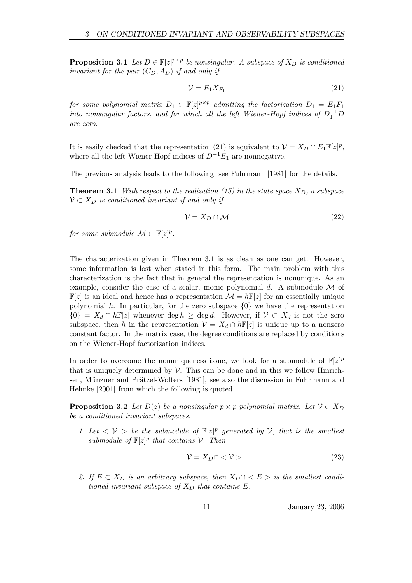**Proposition 3.1** Let  $D \in \mathbb{F}[z]^{p \times p}$  be nonsingular. A subspace of  $X_D$  is conditioned invariant for the pair  $(C_D, A_D)$  if and only if

$$
\mathcal{V} = E_1 X_{F_1} \tag{21}
$$

for some polynomial matrix  $D_1 \in \mathbb{F}[z]^{p \times p}$  admitting the factorization  $D_1 = E_1 F_1$ into nonsingular factors, and for which all the left Wiener-Hopf indices of  $D_1^{-1}D$ are zero.

It is easily checked that the representation (21) is equivalent to  $\mathcal{V} = X_D \cap E_1 \mathbb{F}[z]^p$ , where all the left Wiener-Hopf indices of  $D^{-1}E_1$  are nonnegative.

The previous analysis leads to the following, see Fuhrmann [1981] for the details.

**Theorem 3.1** With respect to the realization (15) in the state space  $X_D$ , a subspace  $V \subset X_D$  is conditioned invariant if and only if

$$
\mathcal{V} = X_D \cap \mathcal{M} \tag{22}
$$

for some submodule  $\mathcal{M} \subset \mathbb{F}[z]^p$ .

The characterization given in Theorem 3.1 is as clean as one can get. However, some information is lost when stated in this form. The main problem with this characterization is the fact that in general the representation is nonunique. As an example, consider the case of a scalar, monic polynomial d. A submodule  $\mathcal M$  of  $\mathbb{F}[z]$  is an ideal and hence has a representation  $\mathcal{M} = h\mathbb{F}[z]$  for an essentially unique polynomial h. In particular, for the zero subspace  $\{0\}$  we have the representation  ${0} = X_d \cap h\mathbb{F}[z]$  whenever deg  $h \geq \deg d$ . However, if  $\mathcal{V} \subset X_d$  is not the zero subspace, then h in the representation  $\mathcal{V} = X_d \cap h \mathbb{F}[z]$  is unique up to a nonzero constant factor. In the matrix case, the degree conditions are replaced by conditions on the Wiener-Hopf factorization indices.

In order to overcome the nonuniqueness issue, we look for a submodule of  $\mathbb{F}[z]^p$ that is uniquely determined by  $\mathcal V$ . This can be done and in this we follow Hinrichsen, Münzner and Prätzel-Wolters [1981], see also the discussion in Fuhrmann and Helmke [2001] from which the following is quoted.

**Proposition 3.2** Let  $D(z)$  be a nonsingular  $p \times p$  polynomial matrix. Let  $V \subset X_D$ be a conditioned invariant subspaces.

1. Let  $\langle V \rangle$  be the submodule of  $\mathbb{F}[z]^p$  generated by  $V$ , that is the smallest submodule of  $\mathbb{F}[z]^p$  that contains  $\mathcal{V}$ . Then

$$
\mathcal{V} = X_D \cap \langle \mathcal{V} \rangle. \tag{23}
$$

2. If  $E \subset X_D$  is an arbitrary subspace, then  $X_D \cap \langle E \rangle$  is the smallest conditioned invariant subspace of  $X_D$  that contains E.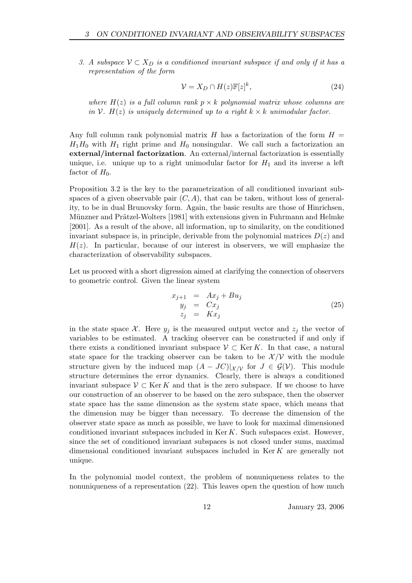3. A subspace  $\mathcal{V} \subset X_D$  is a conditioned invariant subspace if and only if it has a representation of the form

$$
\mathcal{V} = X_D \cap H(z) \mathbb{F}[z]^k,\tag{24}
$$

where  $H(z)$  is a full column rank  $p \times k$  polynomial matrix whose columns are in  $V$ .  $H(z)$  is uniquely determined up to a right  $k \times k$  unimodular factor.

Any full column rank polynomial matrix H has a factorization of the form  $H =$  $H_1H_0$  with  $H_1$  right prime and  $H_0$  nonsingular. We call such a factorization an external/internal factorization. An external/internal factorization is essentially unique, i.e. unique up to a right unimodular factor for  $H_1$  and its inverse a left factor of  $H_0$ .

Proposition 3.2 is the key to the parametrization of all conditioned invariant subspaces of a given observable pair  $(C, A)$ , that can be taken, without loss of generality, to be in dual Brunovsky form. Again, the basic results are those of Hinrichsen, Münzner and Prätzel-Wolters [1981] with extensions given in Fuhrmann and Helmke [2001]. As a result of the above, all information, up to similarity, on the conditioned invariant subspace is, in principle, derivable from the polynomial matrices  $D(z)$  and  $H(z)$ . In particular, because of our interest in observers, we will emphasize the characterization of observability subspaces.

Let us proceed with a short digression aimed at clarifying the connection of observers to geometric control. Given the linear system

$$
x_{j+1} = Ax_j + Bu_j
$$
  
\n
$$
y_j = Cx_j
$$
  
\n
$$
z_j = Kx_j
$$
\n(25)

in the state space X. Here  $y_i$  is the measured output vector and  $z_i$  the vector of variables to be estimated. A tracking observer can be constructed if and only if there exists a conditioned invariant subspace  $\mathcal{V} \subset \text{Ker } K$ . In that case, a natural state space for the tracking observer can be taken to be  $\mathcal{X}/\mathcal{V}$  with the module structure given by the induced map  $(A - JC)|_{\mathcal{X}/\mathcal{V}}$  for  $J \in \mathcal{G(V)}$ . This module structure determines the error dynamics. Clearly, there is always a conditioned invariant subspace  $\mathcal{V} \subset \text{Ker } K$  and that is the zero subspace. If we choose to have our construction of an observer to be based on the zero subspace, then the observer state space has the same dimension as the system state space, which means that the dimension may be bigger than necessary. To decrease the dimension of the observer state space as much as possible, we have to look for maximal dimensioned conditioned invariant subspaces included in Ker  $K$ . Such subspaces exist. However, since the set of conditioned invariant subspaces is not closed under sums, maximal dimensional conditioned invariant subspaces included in Ker K are generally not unique.

In the polynomial model context, the problem of nonuniqueness relates to the nonuniqueness of a representation (22). This leaves open the question of how much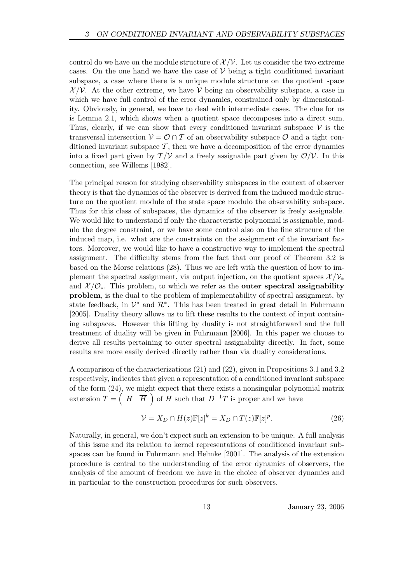control do we have on the module structure of  $\mathcal{X}/\mathcal{V}$ . Let us consider the two extreme cases. On the one hand we have the case of  $V$  being a tight conditioned invariant subspace, a case where there is a unique module structure on the quotient space  $\mathcal{X}/\mathcal{V}$ . At the other extreme, we have  $\mathcal{V}$  being an observability subspace, a case in which we have full control of the error dynamics, constrained only by dimensionality. Obviously, in general, we have to deal with intermediate cases. The clue for us is Lemma 2.1, which shows when a quotient space decomposes into a direct sum. Thus, clearly, if we can show that every conditioned invariant subspace  $\mathcal V$  is the transversal intersection  $\mathcal{V} = \mathcal{O} \cap \mathcal{T}$  of an observability subspace  $\mathcal{O}$  and a tight conditioned invariant subspace  $\mathcal T$ , then we have a decomposition of the error dynamics into a fixed part given by  $T/V$  and a freely assignable part given by  $\mathcal{O}/V$ . In this connection, see Willems [1982].

The principal reason for studying observability subspaces in the context of observer theory is that the dynamics of the observer is derived from the induced module structure on the quotient module of the state space modulo the observability subspace. Thus for this class of subspaces, the dynamics of the observer is freely assignable. We would like to understand if only the characteristic polynomial is assignable, modulo the degree constraint, or we have some control also on the fine strucure of the induced map, i.e. what are the constraints on the assignment of the invariant factors. Moreover, we would like to have a constructive way to implement the spectral assignment. The difficulty stems from the fact that our proof of Theorem 3.2 is based on the Morse relations (28). Thus we are left with the question of how to implement the spectral assignment, via output injection, on the quotient spaces  $\mathcal{X}/\mathcal{V}_*$ and  $\mathcal{X}/\mathcal{O}_*$ . This problem, to which we refer as the **outer spectral assignability** problem, is the dual to the problem of implementability of spectral assignment, by state feedback, in  $\mathcal{V}^*$  and  $\mathcal{R}^*$ . This has been treated in great detail in Fuhrmann [2005]. Duality theory allows us to lift these results to the context of input containing subspaces. However this lifting by duality is not straightforward and the full treatment of duality will be given in Fuhrmann [2006]. In this paper we choose to derive all results pertaining to outer spectral assignability directly. In fact, some results are more easily derived directly rather than via duality considerations.

A comparison of the characterizations (21) and (22), given in Propositions 3.1 and 3.2 respectively, indicates that given a representation of a conditioned invariant subspace of the form (24), we might expect that there exists a nonsingular polynomial matrix extension  $T = \begin{pmatrix} H & \overline{H} \end{pmatrix}$  of H such that  $D^{-1}T$  is proper and we have

$$
\mathcal{V} = X_D \cap H(z)\mathbb{F}[z]^k = X_D \cap T(z)\mathbb{F}[z]^p. \tag{26}
$$

Naturally, in general, we don't expect such an extension to be unique. A full analysis of this issue and its relation to kernel representations of conditioned invariant subspaces can be found in Fuhrmann and Helmke [2001]. The analysis of the extension procedure is central to the understanding of the error dynamics of observers, the analysis of the amount of freedom we have in the choice of observer dynamics and in particular to the construction procedures for such observers.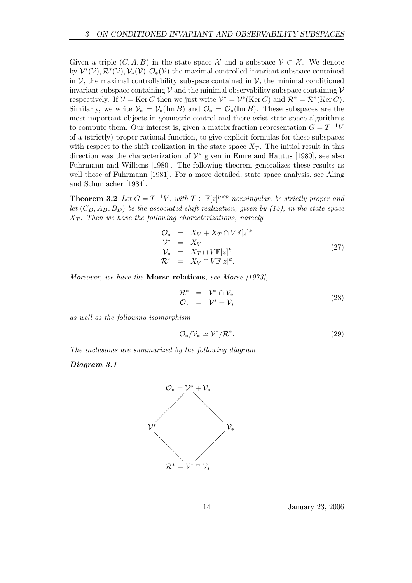Given a triple  $(C, A, B)$  in the state space X and a subspace  $\mathcal{V} \subset \mathcal{X}$ . We denote by  $\mathcal{V}^*(\mathcal{V}), \mathcal{R}^*(\mathcal{V}), \mathcal{V}_*(\mathcal{V}), \mathcal{O}_*(\mathcal{V})$  the maximal controlled invariant subspace contained in  $\mathcal V$ , the maximal controllability subspace contained in  $\mathcal V$ , the minimal conditioned invariant subspace containing  $\mathcal V$  and the minimal observability subspace containing  $\mathcal V$ respectively. If  $V = \text{Ker } C$  then we just write  $V^* = V^* (\text{Ker } C)$  and  $\mathcal{R}^* = \mathcal{R}^* (\text{Ker } C)$ . Similarly, we write  $\mathcal{V}_* = \mathcal{V}_*(\text{Im }B)$  and  $\mathcal{O}_* = \mathcal{O}_*(\text{Im }B)$ . These subspaces are the most important objects in geometric control and there exist state space algorithms to compute them. Our interest is, given a matrix fraction representation  $G = T^{-1}V$ of a (strictly) proper rational function, to give explicit formulas for these subspaces with respect to the shift realization in the state space  $X_T$ . The initial result in this direction was the characterization of  $\mathcal{V}^*$  given in Emre and Hautus [1980], see also Fuhrmann and Willems [1980]. The following theorem generalizes these results as well those of Fuhrmann [1981]. For a more detailed, state space analysis, see Aling and Schumacher [1984].

**Theorem 3.2** Let  $G = T^{-1}V$ , with  $T \in \mathbb{F}[z]^{p \times p}$  nonsingular, be strictly proper and let  $(C_D, A_D, B_D)$  be the associated shift realization, given by (15), in the state space  $X_T$ . Then we have the following characterizations, namely

$$
\begin{array}{rcl}\n\mathcal{O}_{*} & = & X_V + X_T \cap V \mathbb{F}[z]^k \\
\mathcal{V}^* & = & X_V \\
\mathcal{V}_* & = & X_T \cap V \mathbb{F}[z]^k \\
\mathcal{R}^* & = & X_V \cap V \mathbb{F}[z]^k.\n\end{array} \tag{27}
$$

Moreover, we have the **Morse relations**, see Morse [1973],

$$
\begin{array}{rcl}\n\mathcal{R}^* & = & \mathcal{V}^* \cap \mathcal{V}_* \\
\mathcal{O}_* & = & \mathcal{V}^* + \mathcal{V}_* \n\end{array} \tag{28}
$$

as well as the following isomorphism

$$
\mathcal{O}_*/\mathcal{V}_* \simeq \mathcal{V}^*/\mathcal{R}^*.\tag{29}
$$

The inclusions are summarized by the following diagram

Diagram 3.1

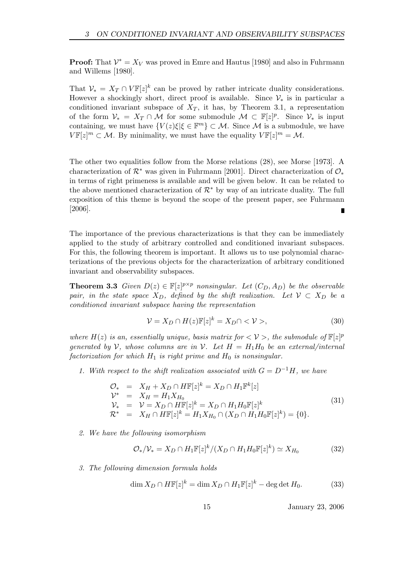**Proof:** That  $\mathcal{V}^* = X_V$  was proved in Emre and Hautus [1980] and also in Fuhrmann and Willems [1980].

That  $\mathcal{V}_* = X_T \cap V \mathbb{F}[z]^k$  can be proved by rather intricate duality considerations. However a shockingly short, direct proof is available. Since  $\mathcal{V}_*$  is in particular a conditioned invariant subspace of  $X_T$ , it has, by Theorem 3.1, a representation of the form  $\mathcal{V}_* = X_T \cap \mathcal{M}$  for some submodule  $\mathcal{M} \subset \mathbb{F}[z]^p$ . Since  $\mathcal{V}_*$  is input containing, we must have  ${V(z) \xi | \xi \in \mathbb{F}^m} \subset \mathcal{M}$ . Since M is a submodule, we have  $V\mathbb{F}[z]^m \subset \mathcal{M}$ . By minimality, we must have the equality  $V\mathbb{F}[z]^m = \mathcal{M}$ .

The other two equalities follow from the Morse relations (28), see Morse [1973]. A characterization of  $\mathcal{R}^*$  was given in Fuhrmann [2001]. Direct characterization of  $\mathcal{O}_*$ in terms of right primeness is available and will be given below. It can be related to the above mentioned characterization of  $\mathcal{R}^*$  by way of an intricate duality. The full exposition of this theme is beyond the scope of the present paper, see Fuhrmann [2006].

The importance of the previous characterizations is that they can be immediately applied to the study of arbitrary controlled and conditioned invariant subspaces. For this, the following theorem is important. It allows us to use polynomial characterizations of the previous objects for the characterization of arbitrary conditioned invariant and observability subspaces.

**Theorem 3.3** Given  $D(z) \in \mathbb{F}[z]^{p \times p}$  nonsingular. Let  $(C_D, A_D)$  be the observable pair, in the state space  $X_D$ , defined by the shift realization. Let  $\mathcal{V} \subset X_D$  be a conditioned invariant subspace having the representation

$$
\mathcal{V} = X_D \cap H(z)\mathbb{F}[z]^k = X_D \cap \langle \mathcal{V} \rangle, \tag{30}
$$

where  $H(z)$  is an, essentially unique, basis matrix for  $\langle V \rangle$ , the submodule of  $\mathbb{F}[z]^p$ generated by V, whose columns are in V. Let  $H = H_1H_0$  be an external/internal factorization for which  $H_1$  is right prime and  $H_0$  is nonsingular.

1. With respect to the shift realization associated with  $G = D^{-1}H$ , we have

$$
\mathcal{O}_{*} = X_{H} + X_{D} \cap H\mathbb{F}[z]^{k} = X_{D} \cap H_{1}\mathbb{F}^{k}[z] \n\mathcal{V}^{*} = X_{H} = H_{1}X_{H_{0}} \n\mathcal{V}_{*} = \mathcal{V} = X_{D} \cap H\mathbb{F}[z]^{k} = X_{D} \cap H_{1}H_{0}\mathbb{F}[z]^{k} \n\mathcal{R}^{*} = X_{H} \cap H\mathbb{F}[z]^{k} = H_{1}X_{H_{0}} \cap (X_{D} \cap H_{1}H_{0}\mathbb{F}[z]^{k}) = \{0\}.
$$
\n(31)

2. We have the following isomorphism

$$
\mathcal{O}_{\ast}/\mathcal{V}_{\ast} = X_D \cap H_1 \mathbb{F}[z]^k / (X_D \cap H_1 H_0 \mathbb{F}[z]^k) \simeq X_{H_0}
$$
(32)

3. The following dimension formula holds

$$
\dim X_D \cap H\mathbb{F}[z]^k = \dim X_D \cap H_1\mathbb{F}[z]^k - \deg \det H_0. \tag{33}
$$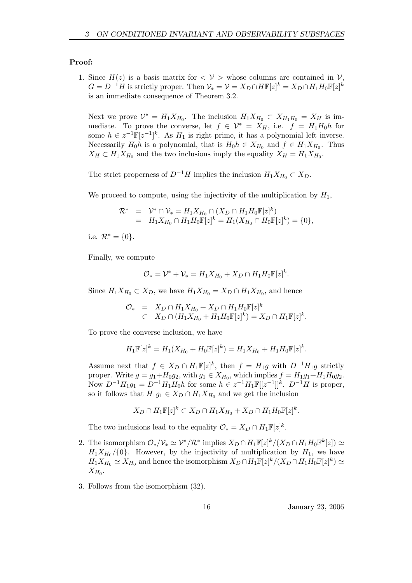#### Proof:

1. Since  $H(z)$  is a basis matrix for  $\langle V \rangle$  whose columns are contained in  $V$ ,  $G = D^{-1}H$  is strictly proper. Then  $\mathcal{V}_* = \mathcal{V} = X_D \cap H\mathbb{F}[z]^k = X_D \cap H_1H_0\mathbb{F}[z]^k$ is an immediate consequence of Theorem 3.2.

Next we prove  $\mathcal{V}^* = H_1 X_{H_0}$ . The inclusion  $H_1 X_{H_0} \subset X_{H_1 H_0} = X_H$  is immediate. To prove the converse, let  $f \in \mathcal{V}^* = X_H$ , i.e.  $f = H_1 H_0 h$  for some  $h \in z^{-1}\mathbb{F}[z^{-1}]^k$ . As  $H_1$  is right prime, it has a polynomial left inverse. Necessarily  $H_0 h$  is a polynomial, that is  $H_0 h \in X_{H_0}$  and  $f \in H_1 X_{H_0}$ . Thus  $X_H \subset H_1 X_{H_0}$  and the two inclusions imply the equality  $X_H = H_1 X_{H_0}$ .

The strict properness of  $D^{-1}H$  implies the inclusion  $H_1X_{H_0} \subset X_D$ .

We proceed to compute, using the injectivity of the multiplication by  $H_1$ ,

$$
\mathcal{R}^* = \mathcal{V}^* \cap \mathcal{V}_* = H_1 X_{H_0} \cap (X_D \cap H_1 H_0 \mathbb{F}[z]^k) \n= H_1 X_{H_0} \cap H_1 H_0 \mathbb{F}[z]^k = H_1 (X_{H_0} \cap H_0 \mathbb{F}[z]^k) = \{0\},
$$

i.e.  $\mathcal{R}^* = \{0\}.$ 

Finally, we compute

$$
\mathcal{O}_{*} = \mathcal{V}^{*} + \mathcal{V}_{*} = H_{1}X_{H_{0}} + X_{D} \cap H_{1}H_{0}\mathbb{F}[z]^{k}.
$$

Since  $H_1 X_{H_0} \subset X_D$ , we have  $H_1 X_{H_0} = X_D \cap H_1 X_{H_0}$ , and hence

$$
\begin{array}{rcl}\n\mathcal{O}_* & = & X_D \cap H_1 X_{H_0} + X_D \cap H_1 H_0 \mathbb{F}[z]^k \\
& \subset & X_D \cap (H_1 X_{H_0} + H_1 H_0 \mathbb{F}[z]^k) = X_D \cap H_1 \mathbb{F}[z]^k.\n\end{array}
$$

To prove the converse inclusion, we have

$$
H_1\mathbb{F}[z]^k = H_1(X_{H_0} + H_0\mathbb{F}[z]^k) = H_1X_{H_0} + H_1H_0\mathbb{F}[z]^k.
$$

Assume next that  $f \in X_D \cap H_1\mathbb{F}[z]^k$ , then  $f = H_1g$  with  $D^{-1}H_1g$  strictly proper. Write  $g = g_1 + H_0 g_2$ , with  $g_1 \in X_{H_0}$ , which implies  $f = H_1 g_1 + H_1 H_0 g_2$ . Now  $D^{-1}H_1g_1 = D^{-1}H_1H_0h$  for some  $h \in z^{-1}H_1\mathbb{F}[[z^{-1}]]^k$ .  $D^{-1}H$  is proper, so it follows that  $H_1g_1 \in X_D \cap H_1X_{H_0}$  and we get the inclusion

$$
X_D \cap H_1 \mathbb{F}[z]^k \subset X_D \cap H_1 X_{H_0} + X_D \cap H_1 H_0 \mathbb{F}[z]^k.
$$

The two inclusions lead to the equality  $\mathcal{O}_* = X_D \cap H_1 \mathbb{F}[z]^k$ .

- 2. The isomorphism  $\mathcal{O}_*/\mathcal{V}_* \simeq \mathcal{V}^*/\mathcal{R}^*$  implies  $X_D \cap H_1\mathbb{F}[z]^k/(X_D \cap H_1H_0\mathbb{F}^k[z]) \simeq$  $H_1 X_{H_0}/\{0\}$ . However, by the injectivity of multiplication by  $H_1$ , we have  $H_1X_{H_0} \simeq X_{H_0}$  and hence the isomorphism  $X_D \cap H_1\mathbb{F}[z]^k/(X_D \cap H_1H_0\mathbb{F}[z]^k) \simeq$  $X_{H_0}.$
- 3. Follows from the isomorphism (32).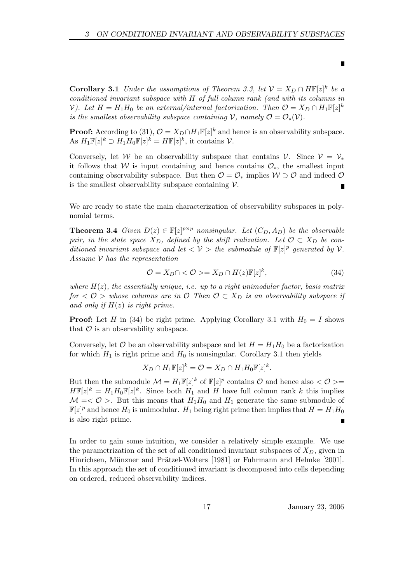**Corollary 3.1** Under the assumptions of Theorem 3.3, let  $V = X_D \cap H\mathbb{F}[z]^k$  be a conditioned invariant subspace with H of full column rank (and with its columns in V). Let  $H = H_1 H_0$  be an external/internal factorization. Then  $\mathcal{O} = X_D \cap H_1 \mathbb{F}[z]^k$ is the smallest observability subspace containing V, namely  $\mathcal{O} = \mathcal{O}_*(\mathcal{V})$ .

**Proof:** According to (31),  $\mathcal{O} = X_D \cap H_1 \mathbb{F}[z]^k$  and hence is an observability subspace. As  $H_1\mathbb{F}[z]^k \supset H_1H_0\mathbb{F}[z]^k = H\mathbb{F}[z]^k$ , it contains  $\mathcal{V}$ .

Conversely, let W be an observability subspace that contains V. Since  $V = V_*$ it follows that W is input containing and hence contains  $\mathcal{O}_{*}$ , the smallest input containing observability subspace. But then  $\mathcal{O} = \mathcal{O}_*$  implies  $\mathcal{W} \supset \mathcal{O}$  and indeed  $\mathcal{O}$ is the smallest observability subspace containing  $V$ .

We are ready to state the main characterization of observability subspaces in polynomial terms.

**Theorem 3.4** Given  $D(z) \in \mathbb{F}[z]^{p \times p}$  nonsingular. Let  $(C_D, A_D)$  be the observable pair, in the state space  $X_D$ , defined by the shift realization. Let  $\mathcal{O} \subset X_D$  be conditioned invariant subspace and let  $\langle V \rangle$  the submodule of  $\mathbb{F}[z]^p$  generated by V. Assume  $V$  has the representation

$$
\mathcal{O} = X_D \cap \langle \mathcal{O} \rangle = X_D \cap H(z) \mathbb{F}[z]^k, \tag{34}
$$

where  $H(z)$ , the essentially unique, i.e. up to a right unimodular factor, basis matrix for  $\langle \mathcal{O} \rangle$  whose columns are in  $\mathcal{O}$  Then  $\mathcal{O} \subset X_D$  is an observability subspace if and only if  $H(z)$  is right prime.

**Proof:** Let H in (34) be right prime. Applying Corollary 3.1 with  $H_0 = I$  shows that  $\mathcal O$  is an observability subspace.

Conversely, let  $\mathcal O$  be an observability subspace and let  $H = H_1 H_0$  be a factorization for which  $H_1$  is right prime and  $H_0$  is nonsingular. Corollary 3.1 then yields

$$
X_D \cap H_1 \mathbb{F}[z]^k = \mathcal{O} = X_D \cap H_1 H_0 \mathbb{F}[z]^k.
$$

But then the submodule  $\mathcal{M} = H_1 \mathbb{F}[z]^k$  of  $\mathbb{F}[z]^p$  contains  $\mathcal O$  and hence also  $\langle \mathcal O \rangle =$  $H\mathbb{F}[z]^k = H_1H_0\mathbb{F}[z]^k$ . Since both  $H_1$  and H have full column rank k this implies  $\mathcal{M} = \langle \mathcal{O} \rangle$ . But this means that  $H_1 H_0$  and  $H_1$  generate the same submodule of  $\mathbb{F}[z]^p$  and hence  $H_0$  is unimodular.  $H_1$  being right prime then implies that  $H = H_1 H_0$ is also right prime.  $\blacksquare$ 

In order to gain some intuition, we consider a relatively simple example. We use the parametrization of the set of all conditioned invariant subspaces of  $X_D$ , given in Hinrichsen, Münzner and Prätzel-Wolters [1981] or Fuhrmann and Helmke [2001]. In this approach the set of conditioned invariant is decomposed into cells depending on ordered, reduced observability indices.

17 January 23, 2006

 $\blacksquare$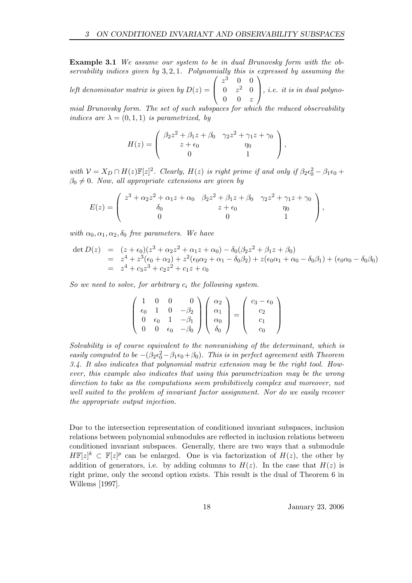Example 3.1 We assume our system to be in dual Brunovsky form with the observability indices given by  $3, 2, 1$ . Polynomially this is expressed by assuming the left denominator matrix is given by  $D(z) =$  $\sqrt{ }$  $\left\lfloor \right\rfloor$  $z^3$  0 0  $0 \t z^2 \t 0$  $0 \quad 0 \quad z$  $\setminus$  $\Big\}, i.e.$  it is in dual polyno-

mial Brunovsky form. The set of such subspaces for which the reduced observability indices are  $\lambda = (0, 1, 1)$  is parametrized, by

$$
H(z) = \begin{pmatrix} \beta_2 z^2 + \beta_1 z + \beta_0 & \gamma_2 z^2 + \gamma_1 z + \gamma_0 \\ z + \epsilon_0 & \eta_0 \\ 0 & 1 \end{pmatrix},
$$

with  $V = X_D \cap H(z) \mathbb{F}[z]^2$ . Clearly,  $H(z)$  is right prime if and only if  $\beta_2 \epsilon_0^2 - \beta_1 \epsilon_0 +$  $\beta_0 \neq 0$ . Now, all appropriate extensions are given by

$$
E(z) = \begin{pmatrix} z^3 + \alpha_2 z^2 + \alpha_1 z + \alpha_0 & \beta_2 z^2 + \beta_1 z + \beta_0 & \gamma_2 z^2 + \gamma_1 z + \gamma_0 \\ \delta_0 & z + \epsilon_0 & \eta_0 \\ 0 & 0 & 1 \end{pmatrix},
$$

with  $\alpha_0, \alpha_1, \alpha_2, \delta_0$  free parameters. We have

$$
\begin{array}{rcl}\n\det D(z) & = & (z + \epsilon_0)(z^3 + \alpha_2 z^2 + \alpha_1 z + \alpha_0) - \delta_0(\beta_2 z^2 + \beta_1 z + \beta_0) \\
& = & z^4 + z^3(\epsilon_0 + \alpha_2) + z^2(\epsilon_0 \alpha_2 + \alpha_1 - \delta_0 \beta_2) + z(\epsilon_0 \alpha_1 + \alpha_0 - \delta_0 \beta_1) + (\epsilon_0 \alpha_0 - \delta_0 \beta_0) \\
& = & z^4 + c_3 z^3 + c_2 z^2 + c_1 z + c_0\n\end{array}
$$

So we need to solve, for arbitrary  $c_i$  the following system.

$$
\left(\begin{array}{cccc} 1 & 0 & 0 & 0 \\ \epsilon_0 & 1 & 0 & -\beta_2 \\ 0 & \epsilon_0 & 1 & -\beta_1 \\ 0 & 0 & \epsilon_0 & -\beta_0 \end{array}\right) \left(\begin{array}{c} \alpha_2 \\ \alpha_1 \\ \alpha_0 \\ \delta_0 \end{array}\right) = \left(\begin{array}{c} c_3 - \epsilon_0 \\ c_2 \\ c_1 \\ c_0 \end{array}\right)
$$

Solvability is of course equivalent to the nonvanishing of the determinant, which is easily computed to be  $-(\beta_2 \epsilon_0^2 - \beta_1 \epsilon_0 + \beta_0)$ . This is in perfect agreement with Theorem 3.4. It also indicates that polynomial matrix extension may be the right tool. However, this example also indicates that using this parametrization may be the wrong direction to take as the computations seem prohibitively complex and moreover, not well suited to the problem of invariant factor assignment. Nor do we easily recover the appropriate output injection.

Due to the intersection representation of conditioned invariant subspaces, inclusion relations between polynomial submodules are reflected in inclusion relations between conditioned invariant subspaces. Generally, there are two ways that a submodule  $H\mathbb{F}[z]^k \subset \mathbb{F}[z]^p$  can be enlarged. One is via factorization of  $H(z)$ , the other by addition of generators, i.e. by adding columns to  $H(z)$ . In the case that  $H(z)$  is right prime, only the second option exists. This result is the dual of Theorem 6 in Willems [1997].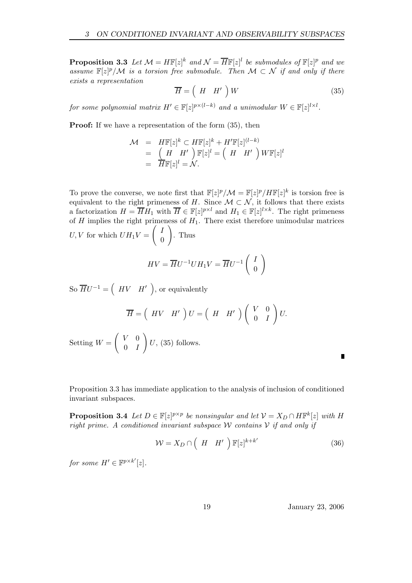**Proposition 3.3** Let  $\mathcal{M} = H\mathbb{F}[z]^k$  and  $\mathcal{N} = \overline{H}\mathbb{F}[z]^l$  be submodules of  $\mathbb{F}[z]^p$  and we assume  $\mathbb{F}[z]^p/\mathcal{M}$  is a torsion free submodule. Then  $\mathcal{M} \subset \mathcal{N}$  if and only if there exists a representation

$$
\overline{H} = \left(H \quad H' \right) W \tag{35}
$$

for some polynomial matrix  $H' \in \mathbb{F}[z]^{p \times (l-k)}$  and a unimodular  $W \in \mathbb{F}[z]^{l \times l}$ .

**Proof:** If we have a representation of the form  $(35)$ , then

$$
\mathcal{M} = H\mathbb{F}[z]^k \subset H\mathbb{F}[z]^k + H'\mathbb{F}[z]^{(l-k)}
$$
  
= 
$$
\begin{pmatrix} H & H' \\ \overline{H}\mathbb{F}[z]^l = \mathcal{N} \end{pmatrix} \mathbb{F}[z]^l = \begin{pmatrix} H & H' \\ \end{pmatrix} W\mathbb{F}[z]^l
$$

To prove the converse, we note first that  $\mathbb{F}[z]^p/\mathcal{M} = \mathbb{F}[z]^p/H\mathbb{F}[z]^k$  is torsion free is equivalent to the right primeness of H. Since  $\mathcal{M} \subset \mathcal{N}$ , it follows that there exists a factorization  $H = \overline{H}H_1$  with  $\overline{H} \in \mathbb{F}[z]^{p \times l}$  and  $H_1 \in \mathbb{F}[z]^{l \times k}$ . The right primeness of  $H$  implies the right primeness of  $H_1$ . There exist therefore unimodular matrices  $\int$ !

 $U, V$  for which  $UH_1V =$ 0 . Thus

$$
HV = \overline{H}U^{-1}UH_1V = \overline{H}U^{-1}\left(\begin{array}{c} I\\0 \end{array}\right)
$$

So  $\overline{H}U^{-1} = \begin{pmatrix} HV & H' \end{pmatrix}$ , or equivalently

$$
\overline{H} = \left(HV \quad H'\right)U = \left(H \quad H'\right)\left(\begin{array}{cc} V & 0 \\ 0 & I \end{array}\right)U.
$$

Setting  $W =$  $\begin{pmatrix} V & 0 \end{pmatrix}$  $0$  *I*  $\setminus$  $U, (35)$  follows.

Proposition 3.3 has immediate application to the analysis of inclusion of conditioned invariant subspaces.

**Proposition 3.4** Let  $D \in \mathbb{F}[z]^{p \times p}$  be nonsingular and let  $\mathcal{V} = X_D \cap H\mathbb{F}^k[z]$  with H right prime. A conditioned invariant subspace W contains  $V$  if and only if

$$
\mathcal{W} = X_D \cap \left( H \mid H' \right) \mathbb{F}[z]^{k+k'} \tag{36}
$$

for some  $H' \in \mathbb{F}^{p \times k'}[z]$ .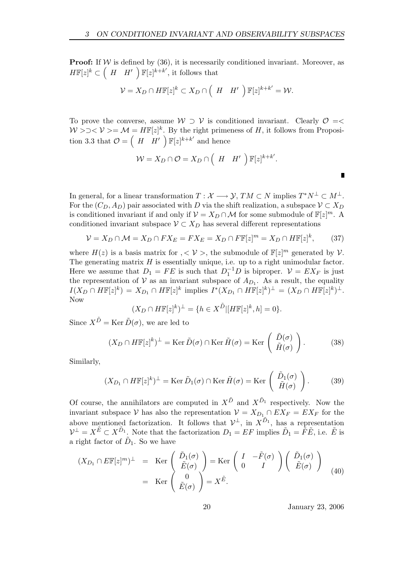**Proof:** If  $W$  is defined by (36), it is necessarily conditioned invariant. Moreover, as  $H\mathbb{F}[z]^k \subset (H \ H') \ \mathbb{F}[z]^{k+k'}$ , it follows that

$$
\mathcal{V}=X_D\cap H\mathbb{F}[z]^k\subset X_D\cap \left(H\setminus H'\right)\mathbb{F}[z]^{k+k'}=\mathcal{W}.
$$

To prove the converse, assume  $W \supset V$  is conditioned invariant. Clearly  $\mathcal{O} = \langle$  $W \ge 0 \lt V \gt 0 \lt M = H\mathbb{F}[z]^k$ . By the right primeness of H, it follows from Proposition 3.3 that  $\mathcal{O} = \begin{pmatrix} H & H' \\ \end{pmatrix} \mathbb{F}[z]^{k+k'}$  and hence

$$
\mathcal{W} = X_D \cap \mathcal{O} = X_D \cap \left( H \mid H' \right) \mathbb{F}[z]^{k+k'}.
$$

In general, for a linear transformation  $T: \mathcal{X} \longrightarrow \mathcal{Y}, TM \subset N$  implies  $T^*N^{\perp} \subset M^{\perp}$ . For the  $(C_D, A_D)$  pair associated with D via the shift realization, a subspace  $\mathcal{V} \subset X_D$ is conditioned invariant if and only if  $\mathcal{V} = X_D \cap \mathcal{M}$  for some submodule of  $\mathbb{F}[z]^m$ . A conditioned invariant subspace  $V \subset X_D$  has several different representations

$$
\mathcal{V} = X_D \cap \mathcal{M} = X_D \cap FX_E = FX_E = X_D \cap F\mathbb{F}[z]^m = X_D \cap H\mathbb{F}[z]^k, \tag{37}
$$

where  $H(z)$  is a basis matrix for  $, < V >$ , the submodule of  $\mathbb{F}[z]^m$  generated by V. The generating matrix  $H$  is essentially unique, i.e. up to a right unimodular factor. Here we assume that  $D_1 = FE$  is such that  $D_1^{-1}D$  is biproper.  $\mathcal{V} = EX_F$  is just the representation of  $V$  as an invariant subspace of  $A_{D_1}$ . As a result, the equality  $I(X_D \cap H\mathbb{F}[z]^k) = X_{D_1} \cap H\mathbb{F}[z]^k$  implies  $I^*(X_{D_1} \cap H\mathbb{F}[z]^k)^\perp = (X_D \cap H\mathbb{F}[z]^k)^\perp$ . Now

$$
(X_D \cap H\mathbb{F}[z]^k)^\perp = \{ h \in X^{\tilde{D}} | [H\mathbb{F}[z]^k, h] = 0 \}.
$$

Since  $X^{\tilde{D}} = \text{Ker }\tilde{D}(\sigma)$ , we are led to

$$
(X_D \cap H\mathbb{F}[z]^k)^{\perp} = \text{Ker}\,\tilde{D}(\sigma) \cap \text{Ker}\,\tilde{H}(\sigma) = \text{Ker}\,\left(\begin{array}{c}\tilde{D}(\sigma) \\ \tilde{H}(\sigma)\end{array}\right). \tag{38}
$$

Similarly,

$$
(X_{D_1} \cap H\mathbb{F}[z]^k)^{\perp} = \text{Ker}\,\tilde{D}_1(\sigma) \cap \text{Ker}\,\tilde{H}(\sigma) = \text{Ker}\,\left(\begin{array}{c} \tilde{D}_1(\sigma) \\ \tilde{H}(\sigma) \end{array}\right). \tag{39}
$$

Of course, the annihilators are computed in  $X^{\tilde{D}}$  and  $X^{\tilde{D}_1}$  respectively. Now the invariant subspace V has also the representation  $\mathcal{V} = X_{D_1} \cap EX_F = EX_F$  for the above mentioned factorization. It follows that  $\mathcal{V}^{\perp}$ , in  $X^{\tilde{D}_1}$ , has a representation  $\mathcal{V}^{\perp} = X^{\tilde{E}} \subset X^{\tilde{D}_1}$ . Note that the factorization  $D_1 = EF$  implies  $\tilde{D}_1 = \tilde{F}\tilde{E}$ , i.e.  $\tilde{E}$  is a right factor of  $\tilde{D}_1$ . So we have

$$
(X_{D_1} \cap E\mathbb{F}[z]^m)^{\perp} = \text{Ker}\begin{pmatrix} \tilde{D}_1(\sigma) \\ \tilde{E}(\sigma) \\ \tilde{E}(\sigma) \end{pmatrix} = \text{Ker}\begin{pmatrix} I & -\tilde{F}(\sigma) \\ 0 & I \end{pmatrix} \begin{pmatrix} \tilde{D}_1(\sigma) \\ \tilde{E}(\sigma) \end{pmatrix}
$$
  
= \text{Ker}\begin{pmatrix} 0 \\ \tilde{E}(\sigma) \end{pmatrix} = X^{\tilde{E}}. (40)

20 January 23, 2006

Г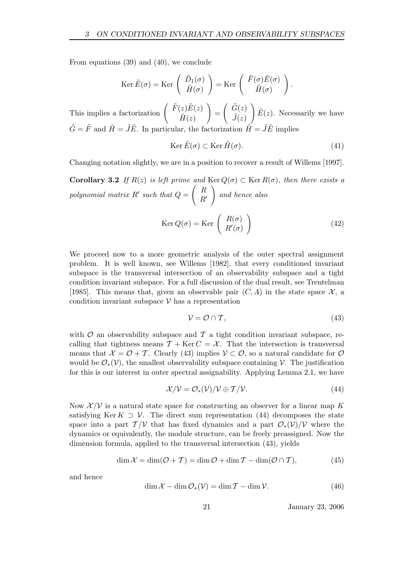From equations (39) and (40), we conclude

$$
\operatorname{Ker} \tilde{E}(\sigma) = \operatorname{Ker} \left( \begin{array}{c} \tilde{D}_1(\sigma) \\ \tilde{H}(\sigma) \end{array} \right) = \operatorname{Ker} \left( \begin{array}{c} \tilde{F}(\sigma) \tilde{E}(\sigma) \\ \tilde{H}(\sigma) \end{array} \right).
$$

This implies a factorization  $\begin{pmatrix} \tilde{F}(z)\tilde{E}(z) \\ \tilde{F}(z) \end{pmatrix}$  $\tilde{H}(z)$ ! =  $\int \tilde{G}(z)$  $\tilde{J}(z)$ !  $\tilde{E}(z)$ . Necessarily we have  $\tilde{G} = \tilde{F}$  and  $\tilde{H} = \tilde{J}\tilde{E}$ . In particular, the factorization  $\tilde{H} = \tilde{J}\tilde{E}$  implies

$$
\operatorname{Ker}\tilde{E}(\sigma)\subset\operatorname{Ker}\tilde{H}(\sigma).
$$
\n(41)

Changing notation slightly, we are in a position to recover a result of Willems [1997].

**Corollary 3.2** If  $R(z)$  is left prime and  $\text{Ker } Q(\sigma) \subset \text{Ker } R(\sigma)$ , then there exists a polynomial matrix  $R'$  such that  $Q =$  $\left( R\right)$  $R^{\prime}$ ! and hence also

$$
Ker Q(\sigma) = Ker \begin{pmatrix} R(\sigma) \\ R'(\sigma) \end{pmatrix}
$$
 (42)

We proceed now to a more geometric analysis of the outer spectral assignment problem. It is well known, see Willems [1982], that every conditioned invariant subspace is the transversal intersection of an observability subspace and a tight condition invariant subspace. For a full discussion of the dual result, see Trentelman [1985]. This means that, given an observable pair  $(C, A)$  in the state space  $\mathcal{X}$ , a condition invariant subspace  $V$  has a representation

$$
\mathcal{V} = \mathcal{O} \cap \mathcal{T},\tag{43}
$$

with  $\mathcal O$  an observability subspace and  $\mathcal T$  a tight condition invariant subspace, recalling that tightness means  $\mathcal{T} + \text{Ker } C = \mathcal{X}$ . That the intersection is transversal means that  $\mathcal{X} = \mathcal{O} + \mathcal{T}$ . Clearly (43) implies  $\mathcal{V} \subset \mathcal{O}$ , so a natural candidate for  $\mathcal{O}$ would be  $\mathcal{O}_*(\mathcal{V})$ , the smallest observability subspace containing  $\mathcal{V}$ . The justification for this is our interest in outer spectral assignability. Applying Lemma 2.1, we have

$$
\mathcal{X}/\mathcal{V} = \mathcal{O}_{*}(\mathcal{V})/\mathcal{V} \oplus \mathcal{T}/\mathcal{V}.
$$
\n(44)

Now  $\mathcal{X}/\mathcal{V}$  is a natural state space for constructing an observer for a linear map K satisfying Ker K  $\supset \mathcal{V}$ . The direct sum representation (44) decomposes the state space into a part  $\mathcal{T}/\mathcal{V}$  that has fixed dynamics and a part  $\mathcal{O}_*(\mathcal{V})/\mathcal{V}$  where the dynamics or equivalently, the module structure, can be freely preassigned. Now the dimension formula, applied to the transversal intersection (43), yields

$$
\dim \mathcal{X} = \dim(\mathcal{O} + \mathcal{T}) = \dim \mathcal{O} + \dim \mathcal{T} - \dim(\mathcal{O} \cap \mathcal{T}),\tag{45}
$$

and hence

$$
\dim \mathcal{X} - \dim \mathcal{O}_*(\mathcal{V}) = \dim \mathcal{T} - \dim \mathcal{V}.\tag{46}
$$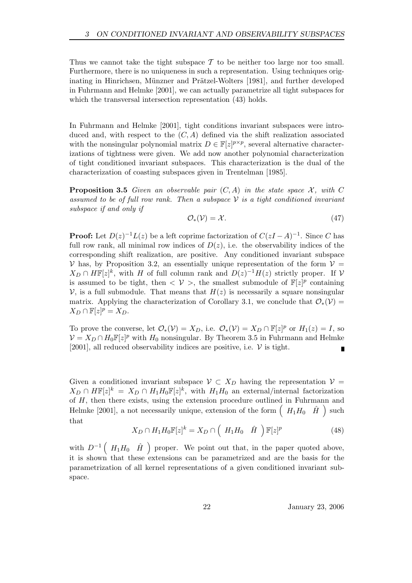Thus we cannot take the tight subspace  $\mathcal T$  to be neither too large nor too small. Furthermore, there is no uniqueness in such a representation. Using techniques originating in Hinrichsen, Münzner and Prätzel-Wolters [1981], and further developed in Fuhrmann and Helmke [2001], we can actually parametrize all tight subspaces for which the transversal intersection representation  $(43)$  holds.

In Fuhrmann and Helmke [2001], tight conditions invariant subspaces were introduced and, with respect to the  $(C, A)$  defined via the shift realization associated with the nonsingular polynomial matrix  $D \in \mathbb{F}[z]^{p \times p}$ , several alternative characterizations of tightness were given. We add now another polynomial characterization of tight conditioned invariant subspaces. This characterization is the dual of the characterization of coasting subspaces given in Trentelman [1985].

**Proposition 3.5** Given an observable pair  $(C, A)$  in the state space X, with C assumed to be of full row rank. Then a subspace  $\mathcal V$  is a tight conditioned invariant subspace if and only if

$$
\mathcal{O}_*(\mathcal{V}) = \mathcal{X}.\tag{47}
$$

**Proof:** Let  $D(z)^{-1}L(z)$  be a left coprime factorization of  $C(zI-A)^{-1}$ . Since C has full row rank, all minimal row indices of  $D(z)$ , i.e. the observability indices of the corresponding shift realization, are positive. Any conditioned invariant subspace  $\mathcal V$  has, by Proposition 3.2, an essentially unique representation of the form  $\mathcal V$  =  $X_D \cap H\mathbb{F}[z]^k$ , with H of full column rank and  $D(z)^{-1}H(z)$  strictly proper. If V is assumed to be tight, then  $\langle V \rangle$ , the smallest submodule of  $\mathbb{F}[z]^p$  containing  $\mathcal V$ , is a full submodule. That means that  $H(z)$  is necessarily a square nonsingular matrix. Applying the characterization of Corollary 3.1, we conclude that  $\mathcal{O}_*(\mathcal{V}) =$  $X_D \cap \mathbb{F}[z]^p = X_D.$ 

To prove the converse, let  $\mathcal{O}_*(\mathcal{V}) = X_D$ , i.e.  $\mathcal{O}_*(\mathcal{V}) = X_D \cap \mathbb{F}[z]^p$  or  $H_1(z) = I$ , so  $\mathcal{V} = X_D \cap H_0 \mathbb{F}[z]^p$  with  $H_0$  nonsingular. By Theorem 3.5 in Fuhrmann and Helmke [2001], all reduced observability indices are positive, i.e.  $V$  is tight.

Given a conditioned invariant subspace  $\mathcal{V} \subset X_D$  having the representation  $\mathcal{V} =$  $X_D \cap H\mathbb{F}[z]^k = X_D \cap H_1H_0\mathbb{F}[z]^k$ , with  $H_1H_0$  an external/internal factorization of H, then there exists, using the extension procedure outlined in Fuhrmann and Helmke [2001], a not necessarily unique, extension of the form  $\left(H_1H_0 \quad \hat{H}\right)$  such that

$$
X_D \cap H_1 H_0 \mathbb{F}[z]^k = X_D \cap \left(H_1 H_0 \quad \hat{H}\right) \mathbb{F}[z]^p \tag{48}
$$

with  $D^{-1}$   $(H_1H_0 \hat{H})$  proper. We point out that, in the paper quoted above, it is shown that these extensions can be parametrized and are the basis for the parametrization of all kernel representations of a given conditioned invariant subspace.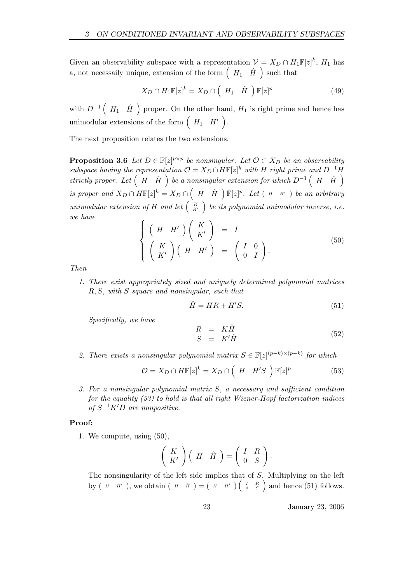Given an observability subspace with a representation  $\mathcal{V} = X_D \cap H_1 \mathbb{F}[z]^k$ ,  $H_1$  has a, not necessaily unique, extension of the form  $\left(H_1 \quad \hat{H}\right)$  such that

$$
X_D \cap H_1 \mathbb{F}[z]^k = X_D \cap \left(H_1 \quad \hat{H}\right) \mathbb{F}[z]^p \tag{49}
$$

with  $D^{-1}$   $(H_1 \quad \hat{H}$  ) proper. On the other hand,  $H_1$  is right prime and hence has unimodular extensions of the form  $\begin{pmatrix} H_1 & H' \end{pmatrix}$ .

The next proposition relates the two extensions.

**Proposition 3.6** Let  $D \in \mathbb{F}[z]^{p \times p}$  be nonsingular. Let  $\mathcal{O} \subset X_D$  be an observability subspace having the representation  $\mathcal{O} = X_D \cap H\mathbb{F}[z]^k$  with H right prime and  $D^{-1}H$ strictly proper. Let  $(H \hat{H})$  be a nonsingular extension for which  $D^{-1}(H \hat{H})$ is proper and  $X_D \cap H\mathbb{F}[z]^k = X_D \cap \left(H \hat{H}\right)\mathbb{F}[z]^p$ . Let  $(H \cap H')$  be an arbitrary unimodular extension of H and let  $\begin{pmatrix} K \\ K' \end{pmatrix}$  be its polynomial unimodular inverse, i.e. we have  $\sqrt{ }$ 

$$
\begin{cases}\n\left(H \ H'\right)\left(\begin{array}{c} K\\ K'\end{array}\right) & = & I\\
\left(\begin{array}{c} K\\ K'\end{array}\right)\left(H \ H'\right) & = & \left(\begin{array}{cc} I & 0\\ 0 & I\end{array}\right).\n\end{cases} (50)
$$

Then

1. There exist appropriately sized and uniquely determined polynomial matrices R, S, with S square and nonsingular, such that

$$
\hat{H} = HR + H'S.
$$
\n(51)

Specifically, we have

$$
R = K\hat{H}
$$
  
\n
$$
S = K'\hat{H}
$$
\n(52)

2. There exists a nonsingular polynomial matrix  $S \in \mathbb{F}[z]^{(p-k)\times (p-k)}$  for which

$$
\mathcal{O} = X_D \cap H\mathbb{F}[z]^k = X_D \cap \left(H \mid H'S\right)\mathbb{F}[z]^p \tag{53}
$$

3. For a nonsingular polynomial matrix S, a necessary and sufficient condition for the equality  $(53)$  to hold is that all right Wiener-Hopf factorization indices of  $S^{-1}K'D$  are nonpositive.

#### Proof:

1. We compute, using (50),

$$
\left(\begin{array}{c} K \\ K'\end{array}\right)\left(\begin{array}{cc} H & \hat{H} \end{array}\right)=\left(\begin{array}{cc} I & R \\ 0 & S\end{array}\right).
$$

The nonsingularity of the left side implies that of S. Multiplying on the left by  $(H - H')$ , we obtain  $(H - \hat{H}) = (H - H') (\frac{I - R}{0 - S})$  and hence (51) follows.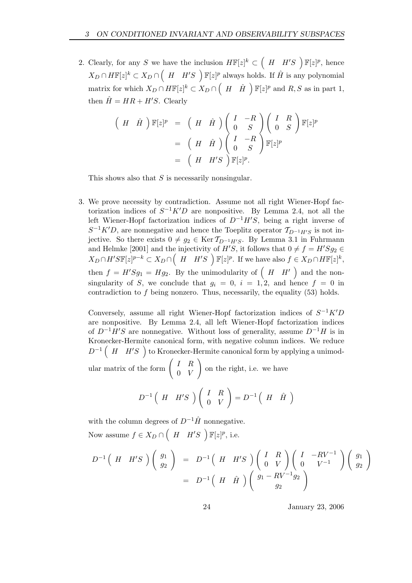2. Clearly, for any S we have the inclusion  $H\mathbb{F}[z]^k \subset (H \ H'S \ )\mathbb{F}[z]^p$ , hence  $X_D \cap H\mathbb{F}[z]^k \subset X_D \cap \left(H - H'S\right)$   $\mathbb{F}[z]^p$  always holds. If  $\hat{H}$  is any polynomial matrix for which  $X_D \cap H\mathbb{F}[z]^k \subset X_D \cap \left(H \cap \hat{H}\right) \mathbb{F}[z]^p$  and  $R, S$  as in part 1, then  $\hat{H} = HR + H'S$ . Clearly

$$
\begin{array}{rcl}\n\left(H \quad \hat{H}\right) \mathbb{F}[z]^p & = & \left(H \quad \hat{H}\right) \left(\begin{array}{cc} I & -R \\ 0 & S \end{array}\right) \left(\begin{array}{cc} I & R \\ 0 & S \end{array}\right) \mathbb{F}[z]^p \\
& = & \left(H \quad \hat{H}\right) \left(\begin{array}{cc} I & -R \\ 0 & S \end{array}\right) \mathbb{F}[z]^p \\
& = & \left(H \quad H'S\right) \mathbb{F}[z]^p.\n\end{array}
$$

This shows also that S is necessarily nonsingular.

3. We prove necessity by contradiction. Assume not all right Wiener-Hopf factorization indices of  $S^{-1}K'D$  are nonpositive. By Lemma 2.4, not all the left Wiener-Hopf factorization indices of  $D^{-1}H'S$ , being a right inverse of  $S^{-1}K'D$ , are nonnegative and hence the Toeplitz operator  $\mathcal{T}_{D^{-1}H'S}$  is not injective. So there exists  $0 \neq g_2 \in \text{Ker } \mathcal{T}_{D^{-1}H/S}$ . By Lemma 3.1 in Fuhrmann and Helmke [2001] and the injectivity of  $H'S$ , it follows that  $0 \neq f = H'Sg_2 \in$  $X_D \cap H'SF[z]^{p-k} \subset X_D \cap \left(H \mid H'S\right) F[z]^p$ . If we have also  $f \in X_D \cap HF[z]^k$ , then  $f = H'Sg_1 = Hg_2$ . By the unimodularity of  $(H \ H')$  and the nonsingularity of S, we conclude that  $g_i = 0$ ,  $i = 1, 2$ , and hence  $f = 0$  in contradiction to f being nonzero. Thus, necessarily, the equality (53) holds.

Conversely, assume all right Wiener-Hopf factorization indices of  $S^{-1}K'D$ are nonpositive. By Lemma 2.4, all left Wiener-Hopf factorization indices of  $D^{-1}H'S$  are nonnegative. Without loss of generality, assume  $D^{-1}H$  is in Kronecker-Hermite canonical form, with negative column indices. We reduce  $D^{-1}$   $(H$   $H'S$   $)$  to Kronecker-Hermite canonical form by applying a unimod-!

ular matrix of the form  $\begin{pmatrix} I & R \\ 0 & V \end{pmatrix}$ 0 V on the right, i.e. we have

$$
D^{-1}\left(H \quad H'S \quad \right)\left(\begin{array}{cc} I & R \\ 0 & V \end{array}\right) = D^{-1}\left(H \quad \hat{H}\right)
$$

with the column degrees of  $D^{-1}\hat{H}$  nonnegative. Now assume  $f \in X_D \cap \left(H \mid H'S \right)$   $\mathbb{F}[z]^p$ , i.e.

$$
D^{-1}\left(H \quad H'S\right)\left(\begin{array}{c} g_1 \\ g_2 \end{array}\right) = D^{-1}\left(H \quad H'S\right)\left(\begin{array}{cc} I & R \\ 0 & V \end{array}\right)\left(\begin{array}{cc} I & -RV^{-1} \\ 0 & V^{-1} \end{array}\right)\left(\begin{array}{c} g_1 \\ g_2 \end{array}\right)
$$

$$
= D^{-1}\left(H \quad \hat{H} \right)\left(\begin{array}{c} g_1 - RV^{-1}g_2 \\ g_2 \end{array}\right)
$$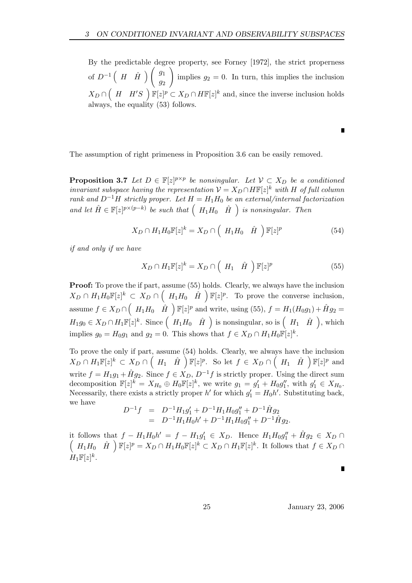By the predictable degree property, see Forney [1972], the strict properness of  $D^{-1} \begin{pmatrix} H & \hat{H} \end{pmatrix} \begin{pmatrix} g_1 \\ g_2 \end{pmatrix}$  $\overline{g_2}$ ! implies  $g_2 = 0$ . In turn, this implies the inclusion  $X_D \cap \left(H \mid H'S\right)$   $\mathbb{F}[z]^p \subset X_D \cap H\mathbb{F}[z]^k$  and, since the inverse inclusion holds always, the equality (53) follows.

The assumption of right primeness in Proposition 3.6 can be easily removed.

**Proposition 3.7** Let  $D \in \mathbb{F}[z]^{p \times p}$  be nonsingular. Let  $V \subset X_D$  be a conditioned invariant subspace having the representation  $\mathcal{V} = X_D \cap H\mathbb{F}[z]^k$  with H of full column rank and D<sup>-1</sup>H strictly proper. Let  $H = H_1H_0$  be an external/internal factorization and let  $\hat{H} \in \mathbb{F}[z]^{p \times (p-k)}$  be such that  $(H_1H_0 \hat{H})$  is nonsingular. Then

$$
X_D \cap H_1 H_0 \mathbb{F}[z]^k = X_D \cap \left(H_1 H_0 \quad \hat{H}\right) \mathbb{F}[z]^p \tag{54}
$$

if and only if we have

$$
X_D \cap H_1 \mathbb{F}[z]^k = X_D \cap \left(H_1 \quad \hat{H}\right) \mathbb{F}[z]^p \tag{55}
$$

Proof: To prove the if part, assume (55) holds. Clearly, we always have the inclusion  $X_D \cap H_1 H_0 \mathbb{F}[z]^k \subset X_D \cap \left(H_1 H_0 \hat{H}\right) \mathbb{F}[z]^p$ . To prove the converse inclusion, assume  $f \in X_D \cap \left(H_1H_0 \cap \hat{H}\right)$   $\mathbb{F}[z]^p$  and write, using (55),  $f = H_1(H_0g_1) + \hat{H}g_2 =$  $H_1g_0 \in X_D \cap H_1\mathbb{F}[z]^k$ . Since  $(H_1H_0 \hat{H})$  is nonsingular, so is  $(H_1 \hat{H})$ , which implies  $g_0 = H_0 g_1$  and  $g_2 = 0$ . This shows that  $f \in X_D \cap H_1 H_0 \mathbb{F}[z]^k$ .

To prove the only if part, assume (54) holds. Clearly, we always have the inclusion  $X_D \cap H_1 \mathbb{F}[z]^k \subset X_D \cap \left(H_1 \quad \hat{H} \right) \mathbb{F}[z]^p$ . So let  $f \in X_D \cap \left(H_1 \quad \hat{H} \right) \mathbb{F}[z]^p$  and write  $f = H_1g_1 + \hat{H}g_2$ . Since  $f \in X_D$ ,  $D^{-1}f$  is strictly proper. Using the direct sum decomposition  $\mathbb{F}[z]^k = X_{H_0} \oplus H_0 \mathbb{F}[z]^k$ , we write  $g_1 = g'_1 + H_0 g''_1$ , with  $g'_1 \in X_{H_0}$ . Necessarily, there exists a strictly proper  $h'$  for which  $g'_1 = H_0 h'$ . Substituting back, we have

$$
D^{-1}f = D^{-1}H_1g'_1 + D^{-1}H_1H_0g''_1 + D^{-1}\hat{H}g_2
$$
  
= 
$$
D^{-1}H_1H_0h' + D^{-1}H_1H_0g''_1 + D^{-1}\hat{H}g_2.
$$

it follows that  $f - H_1 H_0 h' = f - H_1 g'_1 \in X_D$ . Hence  $H_1 H_0 g''_1 + \hat{H} g_2 \in X_D \cap$  $(H_1H_0 \quad \hat{H}) \ \mathbb{F}[z]^p = X_D \cap H_1H_0 \mathbb{F}[z]^k \subset X_D \cap H_1 \mathbb{F}[z]^k$ . It follows that  $f \in X_D \cap H_1$  $H_1\mathbb{F}[z]^k$ .

Г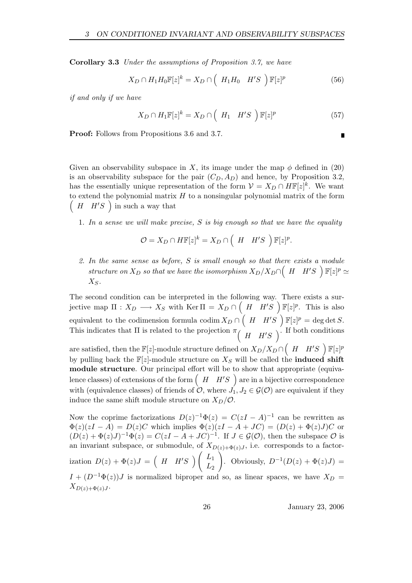Corollary 3.3 Under the assumptions of Proposition 3.7, we have

$$
X_D \cap H_1 H_0 \mathbb{F}[z]^k = X_D \cap \left(H_1 H_0 \quad H'S \right) \mathbb{F}[z]^p \tag{56}
$$

if and only if we have

$$
X_D \cap H_1 \mathbb{F}[z]^k = X_D \cap \left(H_1 \quad H'S \right) \mathbb{F}[z]^p \tag{57}
$$

Proof: Follows from Propositions 3.6 and 3.7.

Given an observability subspace in X, its image under the map  $\phi$  defined in (20) is an observability subspace for the pair  $(C_D, A_D)$  and hence, by Proposition 3.2, has the essentially unique representation of the form  $\mathcal{V} = X_D \cap H\mathbb{F}[z]^k$ . We want  $(H \ H'S)$  in such a way that to extend the polynomial matrix  $H$  to a nonsingular polynomial matrix of the form

1. In a sense we will make precise,  $S$  is big enough so that we have the equality

$$
\mathcal{O} = X_D \cap H\mathbb{F}[z]^k = X_D \cap \left(H \mid H'S\right)\mathbb{F}[z]^p.
$$

2. In the same sense as before, S is small enough so that there exists a module structure on  $X_D$  so that we have the isomorphism  $X_D/X_D \cap (H \mid H'S \mid \mathbb{F}[z]^p \simeq$  $X_S$ .

The second condition can be interpreted in the following way. There exists a surjective map  $\Pi: X_D \longrightarrow X_S$  with  $\text{Ker } \Pi = X_D \cap \left(H \cap H'S \right) \mathbb{F}[z]^p$ . This is also equivalent to the codimension formula codim  $X_D \cap \left(H - H'S\right)$   $\mathbb{F}[z]^p = \text{deg det } S$ . This indicates that  $\Pi$  is related to the projection  $\pi\begin{pmatrix} H & H'S \end{pmatrix}$ . If both conditions are satisfied, then the  $\mathbb{F}[z]$ -module structure defined on  $X_D/X_D \cap \left( \begin{array}{cc} H & H'S \end{array} \right) \mathbb{F}[z]^p$ by pulling back the  $\mathbb{F}[z]$ -module structure on  $X_S$  will be called the **induced shift** module structure. Our principal effort will be to show that appropriate (equivalence classes) of extensions of the form  $(H \ H'S$  are in a bijective correspondence with (equivalence classes) of friends of  $\mathcal{O}$ , where  $J_1, J_2 \in \mathcal{G}(\mathcal{O})$  are equivalent if they induce the same shift module structure on  $X_D/\mathcal{O}$ .

Now the coprime factorizations  $D(z)^{-1}\Phi(z) = C(zI - A)^{-1}$  can be rewritten as  $\Phi(z)(zI - A) = D(z)C$  which implies  $\Phi(z)(zI - A + JC) = (D(z) + \Phi(z)J)C$  or  $(D(z) + \Phi(z)J)^{-1}\Phi(z) = C(zI - A + JC)^{-1}$ . If  $J \in \mathcal{G}(\mathcal{O})$ , then the subspace  $\mathcal O$  is an invariant subspace, or submodule, of  $X_{D(z)+\Phi(z)J}$ , i.e. corresponds to a factorization  $D(z) + \Phi(z)J = \begin{pmatrix} H & H'S \end{pmatrix} \begin{pmatrix} L_1 \\ L_2 \end{pmatrix}$  $L_{2}$ |<br>| . Obviously,  $D^{-1}(D(z) + \Phi(z)J) =$  $I + (D^{-1}\Phi(z))J$  is normalized biproper and so, as linear spaces, we have  $X_D =$  $X_{D(z)+\Phi(z)J}$ .

26 January 23, 2006

Г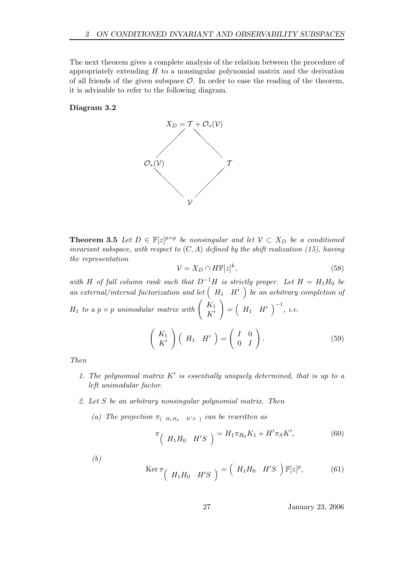The next theorem gives a complete analysis of the relation between the procedure of appropriately extending  $H$  to a nonsingular polynomial matrix and the derivation of all friends of the given subspace  $\mathcal{O}$ . In order to ease the reading of the theorem, it is advisable to refer to the following diagram.

### Diagram 3.2



**Theorem 3.5** Let  $D \in \mathbb{F}[z]^{p \times p}$  be nonsingular and let  $V \subset X_D$  be a conditioned invariant subspace, with respect to  $(C, A)$  defined by the shift realization (15), having the representation

$$
\mathcal{V} = X_D \cap H\mathbb{F}[z]^k,\tag{58}
$$

with H of full column rank such that  $D^{-1}H$  is strictly proper. Let  $H = H_1H_0$  be an external/internal factorization and let  $(H_1 \ H' )$  be an arbitrary completion of  $H_1$  to a  $p \times p$  unimodular matrix with  $\begin{pmatrix} K_1 \\ K_2 \end{pmatrix}$  $K'$ !  $=\left(H_1 \quad H'\right)^{-1}, i.e.$  $K_1$  $K'$  $\Big)$   $\Big($   $H_1$   $H'$   $\Big)$  =  $\begin{pmatrix} I & 0 \end{pmatrix}$  $0$  *I*  $\setminus$ . (59)

Then

- 1. The polynomial matrix  $K'$  is essentially uniquely determined, that is up to a left unimodular factor.
- 2. Let S be an arbitrary nonsingular polynomial matrix. Then
	- (a) The projection  $\pi_{\left(H_1,H_0\right) H^\prime S}$  and be rewritten as

$$
\pi \left( H_1 H_0 \quad H'S \right) = H_1 \pi_{H_0} K_1 + H' \pi_S K', \tag{60}
$$

(b)

$$
\text{Ker } \pi \left( H_1 H_0 \quad H'S \right) = \left( H_1 H_0 \quad H'S \right) \mathbb{F}[z]^p, \tag{61}
$$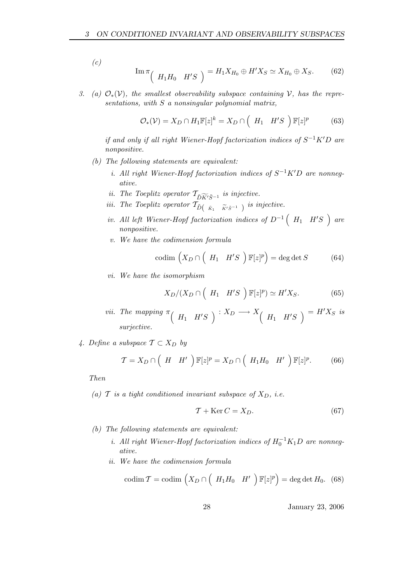$(c)$ 

$$
\operatorname{Im} \pi \left( H_1 H_0 \quad H'S \right) = H_1 X_{H_0} \oplus H' X_S \simeq X_{H_0} \oplus X_S. \tag{62}
$$

3. (a)  $\mathcal{O}_*(\mathcal{V})$ , the smallest observability subspace containing  $\mathcal{V}$ , has the representations, with  $S$  a nonsingular polynomial matrix,

$$
\mathcal{O}_{*}(\mathcal{V}) = X_D \cap H_1 \mathbb{F}[z]^k = X_D \cap \left(H_1 \quad H'S \right) \mathbb{F}[z]^p \tag{63}
$$

if and only if all right Wiener-Hopf factorization indices of  $S^{-1}K'D$  are nonpositive.

- (b) The following statements are equivalent:
	- i. All right Wiener-Hopf factorization indices of  $S^{-1}K'D$  are nonnegative.
	- ii. The Toeplitz operator  $\mathcal{T}_{\tilde{D}\widetilde{K}^{\prime}\tilde{S}^{-1}}$  is injective.
	- iii. The Toeplitz operator  $\mathcal{T}_{\tilde{D}(-\tilde{K}_1-\tilde{K}'\tilde{S}^{-1})}$  is injective.
	- iv. All left Wiener-Hopf factorization indices of  $D^{-1}$   $(H_1$   $H'S$   $)$  are nonpositive.
	- v. We have the codimension formula

$$
\text{codim}\,\left(X_D\cap\left(\begin{array}{cc}H_1 & H'S\end{array}\right)\mathbb{F}[z]^p\right) = \text{deg}\,\text{det}\,S\tag{64}
$$

vi. We have the isomorphism

$$
X_D/(X_D \cap \left(H_1 \quad H'S\right) \mathbb{F}[z]^p) \simeq H'X_S. \tag{65}
$$

- vii. The mapping  $\pi$  (  $H_1$   $H'S$  )  $: X_D \longrightarrow X$  (  $H_1$   $H'S$  )  $= H'X_S$  is surjective.
- 4. Define a subspace  $\mathcal{T} \subset X_D$  by

$$
\mathcal{T} = X_D \cap \left( H \mid H' \right) \mathbb{F}[z]^p = X_D \cap \left( H_1 H_0 \mid H' \right) \mathbb{F}[z]^p. \tag{66}
$$

Then

(a)  $\mathcal T$  is a tight conditioned invariant subspace of  $X_D$ , i.e.

$$
\mathcal{T} + \text{Ker}\,C = X_D. \tag{67}
$$

- (b) The following statements are equivalent:
	- i. All right Wiener-Hopf factorization indices of  $H_0^{-1}K_1D$  are nonnegative.
	- ii. We have the codimension formula

$$
\operatorname{codim} \mathcal{T} = \operatorname{codim} \left( X_D \cap \left( H_1 H_0 \ H' \ \right) \mathbb{F}[z]^p \right) = \deg \det H_0. \tag{68}
$$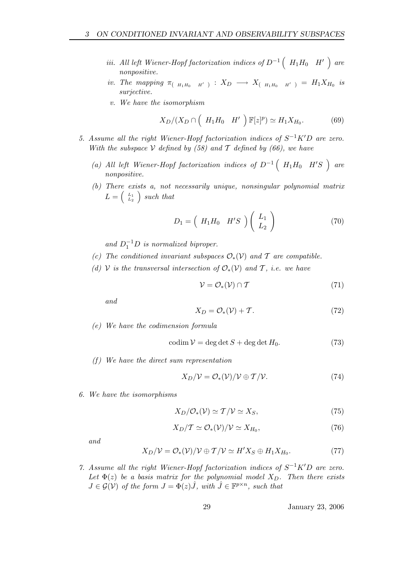- iii. All left Wiener-Hopf factorization indices of  $D^{-1}$   $\left(H_1H_0$   $H'\right)$  are nonpositive.
- iv. The mapping  $\pi_{\left(H_1H_0\quad H'\right)}: X_D \longrightarrow X_{\left(H_1H_0\quad H'\right)} = H_1X_{H_0}$  is surjective.
- v. We have the isomorphism

$$
X_D/(X_D \cap \left(H_1 H_0 \quad H'\right) \mathbb{F}[z]^p) \simeq H_1 X_{H_0}.\tag{69}
$$

- 5. Assume all the right Wiener-Hopf factorization indices of  $S^{-1}K'D$  are zero. With the subspace V defined by  $(58)$  and T defined by  $(66)$ , we have
	- (a) All left Wiener-Hopf factorization indices of  $D^{-1}$   $(H_1H_0$   $H'S$   $)$  are nonpositive.
	- (b) There exists a, not necessarily unique, nonsingular polynomial matrix  $L = \begin{pmatrix} L_1 \\ L_2 \end{pmatrix}$  such that

$$
D_1 = \left(\begin{array}{cc} H_1 H_0 & H'S \end{array}\right) \left(\begin{array}{c} L_1 \\ L_2 \end{array}\right) \tag{70}
$$

and  $D_1^{-1}D$  is normalized biproper.

- (c) The conditioned invariant subspaces  $\mathcal{O}_*(\mathcal{V})$  and  $\mathcal T$  are compatible.
- (d) V is the transversal intersection of  $\mathcal{O}_*(\mathcal{V})$  and T, i.e. we have

$$
\mathcal{V} = \mathcal{O}_*(\mathcal{V}) \cap \mathcal{T} \tag{71}
$$

and

$$
X_D = \mathcal{O}_*(\mathcal{V}) + \mathcal{T}.\tag{72}
$$

(e) We have the codimension formula

$$
codim V = deg det S + deg det H_0.
$$
 (73)

(f) We have the direct sum representation

$$
X_D/V = \mathcal{O}_*(\mathcal{V})/\mathcal{V} \oplus \mathcal{T}/\mathcal{V}.
$$
 (74)

6. We have the isomorphisms

$$
X_D/\mathcal{O}_*(\mathcal{V}) \simeq \mathcal{T}/\mathcal{V} \simeq X_S,\tag{75}
$$

$$
X_D/\mathcal{T} \simeq \mathcal{O}_*(\mathcal{V})/\mathcal{V} \simeq X_{H_0},\tag{76}
$$

and

$$
X_D/V = \mathcal{O}_*(\mathcal{V})/\mathcal{V} \oplus \mathcal{T}/\mathcal{V} \simeq H'X_S \oplus H_1X_{H_0}.\tag{77}
$$

7. Assume all the right Wiener-Hopf factorization indices of  $S^{-1}K'D$  are zero. Let  $\Phi(z)$  be a basis matrix for the polynomial model  $X_D$ . Then there exists  $J \in \mathcal{G}(\mathcal{V})$  of the form  $J = \Phi(z)\hat{J}$ , with  $\hat{J} \in \mathbb{F}^{p \times n}$ , such that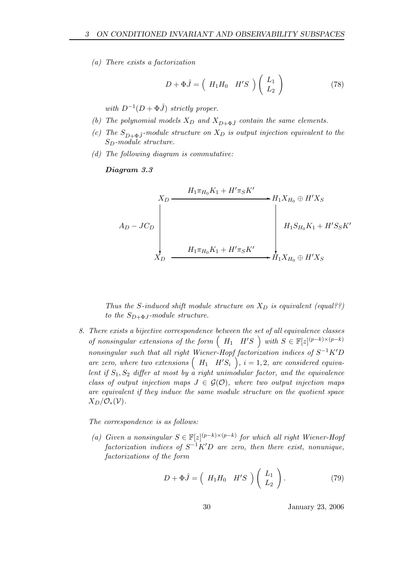(a) There exists a factorization

$$
D + \Phi \hat{J} = \left(H_1 H_0 \quad H'S \right) \left(\begin{array}{c} L_1 \\ L_2 \end{array}\right) \tag{78}
$$

with  $D^{-1}(D + \Phi \hat{J})$  strictly proper.

- (b) The polynomial models  $X_D$  and  $X_{D+\Phi,\hat{i}}$  contain the same elements.
- (c) The  $S_{D+\Phi,\hat{J}}$ -module structure on  $X_D$  is output injection equivalent to the  $S_D$ -module structure.
- (d) The following diagram is commutative:

# Diagram 3.3

$$
A_D - J C_D
$$
\n
$$
A_D - J C_D
$$
\n
$$
H_1 \pi_{H_0} K_1 + H' \pi_S K'
$$
\n
$$
H_1 S_{H_0} K_1 + H' S_S K'
$$
\n
$$
H_1 S_{H_0} K_1 + H' S_S K'
$$
\n
$$
H_1 K_{H_0} \oplus H' X_S
$$

Thus the S-induced shift module structure on  $X_D$  is equivalent (equal??) to the  $S_{D+\Phi,I}$ -module structure.

8. There exists a bijective correspondence between the set of all equivalence classes of nonsingular extensions of the form  $(H_1 \ H'S)$  with  $S \in \mathbb{F}[z]^{(p-k)\times (p-k)}$ nonsingular such that all right Wiener-Hopf factorization indices of  $S^{-1}K'D$ are zero, where two extensions  $(H_1 \quad H'S_i)$ ,  $i = 1, 2$ , are considered equivalent if  $S_1, S_2$  differ at most by a right unimodular factor, and the equivalence class of output injection maps  $J \in \mathcal{G}(\mathcal{O})$ , where two output injection maps are equivalent if they induce the same module structure on the quotient space  $X_D/\mathcal{O}_*(\mathcal{V}).$ 

The correspondence is as follows:

(a) Given a nonsingular  $S \in \mathbb{F}[z]^{(p-k)\times (p-k)}$  for which all right Wiener-Hopf factorization indices of  $S^{-1}K'D$  are zero, then there exist, nonunique, factorizations of the form

$$
D + \Phi \hat{J} = \left(H_1 H_0 \quad H'S \right) \left(\begin{array}{c} L_1 \\ L_2 \end{array}\right). \tag{79}
$$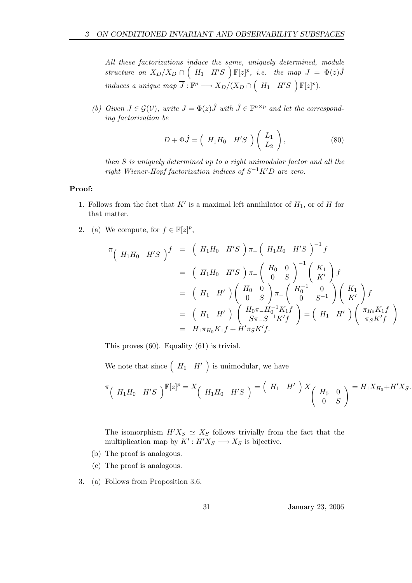All these factorizations induce the same, uniquely determined, module structure on  $X_D/X_D \cap \left(H_1 \quad H'S \right) \mathbb{F}[z]^p$ , i.e. the map  $J = \Phi(z) \hat{J}$ induces a unique map  $\overline{J}: \mathbb{F}^p \longrightarrow X_D/(X_D \cap \left(H_1 \quad H'S \right) \mathbb{F}[z]^p)$ .

(b) Given  $J \in \mathcal{G}(V)$ , write  $J = \Phi(z) \hat{J}$  with  $\hat{J} \in \mathbb{F}^{n \times p}$  and let the corresponding factorization be

$$
D + \Phi \hat{J} = \begin{pmatrix} H_1 H_0 & H'S \\ \end{pmatrix} \begin{pmatrix} L_1 \\ L_2 \end{pmatrix}, \tag{80}
$$

then S is uniquely determined up to a right unimodular factor and all the right Wiener-Hopf factorization indices of  $S^{-1}K'D$  are zero.

## Proof:

- 1. Follows from the fact that  $K'$  is a maximal left annihilator of  $H_1$ , or of H for that matter.
- 2. (a) We compute, for  $f \in \mathbb{F}[z]^p$ ,

$$
\begin{array}{rcl}\n\pi \left( \begin{array}{cc} H_1 H_0 & H'S \end{array} \right)^f & = & \left( \begin{array}{cc} H_1 H_0 & H'S \end{array} \right)^{\pi} \pi_{-} \left( \begin{array}{cc} H_1 H_0 & H'S \end{array} \right)^{-1} f \\
& = & \left( \begin{array}{cc} H_1 H_0 & H'S \end{array} \right) \pi_{-} \left( \begin{array}{cc} H_0 & 0 \ 0 & S \end{array} \right)^{-1} \left( \begin{array}{c} K_1 \\ K' \end{array} \right) f \\
& = & \left( \begin{array}{cc} H_1 & H' \end{array} \right) \left( \begin{array}{cc} H_0 & 0 \ 0 & S \end{array} \right) \pi_{-} \left( \begin{array}{cc} H_0^{-1} & 0 \ 0 & S^{-1} \end{array} \right) \left( \begin{array}{c} K_1 \\ K' \end{array} \right) f \\
& = & \left( \begin{array}{cc} H_1 & H' \end{array} \right) \left( \begin{array}{cc} H_0 \pi_{-} H_0^{-1} K_1 f \\ S \pi_{-} S^{-1} K' f \end{array} \right) = \left( \begin{array}{cc} H_1 & H' \end{array} \right) \left( \begin{array}{c} \pi_{H_0} K_1 f \\ \pi_{S} K' f \end{array} \right) \\
& = & H_1 \pi_{H_0} K_1 f + H' \pi_{S} K' f.\n\end{array}
$$

This proves (60). Equality (61) is trivial.

We note that since  $(H_1 \ H' )$  is unimodular, we have

$$
\pi\left(H_1H_0 \quad H'S\right)\mathbb{F}[z]^p = X\left(H_1H_0 \quad H'S\right) = \left(H_1 \quad H'\right)X\left(H_0 \quad 0 \atop 0 \quad S\right) = H_1X_{H_0} + H'X_S.
$$

The isomorphism  $H'X_S \simeq X_S$  follows trivially from the fact that the multiplication map by  $K' : H'X_S \longrightarrow X_S$  is bijective.

- (b) The proof is analogous.
- (c) The proof is analogous.
- 3. (a) Follows from Proposition 3.6.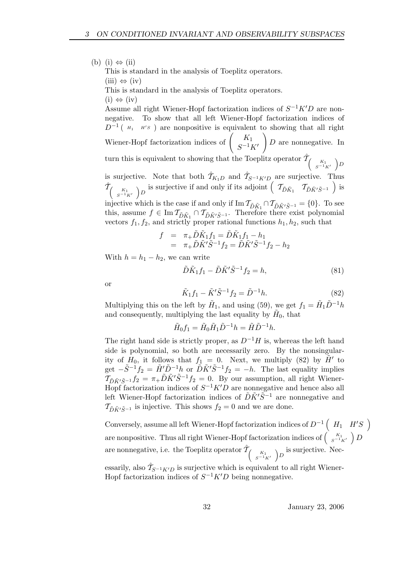(b) (i)  $\Leftrightarrow$  (ii) This is standard in the analysis of Toeplitz operators.  $(iii) \Leftrightarrow (iv)$ This is standard in the analysis of Toeplitz operators.  $(i) \Leftrightarrow (iv)$ 

Assume all right Wiener-Hopf factorization indices of  $S^{-1}K'D$  are nonnegative. To show that all left Wiener-Hopf factorization indices of  $D^{-1}$  ( $H_1$  H's) are nonpositive is equivalent to showing that all right

Wiener-Hopf factorization indices of  $\begin{pmatrix} K_1 \\ G^{-1} \end{pmatrix}$  $S^{-1}K'$ ! D are nonnegative. In

turn this is equivalent to showing that the Toeplitz operator  $\hat{\mathcal{T}}_{\left(\begin{array}{c}K_1\\S^{-1}K'\end{array}\right)D}$ is surjective. Note that both  $\hat{\mathcal{T}}_{K_1D}$  and  $\hat{\mathcal{T}}_{S^{-1}K'D}$  are surjective. Thus

 $\hat{\mathcal{T}}_{\left(\begin{array}{cc}K_1\\S^{-1}K'\end{array}\right)D}$  is surjective if and only if its adjoint  $\left(\begin{array}{cc}T_{\tilde{D}\tilde{K}^1} & T_{\tilde{D}\tilde{K}'\tilde{S}^{-1}}\end{array}\right)$  is

injective which is the case if and only if  $\text{Im } \mathcal{T}_{\tilde{D}\tilde{K}'} \cap \mathcal{T}_{\tilde{D}\tilde{K}'} \tilde{S}^{-1}} = \{0\}$ . To see this, assume  $f \in \text{Im } \mathcal{T}_{\tilde{D}\tilde{K}_1} \cap \mathcal{T}_{\tilde{D}\tilde{K}'\tilde{S}^{-1}}$ . Therefore there exist polynomial vectors  $f_1, f_2$ , and strictly proper rational functions  $h_1, h_2$ , such that

$$
f = \pi_+ \tilde{D} \tilde{K}_1 f_1 = \tilde{D} \tilde{K}_1 f_1 - h_1
$$
  
=  $\pi_+ \tilde{D} \tilde{K}' \tilde{S}^{-1} f_2 = \tilde{D} \tilde{K}' \tilde{S}^{-1} f_2 - h_2$ 

With  $h = h_1 - h_2$ , we can write

$$
\tilde{D}\tilde{K}_1f_1 - \tilde{D}\tilde{K}'\tilde{S}^{-1}f_2 = h,\tag{81}
$$

or

$$
\tilde{K}_1 f_1 - \tilde{K}' \tilde{S}^{-1} f_2 = \tilde{D}^{-1} h. \tag{82}
$$

Multiplying this on the left by  $H_1$ , and using (59), we get  $f_1 = \tilde{H}_1 \tilde{D}^{-1} h$ and consequently, multiplying the last equality by  $H_0$ , that

$$
\tilde{H}_0 f_1 = \tilde{H}_0 \tilde{H}_1 \tilde{D}^{-1} h = \tilde{H} \tilde{D}^{-1} h.
$$

The right hand side is strictly proper, as  $D^{-1}H$  is, whereas the left hand side is polynomial, so both are necessarily zero. By the nonsingularity of  $H_0$ , it follows that  $f_1 = 0$ . Next, we multiply (82) by  $\tilde{H}'$  to get  $-\tilde{S}^{-1}f_2 = \tilde{H}'\tilde{D}^{-1}h$  or  $\tilde{D}\tilde{K}'\tilde{S}^{-1}f_2 = -h$ . The last equality implies  $\overline{\mathcal{T}}_{\tilde{D}\tilde{K}'\tilde{S}-1}f_2 = \pi_+\tilde{D}\tilde{K}'\tilde{S}^{-1}f_2 = 0$ . By our assumption, all right Wiener-Hopf factorization indices of  $S^{-1}K'D$  are nonnegative and hence also all left Wiener-Hopf factorization indices of  $\tilde{D}\tilde{K}'\tilde{S}^{-1}$  are nonnegative and  $\mathcal{T}_{\tilde{D}\tilde{K}'\tilde{S}-1}$  is injective. This shows  $f_2 = 0$  and we are done.

Conversely, assume all left Wiener-Hopf factorization indices of  $D^{-1}$   $\left(H_1$   $H'S$ <sup>)</sup> are nonpositive. Thus all right Wiener-Hopf factorization indices of  $\begin{pmatrix} K_1 & D \end{pmatrix}$ are nonnegative, i.e. the Toeplitz operator  $\hat{\mathcal{T}}_{\left(\begin{array}{c} K_1 \\ s^{-1}K' \end{array}\right)D}$  is surjective. Necessarily, also  $\hat{\mathcal{T}}_{S^{-1}K'D}$  is surjective which is equivalent to all right Wiener-Hopf factorization indices of  $S^{-1}K'D$  being nonnegative.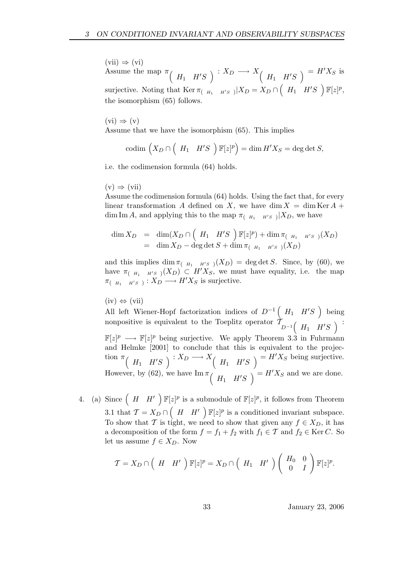$(vii) \Rightarrow (vi)$ Assume the map  $\pi$  ( $H_1$   $H'S$ )  $: X_D \longrightarrow X$  ( $H_1$   $H'S$ )  $= H'X_S$  is surjective. Noting that  $\text{Ker } \pi_{(-H_1-H'S_-)}|X_D = X_D \cap \left(H_1-H'S_-\right) \mathbb{F}[z]^p,$ the isomorphism (65) follows.

 $(vi) \Rightarrow (v)$ 

Assume that we have the isomorphism (65). This implies

$$
\mathrm{codim}\,\left(X_D\cap\left(H_1\quad H'S\right)\mathbb F[z]^p\right)=\dim H'X_S=\deg\det S,
$$

i.e. the codimension formula (64) holds.

 $(v) \Rightarrow (vii)$ 

Assume the codimension formula (64) holds. Using the fact that, for every linear transformation A defined on X, we have dim  $X = \dim \text{Ker } A +$ dim Im A, and applying this to the map  $\pi_{(-H_1 - H'S)} | X_D$ , we have

$$
\dim X_D = \dim(X_D \cap \left(H_1 \quad H'S \right) \mathbb{F}[z]^p) + \dim \pi_{\left(H_1 \quad H'S \right)} (X_D) \n= \dim X_D - \deg \det S + \dim \pi_{\left(H_1 \quad H'S \right)} (X_D)
$$

and this implies  $\dim \pi_{(-H_1 - H'S)}(X_D) = \deg \det S$ . Since, by (60), we have  $\pi_{(-H_1-H's)}(X_D) \subset H'X_S$ , we must have equality, i.e. the map  $\pi_{(-H_1-H'S^-)}: X_D \longrightarrow H'X_S$  is surjective.

 $(iv) \Leftrightarrow (vii)$ 

All left Wiener-Hopf factorization indices of  $D^{-1}$   $(H_1$   $H'S$  ) being nonpositive is equivalent to the Toeplitz operator  $\mathcal{T}_{D^{-1}}(-H_1 - H'S_-)$ :  $\mathbb{F}[z]^p \longrightarrow \mathbb{F}[z]^p$  being surjective. We apply Theorem 3.3 in Fuhrmann and Helmke [2001] to conclude that this is equivalent to the projection  $\pi$  (  $H_1$   $H'S$  )  $: X_D \longrightarrow X$  (  $H_1$   $H'S$  )  $= H'X_S$  being surjective. However, by (62), we have  $\text{Im}\,\pi\left(H_1 \quad H'S\right) = H'X_S$  and we are done.

4. (a) Since  $(H \ H')\ \mathbb{F}[z]^p$  is a submodule of  $\mathbb{F}[z]^p$ , it follows from Theorem 3.1 that  $\mathcal{T} = X_D \cap \left(H \mid H'\right) \mathbb{F}[z]^p$  is a conditioned invariant subspace. To show that T is tight, we need to show that given any  $f \in X_D$ , it has a decomposition of the form  $f = f_1 + f_2$  with  $f_1 \in \mathcal{T}$  and  $f_2 \in \text{Ker } C$ . So let us assume  $f \in X_D$ . Now

$$
\mathcal{T} = X_D \cap \left( H \mid H' \right) \mathbb{F}[z]^p = X_D \cap \left( H_1 \mid H' \right) \left( \begin{array}{cc} H_0 & 0 \\ 0 & I \end{array} \right) \mathbb{F}[z]^p.
$$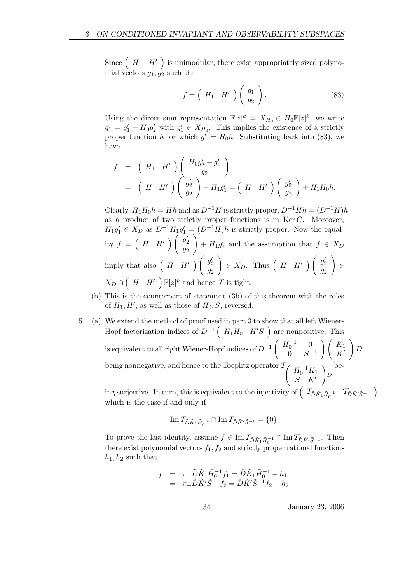Since  $(H_1 \ H' )$  is unimodular, there exist appropriately sized polynomial vectors  $q_1, q_2$  such that

$$
f = \left(H_1 \quad H'\right) \left(\begin{array}{c} g_1 \\ g_2 \end{array}\right). \tag{83}
$$

Using the direct sum representation  $\mathbb{F}[z]^k = X_{H_0} \oplus H_0 \mathbb{F}[z]^k$ , we write  $g_1 = g'_1 + H_0 g'_2$  with  $g'_1 \in X_{H_0}$ . This implies the existence of a strictly proper function h for which  $g'_1 = H_0 h$ . Substituting back into (83), we have

$$
f = \left( H_1 H' \right) \left( \begin{array}{c} H_0 g_2' + g_1' \\ g_2 \end{array} \right)
$$
  
= 
$$
\left( H H' \right) \left( \begin{array}{c} g_2' \\ g_2 \end{array} \right) + H_1 g_1' = \left( H H' \right) \left( \begin{array}{c} g_2' \\ g_2 \end{array} \right) + H_1 H_0 h.
$$

Clearly,  $H_1H_0h = Hh$  and as  $D^{-1}H$  is strictly proper,  $D^{-1}Hh = (D^{-1}H)h$ as a product of two strictly proper functions is in  $\text{Ker } C$ . Moreover,  $H_1g'_1 \in X_D$  as  $D^{-1}H_1g'_1 = (D^{-1}H)h$  is strictly proper. Now the equality  $f = \begin{pmatrix} H & H' \end{pmatrix} \begin{pmatrix} g_2' & g_1 \end{pmatrix}$  $\overline{g_2}$ ! +  $H_1g'_1$  and the assumption that  $f \in X_D$ imply that also  $\begin{pmatrix} H & H' \end{pmatrix} \begin{pmatrix} g_2' & g_1' & g_2' \end{pmatrix}$  $\overline{g_2}$  $\Bigg) \in X_D$ . Thus  $\Big(H \ H'\ \Big) \left( \begin{array}{c} g'_2 \ g'_1 \end{array} \right)$  $\overline{g}_2$ ! ∈  $X_D \cap \begin{pmatrix} H & H' \end{pmatrix} \mathbb{F}[z]^p$  and hence  $\mathcal T$  is tight.

- (b) This is the counterpart of statement (3b) of this theorem with the roles of  $H_1, H'$ , as well as those of  $H_0, S$ , reversed.
- 5. (a) We extend the method of proof used in part 3 to show that all left Wiener-Hopf factorization indices of  $D^{-1}$   $(H_1H_0$   $H'S$   $)$  are nonpositive. This is equivalent to all right Wiener-Hopf indices of  $D^{-1}$  $\int H_0^{-1} = 0$  $0 \t S^{-1}$  $\bigwedge K_1$  $K'$ !  $\overline{D}$ being nonnegative, and hence to the Toeplitz operator  $\hat{\mathcal{T}}_{\int H_0^{-1}K_1}$  $S^{-1}K'$ ! D be-

ing surjective. In turn, this is equivalent to the injectivity of  $\left( \begin{array}{cc} \mathcal{T}_{\tilde{D}\tilde{K}^1\tilde{H}_0^{-1}} & \mathcal{T}_{\tilde{D}\tilde{K}'\tilde{S}^{-1}} \end{array} \right)$ which is the case if and only if

$$
\operatorname{Im} \mathcal{I}_{\tilde{D}\tilde{K}_1\tilde{H}_0^{-1}} \cap \operatorname{Im} \mathcal{I}_{\tilde{D}\tilde{K}'\tilde{S}^{-1}} = \{0\}.
$$

To prove the last identity, assume  $f \in \text{Im } \mathcal{T}_{\tilde{D}\tilde{K}_1\tilde{H}_0^{-1}} \cap \text{Im } \mathcal{T}_{\tilde{D}\tilde{K}'\tilde{S}^{-1}}$ . Then there exist polynomial vectors  $f_1, f_2$  and strictly proper rational functions  $h_1, h_2$  such that

$$
f = \pi_+ \tilde{D} \tilde{K}_1 \tilde{H}_0^{-1} f_1 = \tilde{D} \tilde{K}_1 \tilde{H}_0^{-1} - h_1
$$
  
=  $\pi_+ \tilde{D} \tilde{K}' \tilde{S}^{-1} f_2 = \tilde{D} \tilde{K}' \tilde{S}^{-1} f_2 - h_2.$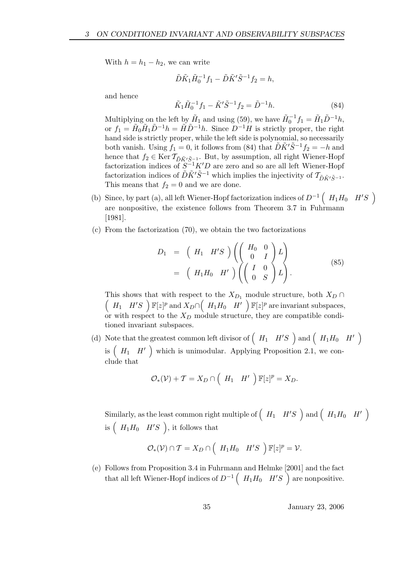With  $h = h_1 - h_2$ , we can write

$$
\tilde{D}\tilde{K}_1\tilde{H}_0^{-1}f_1-\tilde{D}\tilde{K}'\tilde{S}^{-1}f_2=h,
$$

and hence

$$
\tilde{K}_1 \tilde{H}_0^{-1} f_1 - \tilde{K}' \tilde{S}^{-1} f_2 = \tilde{D}^{-1} h. \tag{84}
$$

Multiplying on the left by  $\tilde{H}_1$  and using (59), we have  $\tilde{H}_0^{-1}f_1 = \tilde{H}_1 \tilde{D}^{-1}h$ , or  $f_1 = \tilde{H}_0 \tilde{H}_1 \tilde{D}^{-1} h = \tilde{H} \tilde{D}^{-1} h$ . Since  $D^{-1} H$  is strictly proper, the right hand side is strictly proper, while the left side is polynomial, so necessarily both vanish. Using  $f_1 = 0$ , it follows from (84) that  $\tilde{D}\tilde{K}'\tilde{S}^{-1}f_2 = -h$  and hence that  $f_2 \in \text{Ker } \mathcal{T}_{\tilde{D}\tilde{K}'\tilde{S}^{-1}_1}$ . But, by assumption, all right Wiener-Hopf factorization indices of  $S^{-1}K'D$  are zero and so are all left Wiener-Hopf factorization indices of  $\tilde{D}\tilde{K}'\tilde{S}^{-1}$  which implies the injectivity of  $\mathcal{T}_{\tilde{D}\tilde{K}'\tilde{S}^{-1}}$ . This means that  $f_2 = 0$  and we are done.

- (b) Since, by part (a), all left Wiener-Hopf factorization indices of  $D^{-1}$   $(H_1H_0$   $H'S$ are nonpositive, the existence follows from Theorem 3.7 in Fuhrmann [1981].
- (c) From the factorization (70), we obtain the two factorizations

$$
D_1 = \left( H_1 H'S \right) \left( \left( \begin{array}{cc} H_0 & 0 \\ 0 & I \end{array} \right) L \right)
$$
  
=  $\left( H_1 H_0 H' \right) \left( \left( \begin{array}{cc} I & 0 \\ 0 & S \end{array} \right) L \right).$  (85)

This shows that with respect to the  $X_{D_1}$  module structure, both  $X_D \cap$  $(H_1 \ H'S \ )\mathbb{F}[z]^p$  and  $X_D \cap (H_1H_0 \ H' \ )\mathbb{F}[z]^p$  are invariant subspaces, or with respect to the  $X_D$  module structure, they are compatible conditioned invariant subspaces.

(d) Note that the greatest common left divisor of  $(H_1 \ H'S$  and  $(H_1H_0 \ H')$ is  $(H_1 \ H')$  which is unimodular. Applying Proposition 2.1, we conclude that

$$
\mathcal{O}_{*}(\mathcal{V}) + \mathcal{T} = X_D \cap \left( H_1 \quad H' \right) \mathbb{F}[z]^p = X_D.
$$

Similarly, as the least common right multiple of  $\left(H_1$   $H'S$   $\right)$  and  $\left(H_1H_0$   $H'\right)$ is  $(H_1H_0 \quad H'S$ ), it follows that

$$
\mathcal{O}_{*}(\mathcal{V}) \cap \mathcal{T} = X_D \cap \left( H_1 H_0 \quad H'S \right) \mathbb{F}[z]^p = \mathcal{V}.
$$

(e) Follows from Proposition 3.4 in Fuhrmann and Helmke [2001] and the fact that all left Wiener-Hopf indices of  $D^{-1}$   $(H_1H_0$   $H'S$ <sup> $)$ </sup> are nonpositive.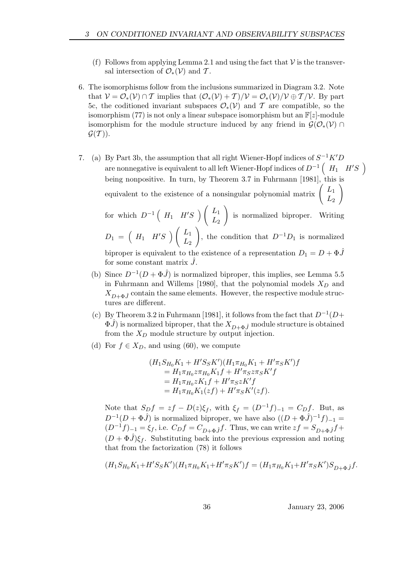- (f) Follows from applying Lemma 2.1 and using the fact that  $\mathcal V$  is the transversal intersection of  $\mathcal{O}_*(\mathcal{V})$  and  $\mathcal{T}$ .
- 6. The isomorphisms follow from the inclusions summarized in Diagram 3.2. Note that  $V = \mathcal{O}_*(\mathcal{V}) \cap \mathcal{T}$  implies that  $(\mathcal{O}_*(\mathcal{V}) + \mathcal{T})/\mathcal{V} = \mathcal{O}_*(\mathcal{V})/\mathcal{V} \oplus \mathcal{T}/\mathcal{V}$ . By part 5c, the coditioned invariant subspaces  $\mathcal{O}_*(\mathcal{V})$  and T are compatible, so the isomorphism (77) is not only a linear subspace isomorphism but an  $\mathbb{F}[z]$ -module isomorphism for the module structure induced by any friend in  $\mathcal{G}(\mathcal{O}_*(\mathcal{V}) \cap$  $\mathcal{G}(\mathcal{T})$ ).
- 7. (a) By Part 3b, the assumption that all right Wiener-Hopf indices of  $S^{-1}K'D$ are nonnegative is equivalent to all left Wiener-Hopf indices of  $D^{-1}$   $\left(H_1$   $H'S$   $\right)$ being nonpositive. In turn, by Theorem 3.7 in Fuhrmann [1981], this is equivalent to the existence of a nonsingular polynomial matrix  $\left( \begin{array}{c} L_1 \\ L_2 \end{array} \right)$  $L_{2}$ !  $\setminus$

for which  $D^{-1} \begin{pmatrix} H_1 & H'S \end{pmatrix} \begin{pmatrix} L_1 & L_2 \end{pmatrix}$  $L_{2}$ is normalized biproper. Writing  $D_1 = \begin{pmatrix} H_1 & H'S \end{pmatrix} \begin{pmatrix} L_1 & L_2 \end{pmatrix}$  $L_{2}$  $\setminus$ , the condition that  $D^{-1}D_1$  is normalized biproper is equivalent to the existence of a representation  $D_1 = D + \Phi \hat{J}$ 

for some constant matrix  $\hat{J}$ .

- (b) Since  $D^{-1}(D+\Phi \hat{J})$  is normalized biproper, this implies, see Lemma 5.5 in Fuhrmann and Willems [1980], that the polynomial models  $X_D$  and  $X_{D+\Phi,\hat{I}}$  contain the same elements. However, the respective module structures are different.
- (c) By Theorem 3.2 in Fuhrmann [1981], it follows from the fact that  $D^{-1}(D+$  $\Phi(\hat{J})$  is normalized biproper, that the  $X_{D+\Phi(\hat{J})}$  module structure is obtained from the  $X_D$  module structure by output injection.
- (d) For  $f \in X_D$ , and using (60), we compute

$$
(H_1S_{H_0}K_1 + H'S_SK')(H_1\pi_{H_0}K_1 + H'\pi_SK')f
$$
  
=  $H_1\pi_{H_0}z\pi_{H_0}K_1f + H'\pi_Sz\pi_SK'f$   
=  $H_1\pi_{H_0}zK_1f + H'\pi_SzK'f$   
=  $H_1\pi_{H_0}K_1(zf) + H'\pi_SK'(zf)$ .

Note that  $S_D f = zf - D(z)\xi_f$ , with  $\xi_f = (D^{-1}f)_{-1} = C_D f$ . But, as  $D^{-1}(D+\Phi \hat{J})$  is normalized biproper, we have also  $((D+\Phi \hat{J})^{-1}f)_{-1}$  $(D^{-1}f)_{-1} = \xi_f$ , i.e.  $C_Df = C_{D+\Phi}$  $\hat{f}f$ . Thus, we can write  $zf = S_{D+\Phi} f f +$  $(D + \Phi \hat{J})\xi_f$ . Substituting back into the previous expression and noting that from the factorization (78) it follows

$$
(H_1 S_{H_0} K_1 + H' S_S K')(H_1 \pi_{H_0} K_1 + H' \pi_S K') f = (H_1 \pi_{H_0} K_1 + H' \pi_S K') S_{D+\Phi} j f.
$$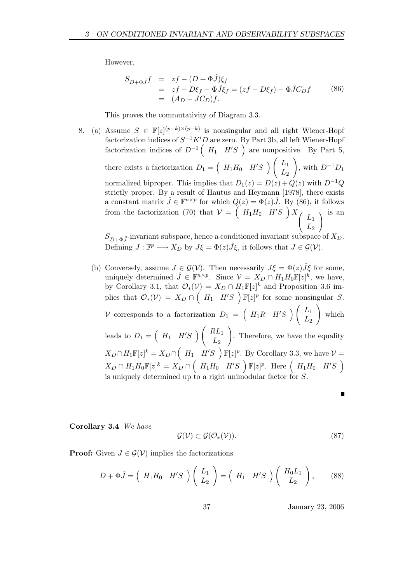However,

$$
S_{D+\Phi}\hat{j}f = zf - (D+\Phi\hat{J})\xi_f
$$
  
=  $zf - D\xi_f - \Phi\hat{J}\xi_f = (zf - D\xi_f) - \Phi\hat{J}C_Df$  (86)  
=  $(A_D - JC_D)f$ .

This proves the commutativity of Diagram 3.3.

8. (a) Assume  $S \in \mathbb{F}[z]^{(p-k)\times (p-k)}$  is nonsingular and all right Wiener-Hopf factorization indices of  $S^{-1}K'D$  are zero. By Part 3b, all left Wiener-Hopf factorization indices of  $D^{-1}$   $(H_1$   $H'S$  ) are nonpositive. By Part 5, there exists a factorization  $D_1 = \begin{pmatrix} H_1H_0 & H'S \end{pmatrix} \begin{pmatrix} L_1 \\ L_2 \end{pmatrix}$  $L_{2}$ ! , with  $D^{-1}D_1$ normalized biproper. This implies that  $D_1(z) = D(z) + Q(z)$  with  $D^{-1}Q$ strictly proper. By a result of Hautus and Heymann [1978], there exists a constant matrix  $\hat{J} \in \mathbb{F}^{n \times p}$  for which  $Q(z) = \Phi(z)\hat{J}$ . By (86), it follows from the factorization (70) that  $V = \begin{pmatrix} H_1H_0 & H'S \end{pmatrix} X \begin{pmatrix} L_1 & L_2 \end{pmatrix}$  $L_{2}$  $\lambda$  is an

 $S_{D+\Phi,\hat{J}}$ -invariant subspace, hence a conditioned invariant subspace of  $X_D$ . Defining  $J: \mathbb{F}^p \longrightarrow X_D$  by  $J\xi = \Phi(z)\hat{J}\xi$ , it follows that  $J \in \mathcal{G}(\mathcal{V})$ .

(b) Conversely, assume  $J \in \mathcal{G}(V)$ . Then necessarily  $J\xi = \Phi(z)\tilde{J}\xi$  for some, uniquely determined  $\hat{J} \in \mathbb{F}^{n \times p}$ . Since  $\mathcal{V} = X_D \cap H_1 H_0 \mathbb{F}[z]^k$ , we have, by Corollary 3.1, that  $\mathcal{O}_*(\mathcal{V}) = X_D \cap H_1 \mathbb{F}[z]^k$  and Proposition 3.6 implies that  $\mathcal{O}_*(\mathcal{V}) = X_D \cap \left( H_1 \ H'S \ \right) \mathbb{F}[z]^p$  for some nonsingular S. V corresponds to a factorization  $D_1 = \begin{pmatrix} H_1R & H'S \end{pmatrix} \begin{pmatrix} L_1 \\ L_2 \end{pmatrix}$  $L_{2}$ ! which leads to  $D_1 = \begin{pmatrix} H_1 & H'S \end{pmatrix} \begin{pmatrix} RL_1 \\ L_2 \end{pmatrix}$  $L_{2}$ ! . Therefore, we have the equality  $X_D \cap H_1 \mathbb{F}[z]^k = X_D \cap \left(H_1 \quad H'S \right) \mathbb{F}[z]^p$ . By Corollary 3.3, we have  $\mathcal{V} =$  $X_D \cap H_1H_0\mathbb{F}[z]^k = X_D \cap \left(H_1H_0 \mid H'S \mid \mathbb{F}[z]^p$ . Here  $\left(H_1H_0 \mid H'S \mid \right)$ is uniquely determined up to a right unimodular factor for S.

Г

Corollary 3.4 We have

$$
\mathcal{G}(\mathcal{V}) \subset \mathcal{G}(\mathcal{O}_*(\mathcal{V})).\tag{87}
$$

**Proof:** Given  $J \in \mathcal{G}(V)$  implies the factorizations

$$
D + \Phi \hat{J} = \begin{pmatrix} H_1 H_0 & H'S \end{pmatrix} \begin{pmatrix} L_1 \\ L_2 \end{pmatrix} = \begin{pmatrix} H_1 & H'S \end{pmatrix} \begin{pmatrix} H_0 L_1 \\ L_2 \end{pmatrix}, \quad (88)
$$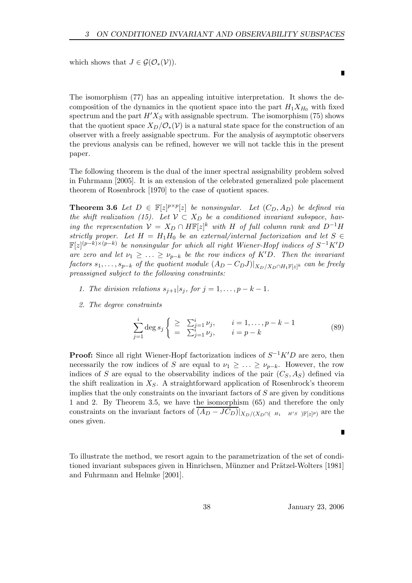which shows that  $J \in \mathcal{G}(\mathcal{O}_*(\mathcal{V}))$ .

The isomorphism (77) has an appealing intuitive interpretation. It shows the decomposition of the dynamics in the quotient space into the part  $H_1X_{H_0}$  with fixed spectrum and the part  $H'X_S$  with assignable spectrum. The isomorphism (75) shows that the quotient space  $X_D/\mathcal{O}_*(\mathcal{V})$  is a natural state space for the construction of an observer with a freely assignable spectrum. For the analysis of asymptotic observers the previous analysis can be refined, however we will not tackle this in the present paper.

The following theorem is the dual of the inner spectral assignability problem solved in Fuhrmann [2005]. It is an extension of the celebrated generalized pole placement theorem of Rosenbrock [1970] to the case of quotient spaces.

**Theorem 3.6** Let  $D \in \mathbb{F}[z]^{p \times p}[z]$  be nonsingular. Let  $(C_D, A_D)$  be defined via the shift realization (15). Let  $V \subset X_D$  be a conditioned invariant subspace, having the representation  $V = X_D \cap H\mathbb{F}[z]^k$  with H of full column rank and  $D^{-1}H$ strictly proper. Let  $H = H_1 H_0$  be an external/internal factorization and let  $S \in$  $\mathbb{F}[z]^{(p-k)\times (p-k)}$  be nonsingular for which all right Wiener-Hopf indices of  $S^{-1}K'D$ are zero and let  $\nu_1 \geq \ldots \geq \nu_{p-k}$  be the row indices of K'D. Then the invariant  $factors~s_1, \ldots, s_{p-k}$  of the quotient module  $(A_D - C_D J)|_{X_D/X_D \cap H_1 \mathbb{F}[z]^k}$  can be freely preassigned subject to the following constraints:

- 1. The division relations  $s_{i+1}|s_i$ , for  $j=1,\ldots,p-k-1$ .
- 2. The degree constraints

$$
\sum_{j=1}^{i} \deg s_j \begin{cases} \geq \sum_{j=1}^{i} \nu_j, & i = 1, ..., p - k - 1 \\ = \sum_{j=1}^{i} \nu_j, & i = p - k \end{cases}
$$
 (89)

**Proof:** Since all right Wiener-Hopf factorization indices of  $S^{-1}K'D$  are zero, then necessarily the row indices of S are equal to  $\nu_1 \geq \ldots \geq \nu_{p-k}$ . However, the row indices of S are equal to the observability indices of the pair  $(C_S, A_S)$  defined via the shift realization in  $X_S$ . A straightforward application of Rosenbrock's theorem implies that the only constraints on the invariant factors of  $S$  are given by conditions 1 and 2. By Theorem 3.5, we have the isomorphism (65) and therefore the only constraints on the invariant factors of  $(A_D - JC_D)|_{X_D/(X_D \cap (-H_1 - H'S^-) \mathbb{F}[z]^p)}$  are the ones given.

To illustrate the method, we resort again to the parametrization of the set of conditioned invariant subspaces given in Hinrichsen, Münzner and Prätzel-Wolters [1981] and Fuhrmann and Helmke [2001].

38 January 23, 2006

Г

Г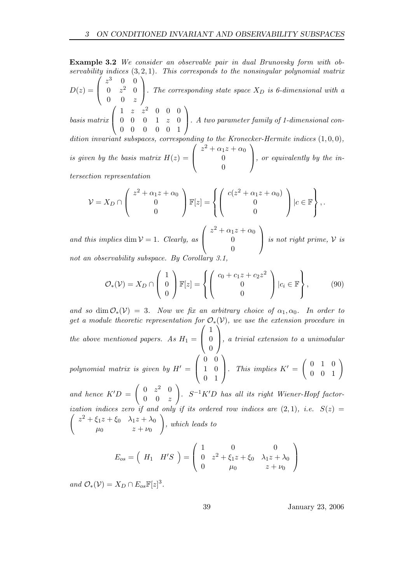Example 3.2 We consider an observable pair in dual Brunovsky form with observability indices  $(3, 2, 1)$ . This corresponds to the nonsingular polynomial matrix  $D(z) =$  $\sqrt{ }$  $\overline{ }$  $z^3$  0 0  $0 \t z^2 \t 0$  $0 \t 0 \t z$  $\setminus$ . The corresponding state space  $X_D$  is 6-dimensional with a basis matrix  $\sqrt{ }$  $\overline{ }$  $1 \t z \t z^2 \t 0 \t 0 \t 0$  $0 \t0 \t0 \t1 \t z \t0$ 0 0 0 0 0 1  $\setminus$ . A two parameter family of 1-dimensional condition invariant subspaces, corresponding to the Kronecker-Hermite indices  $(1,0,0)$ ,  $\sqrt{ }$  $z^2 + \alpha_1 z + \alpha_0$  $\setminus$ 

is given by the basis matrix  $H(z) =$  $\left\lfloor \right\rfloor$ 0 0 , or equivalently by the intersection representation

$$
\mathcal{V} = X_D \cap \left( \begin{array}{c} z^2 + \alpha_1 z + \alpha_0 \\ 0 \\ 0 \end{array} \right) \mathbb{F}[z] = \left\{ \left( \begin{array}{c} c(z^2 + \alpha_1 z + \alpha_0) \\ 0 \\ 0 \end{array} \right) | c \in \mathbb{F} \right\},.
$$

and this implies dim  $V = 1$ . Clearly, as  $\sqrt{ }$  $\left\lfloor \right\rfloor$  $z^2 + \alpha_1 z + \alpha_0$  $\theta$ 0  $\setminus$  $\int$  is not right prime,  $\mathcal V$  is not an observability subspace. By Corollary 3.

$$
\mathcal{O}_{*}(\mathcal{V}) = X_D \cap \left( \begin{array}{c} 1 \\ 0 \\ 0 \end{array} \right) \mathbb{F}[z] = \left\{ \left( \begin{array}{c} c_0 + c_1 z + c_2 z^2 \\ 0 \\ 0 \end{array} \right) | c_i \in \mathbb{F} \right\},\tag{90}
$$

and so dim  $\mathcal{O}_*(\mathcal{V}) = 3$ . Now we fix an arbitrary choice of  $\alpha_1, \alpha_0$ . In order to get a module theoretic representation for  $\mathcal{O}_*(\mathcal{V})$ , we use the extension procedure in the above mentioned papers. As  $H_1 =$  $\sqrt{ }$  $\overline{ }$ 1 0 0 Ý. , a trivial extension to a unimodular

polynomial matrix is given by  $H' =$  $\sqrt{ }$  $\overline{ }$ 0 0 1 0 0 1  $\setminus$  $\bigg\}$ . This implies  $K' =$  $\left(\begin{array}{ccc} 0 & 1 & 0 \\ 0 & 0 & 1 \end{array}\right)$ !

and hence  $K'D =$  $\begin{pmatrix} 0 & z^2 & 0 \end{pmatrix}$  $0 \quad 0 \quad z$  $S^{-1}K'D$  has all its right Wiener-Hopf factorization indices zero if and only if its ordered row indices ar  $\sqrt{ }$  $e (2,1), i.e. S(z) =$  $z^{2} + \xi_{1}z + \xi_{0}$   $\lambda_{1}z + \lambda_{0}$  $\mu_0$   $z + \nu_0$ ! , which leads to

$$
E_{os} = \begin{pmatrix} H_1 & H'S \\ 0 & Z^2 + \xi_1 Z + \xi_0 & \lambda_1 Z + \lambda_0 \\ 0 & \mu_0 & Z + \nu_0 \end{pmatrix}
$$

and  $\mathcal{O}_*(\mathcal{V}) = X_D \cap E_{os} \mathbb{F}[z]^3$ .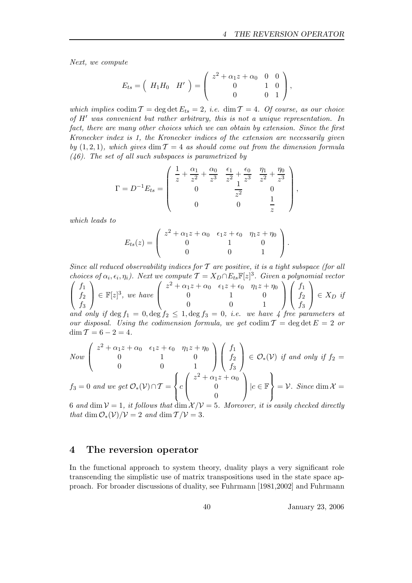Next, we compute

$$
E_{ts} = \begin{pmatrix} H_1 H_0 & H' \end{pmatrix} = \begin{pmatrix} z^2 + \alpha_1 z + \alpha_0 & 0 & 0 \\ 0 & 1 & 0 \\ 0 & 0 & 1 \end{pmatrix},
$$

which implies  $\text{codim } \mathcal{T} = \text{deg } \text{det } E_{ts} = 2$ , i.e.  $\dim \mathcal{T} = 4$ . Of course, as our choice of H′ was convenient but rather arbitrary, this is not a unique representation. In fact, there are many other choices which we can obtain by extension. Since the first Kronecker index is 1, the Kronecker indices of the extension are necessarily given by  $(1, 2, 1)$ , which gives dim  $\mathcal{T} = 4$  as should come out from the dimension formula  $(46)$ . The set of all such subspaces is parametrized by

$$
\Gamma = D^{-1} E_{ts} = \begin{pmatrix} \frac{1}{z} + \frac{\alpha_1}{z^2} + \frac{\alpha_0}{z^3} & \frac{\epsilon_1}{z^2} + \frac{\epsilon_0}{z^3} & \frac{\eta_1}{z^2} + \frac{\eta_0}{z^3} \\ 0 & \frac{1}{z^2} & 0 \\ 0 & 0 & \frac{1}{z} \end{pmatrix},
$$

which leads to

$$
E_{ts}(z) = \begin{pmatrix} z^2 + \alpha_1 z + \alpha_0 & \epsilon_1 z + \epsilon_0 & \eta_1 z + \eta_0 \\ 0 & 1 & 0 \\ 0 & 0 & 1 \end{pmatrix}.
$$

Since all reduced observability indices for  $T$  are positive, it is a tight subspace (for all choices of  $\alpha_i, \epsilon_i, \eta_i$ ). Next we compute  $\mathcal{T} = X_D \cap E_{ts} \mathbb{F}[z]^3$ . Given a polynomial vector  $\int f_1 \rangle$  $\left( z^2 + \alpha_1 z + \alpha_0 \quad \epsilon_1 z + \epsilon_0 \quad \eta_1 z + \eta_0 \right)$   $\left( f_1 \right)$ 

$$
\begin{cases}\nf_2 \\
f_3\n\end{cases}\n\in \mathbb{F}[z]^3, we have\n\begin{cases}\n0 & 1 & 0 \\
0 & 0 & 1\n\end{cases}\n\int \begin{cases}\nf_2 \\
f_3\n\end{cases} \in X_D \text{ if}
$$
\nand only if  $\deg f_1 = 0, \deg f_2 \le 1, \deg f_3 = 0$ , *i.e.* we have 4 free parameters at  
\nour disposal. Using the codimension formula, we get  $\text{codim } T = \deg \det E = 2$  or

 $\dim \mathcal{T} = 6 - 2 = 4.$ 

Now 
$$
\begin{pmatrix} z^2 + \alpha_1 z + \alpha_0 & \epsilon_1 z + \epsilon_0 & \eta_1 z + \eta_0 \\ 0 & 1 & 0 \\ 0 & 0 & 1 \end{pmatrix} \begin{pmatrix} f_1 \\ f_2 \\ f_3 \end{pmatrix} \in \mathcal{O}_*(\mathcal{V}) \text{ if and only if } f_2 = 0
$$

$$
f_3 = 0 \text{ and we get } \mathcal{O}_*(\mathcal{V}) \cap \mathcal{T} = \left\{ c \begin{pmatrix} z + \alpha_1 z + \alpha_0 \\ 0 \\ 0 \end{pmatrix} \mid c \in \mathbb{F} \right\} = \mathcal{V}. \text{ Since } \dim \mathcal{X} = c \quad \text{and} \quad \mathcal{V} = \mathcal{V} \text{ and } \mathcal{V} = \mathcal{V} \text{ and } \mathcal{V} = \mathcal{V} \text{ and } \mathcal{V} = \mathcal{V} \text{ and } \mathcal{V} = \mathcal{V} \text{ and } \mathcal{V} = \mathcal{V} \text{ and } \mathcal{V} = \mathcal{V} \text{ and } \mathcal{V} = \mathcal{V} \text{ and } \mathcal{V} = \mathcal{V} \text{ and } \mathcal{V} = \mathcal{V} \text{ and } \mathcal{V} = \mathcal{V} \text{ and } \mathcal{V} = \mathcal{V} \text{ and } \mathcal{V} = \mathcal{V} \text{ and } \mathcal{V} = \mathcal{V} \text{ and } \mathcal{V} = \mathcal{V} \text{ and } \mathcal{V} = \mathcal{V} \text{ and } \mathcal{V} = \mathcal{V} \text{ and } \mathcal{V} = \mathcal{V} \text{ and } \mathcal{V} = \mathcal{V} \text{ and } \mathcal{V} = \mathcal{V} \text{ and } \mathcal{V} = \mathcal{V} \text{ and } \mathcal{V} = \mathcal{V} \text{ and } \mathcal{V} = \mathcal{V} \text{ and } \mathcal{V} = \mathcal{V} \text{ and } \mathcal{V} = \mathcal{V} \text{ and } \mathcal{V} = \mathcal{V} \text{ and } \mathcal{V} = \mathcal{V} \text{ and } \mathcal{V} = \mathcal{V} \text{ and } \mathcal{V} = \mathcal{V} \text{ and } \mathcal{V} = \mathcal{V} \text{ and } \mathcal{V} = \mathcal{V} \text{ and } \mathcal{V} = \mathcal{V} \text{ and } \mathcal{V} = \mathcal{V} \text{ and } \mathcal{V} = \mathcal{V} \text{ and } \mathcal{V} = \mathcal{V} \text{ and } \mathcal{V} = \mathcal{V} \
$$

6 and dim  $V = 1$ , it follows that dim  $X/V = 5$ . Moreover, it is easily checked directly that dim  $\mathcal{O}_*(\mathcal{V})/\mathcal{V} = 2$  and dim  $\mathcal{T}/\mathcal{V} = 3$ .

# 4 The reversion operator

In the functional approach to system theory, duality plays a very significant role transcending the simplistic use of matrix transpositions used in the state space approach. For broader discussions of duality, see Fuhrmann [1981,2002] and Fuhrmann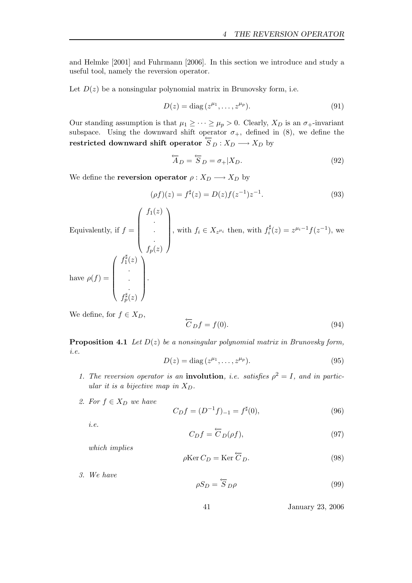and Helmke [2001] and Fuhrmann [2006]. In this section we introduce and study a useful tool, namely the reversion operator.

Let  $D(z)$  be a nonsingular polynomial matrix in Brunovsky form, i.e.

$$
D(z) = \text{diag}\left(z^{\mu_1}, \dots, z^{\mu_p}\right). \tag{91}
$$

Our standing assumption is that  $\mu_1 \geq \cdots \geq \mu_p > 0$ . Clearly,  $X_D$  is an  $\sigma_+$ -invariant subspace. Using the downward shift operator  $\sigma_{+}$ , defined in (8), we define the restricted downward shift operator  $\overline{S}_D : X_D \longrightarrow X_D$  by

$$
\overleftarrow{A}_D = \overleftarrow{S}_D = \sigma_+ | X_D. \tag{92}
$$

We define the **reversion operator**  $\rho: X_D \longrightarrow X_D$  by

$$
(\rho f)(z) = f^{\sharp}(z) = D(z)f(z^{-1})z^{-1}.
$$
\n(93)

Equivalently, if  $f =$  $\sqrt{ }$  $\overline{\phantom{a}}$  $f_1(z)$ . . .  $f_p(z)$  $\setminus$  $\overline{\phantom{a}}$ , with  $f_i \in X_{z^{\mu_i}}$  then, with  $f_i^{\sharp}$  $i_i^{\sharp}(z) = z^{\mu_i-1} f(z^{-1}),$  we have  $\rho(f) =$  $\sqrt{ }$   $f_1^\sharp$  $1^{\mu}(z)$ . . .  $f_p^{\sharp}(z)$  $\setminus$  $\begin{array}{c} \begin{array}{c} \begin{array}{c} \end{array} \\ \begin{array}{c} \end{array} \end{array} \end{array}$ .

We define, for 
$$
f \in X_D
$$
,  
\n
$$
\overleftarrow{C}_D f = f(0). \tag{94}
$$

**Proposition 4.1** Let  $D(z)$  be a nonsingular polynomial matrix in Brunovsky form, i.e.

$$
D(z) = \text{diag}\,(z^{\mu_1}, \dots, z^{\mu_p}).\tag{95}
$$

- 1. The reversion operator is an **involution**, *i.e.* satisfies  $\rho^2 = I$ , and in particular it is a bijective map in  $X_D$ .
- 2. For  $f \in X_D$  we have

$$
C_D f = (D^{-1} f)_{-1} = f^{\sharp}(0),\tag{96}
$$

i.e.

$$
C_D f = \overleftarrow{C}_D(\rho f),\tag{97}
$$

which implies

$$
\rho \text{Ker } C_D = \text{Ker } \overleftarrow{C}_D. \tag{98}
$$

3. We have  $\rho S_D = \overleftarrow{S}_D \rho$  (99)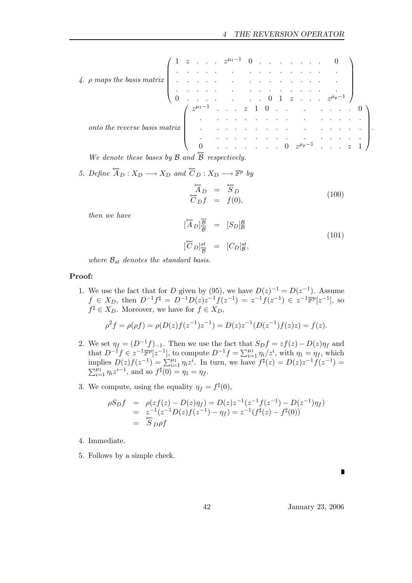4. 
$$
\rho
$$
 maps the basis matrix  $\begin{pmatrix} 1 & z & \cdots & z^{\mu_1-1} & 0 & \cdots & \cdots & \cdots & 0 \\ \vdots & \vdots & \ddots & \vdots & \ddots & \vdots & \ddots & \vdots \\ 0 & \cdots & \cdots & \cdots & \cdots & \cdots & \cdots \\ 0 & \cdots & \cdots & \cdots & \cdots & \cdots & \cdots & 0 \\ 0 & \cdots & \cdots & \cdots & \cdots & \cdots & \cdots & \cdots \\ \vdots & \vdots & \ddots & \cdots & \cdots & \cdots & \cdots & \cdots & \cdots \\ 0 & \cdots & \cdots & \cdots & \cdots & \cdots & \cdots & \cdots & \cdots \\ \end{pmatrix}$ .

We denote these bases by  $\beta$  and  $\beta$  respectively.

5. Define 
$$
\overleftarrow{A}_D : X_D \longrightarrow X_D
$$
 and  $\overleftarrow{C}_D : X_D \longrightarrow \mathbb{F}^p$  by  
\n
$$
\overleftarrow{A}_D = \overleftarrow{S}_D
$$
\n
$$
\overleftarrow{C}_D f = f(0),
$$
\n(100)

then we have

$$
\begin{aligned}\n[\overleftarrow{A}_D]_{\overleftarrow{B}}^{\overleftarrow{B}} &= [S_D]_{\mathcal{B}}^{\mathcal{B}} \\
[\overleftarrow{C}_D]_{\overleftarrow{B}}^{st} &= [C_D]_{\mathcal{B}}^{st},\n\end{aligned} \tag{101}
$$

where  $\mathcal{B}_{st}$  denotes the standard basis.

### Proof:

1. We use the fact that for D given by (95), we have  $D(z)^{-1} = D(z^{-1})$ . Assume  $f \in X_D$ , then  $D^{-1}f^{\sharp} = D^{-1}D(z)z^{-1}f(z^{-1}) = z^{-1}f(z^{-1}) \in z^{-1}\mathbb{F}^p[z^{-1}]$ , so  $f^{\sharp} \in X_D$ . Moreover, we have for  $f \in X_D$ ,

$$
\rho^2 f = \rho(\rho f) = \rho(D(z)f(z^{-1})z^{-1}) = D(z)z^{-1}(D(z^{-1})f(z)z) = f(z).
$$

- 2. We set  $\eta_f = (D^{-1}f)_{-1}$ . Then we use the fact that  $S_D f = z f(z) D(z) \eta_f$  and that  $D^{-1}f \in z^{-1}\mathbb{F}^p[z^{-1}]$ , to compute  $D^{-1}f = \sum_{i=1}^{\mu_1} \eta_i/z^i$ , with  $\eta_1 = \eta_f$ , which implies  $D(z)f(z^{-1}) = \sum_{i=1}^{\mu_1} \eta_i z^i$ . In turn, we have  $f^{\sharp}(z) = D(z)z^{-1}f(z^{-1}) =$  $\sum_{i=1}^{\mu_1} \eta_i z^{i-1}$ , and so  $f^{\sharp}(0) = \eta_1 = \eta_f$ .
- 3. We compute, using the equality  $\eta_f = f^{\sharp}(0)$ ,

$$
\begin{array}{rcl}\n\rho S_D f & = & \rho(z f(z) - D(z) \eta_f) = D(z) z^{-1} (z^{-1} f(z^{-1}) - D(z^{-1}) \eta_f) \\
& = & z^{-1} (z^{-1} D(z) f(z^{-1}) - \eta_f) = z^{-1} (f^{\sharp}(z) - f^{\sharp}(0)) \\
& = & S_{D} \rho f\n\end{array}
$$

- 4. Immediate.
- 5. Follows by a simple check.

П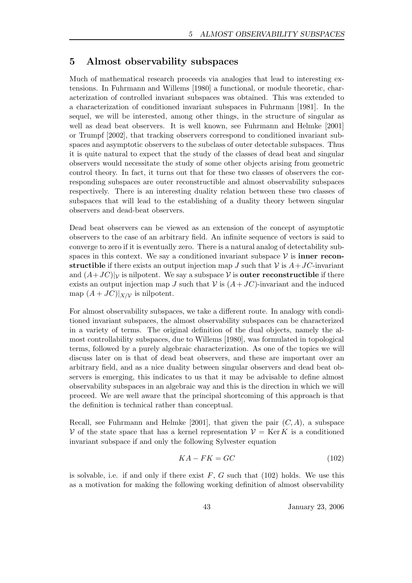# 5 Almost observability subspaces

Much of mathematical research proceeds via analogies that lead to interesting extensions. In Fuhrmann and Willems [1980] a functional, or module theoretic, characterization of controlled invariant subspaces was obtained. This was extended to a characterization of conditioned invariant subspaces in Fuhrmann [1981]. In the sequel, we will be interested, among other things, in the structure of singular as well as dead beat observers. It is well known, see Fuhrmann and Helmke [2001] or Trumpf [2002], that tracking observers correspond to conditioned invariant subspaces and asymptotic observers to the subclass of outer detectable subspaces. Thus it is quite natural to expect that the study of the classes of dead beat and singular observers would necessitate the study of some other objects arising from geometric control theory. In fact, it turns out that for these two classes of observers the corresponding subspaces are outer reconstructible and almost observability subspaces respectively. There is an interesting duality relation between these two classes of subspaces that will lead to the establishing of a duality theory between singular observers and dead-beat observers.

Dead beat observers can be viewed as an extension of the concept of asymptotic observers to the case of an arbitrary field. An infinite sequence of vectors is said to converge to zero if it is eventually zero. There is a natural analog of detectability subspaces in this context. We say a conditioned invariant subspace  $\mathcal V$  is **inner recon**structible if there exists an output injection map J such that  $\mathcal V$  is  $A+JC$ -invariant and  $(A+JC)|_V$  is nilpotent. We say a subspace V is **outer reconstructible** if there exists an output injection map J such that  $\mathcal V$  is  $(A+JC)$ -invariant and the induced map  $(A+JC)|_{X/Y}$  is nilpotent.

For almost observability subspaces, we take a different route. In analogy with conditioned invariant subspaces, the almost observability subspaces can be characterized in a variety of terms. The original definition of the dual objects, namely the almost controllability subspaces, due to Willems [1980], was formulated in topological terms, followed by a purely algebraic characterization. As one of the topics we will discuss later on is that of dead beat observers, and these are important over an arbitrary field, and as a nice duality between singular observers and dead beat observers is emerging, this indicates to us that it may be advisable to define almost observability subspaces in an algebraic way and this is the direction in which we will proceed. We are well aware that the principal shortcoming of this approach is that the definition is technical rather than conceptual.

Recall, see Fuhrmann and Helmke [2001], that given the pair  $(C, A)$ , a subspace V of the state space that has a kernel representation  $\mathcal{V} = \text{Ker } K$  is a conditioned invariant subspace if and only the following Sylvester equation

$$
KA - FK = GC \tag{102}
$$

is solvable, i.e. if and only if there exist  $F$ ,  $G$  such that (102) holds. We use this as a motivation for making the following working definition of almost observability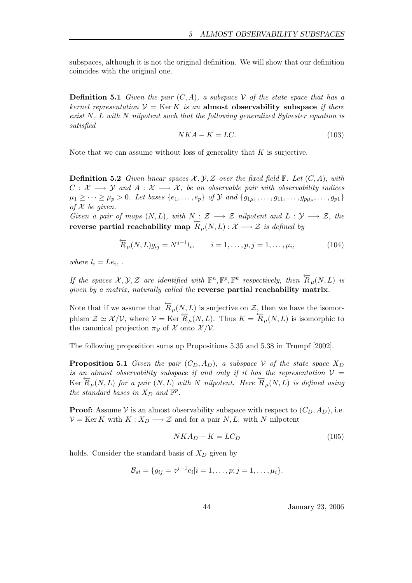subspaces, although it is not the original definition. We will show that our definition coincides with the original one.

**Definition 5.1** Given the pair  $(C, A)$ , a subspace V of the state space that has a kernel representation  $V = \text{Ker } K$  is an almost observability subspace if there exist  $N$ , L with N nilpotent such that the following generalized Sylvester equation is satisfied

$$
NKA - K = LC.\t(103)
$$

Note that we can assume without loss of generality that  $K$  is surjective.

**Definition 5.2** Given linear spaces  $\mathcal{X}, \mathcal{Y}, \mathcal{Z}$  over the fixed field  $\mathbb{F}$ . Let  $(C, A)$ , with  $C: \mathcal{X} \longrightarrow \mathcal{Y}$  and  $A: \mathcal{X} \longrightarrow \mathcal{X}$ , be an observable pair with observability indices  $\mu_1 \geq \cdots \geq \mu_p > 0$ . Let bases  $\{e_1, \ldots, e_p\}$  of  $\mathcal Y$  and  $\{g_{1\mu_1}, \ldots, g_{11}, \ldots, g_{p\mu_p}, \ldots, g_{p1}\}\$ of  $\mathcal X$  be given.

Given a pair of maps  $(N, L)$ , with  $N : \mathcal{Z} \longrightarrow \mathcal{Z}$  nilpotent and  $L : \mathcal{Y} \longrightarrow \mathcal{Z}$ , the reverse partial reachability map  $\overline{R}_{\mu}(N, L) : \mathcal{X} \longrightarrow \mathcal{Z}$  is defined by

$$
\overleftarrow{R}_{\mu}(N,L)g_{ij} = N^{j-1}l_i, \qquad i = 1,\ldots,p, j = 1,\ldots,\mu_i,
$$
\n(104)

where  $l_i = Le_i$ ,.

If the spaces  $\mathcal{X}, \mathcal{Y}, \mathcal{Z}$  are identified with  $\mathbb{F}^n, \mathbb{F}^p, \mathbb{F}^k$  respectively, then  $\overleftarrow{R}_{\mu}(N, L)$  is given by a matrix, naturally called the reverse partial reachability matrix.

Note that if we assume that  $\overleftarrow{R}_{\mu}(N, L)$  is surjective on  $\mathcal{Z}$ , then we have the isomorphism  $\mathcal{Z} \simeq \mathcal{X}/\mathcal{V}$ , where  $\mathcal{V} = \text{Ker }\overline{R}_{\mu}(N, L)$ . Thus  $K = \overline{R}_{\mu}(N, L)$  is isomorphic to the canonical projection  $\pi_{\mathcal{V}}$  of X onto  $\mathcal{X}/\mathcal{V}$ .

The following proposition sums up Propositions 5.35 and 5.38 in Trumpf [2002].

**Proposition 5.1** Given the pair  $(C_D, A_D)$ , a subspace V of the state space  $X_D$ is an almost observability subspace if and only if it has the representation  $V =$ Ker  $\overleftarrow{R}_{\mu}(N, L)$  for a pair  $(N, L)$  with N nilpotent. Here  $\overleftarrow{R}_{\mu}(N, L)$  is defined using the standard bases in  $X_D$  and  $\mathbb{F}^p$ .

**Proof:** Assume V is an almost observability subspace with respect to  $(C_D, A_D)$ , i.e.  $V = \text{Ker } K$  with  $K : X_D \longrightarrow \mathcal{Z}$  and for a pair N, L. with N nilpotent

$$
NKA_D - K = LC_D \tag{105}
$$

holds. Consider the standard basis of  $X_D$  given by

$$
\mathcal{B}_{st} = \{g_{ij} = z^{j-1}e_i|i = 1,\ldots,p; j = 1,\ldots,\mu_i\}.
$$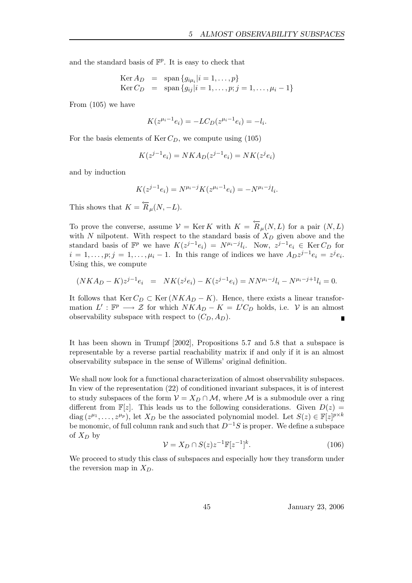and the standard basis of  $\mathbb{F}^p$ . It is easy to check that

$$
\begin{array}{rcl}\n\text{Ker } A_D & = & \text{span } \{ g_{i\mu_i} | i = 1, \dots, p \} \\
\text{Ker } C_D & = & \text{span } \{ g_{ij} | i = 1, \dots, p; j = 1, \dots, \mu_i - 1 \}\n\end{array}
$$

From (105) we have

$$
K(z^{\mu_i - 1}e_i) = -LC_D(z^{\mu_i - 1}e_i) = -l_i.
$$

For the basis elements of  $\text{Ker } C_D$ , we compute using (105)

$$
K(z^{j-1}e_i) = NKA_D(z^{j-1}e_i) = NK(z^{j}e_i)
$$

and by induction

$$
K(z^{j-1}e_i) = N^{\mu_i - j} K(z^{\mu_i - 1}e_i) = -N^{\mu_i - j} l_i.
$$

This shows that  $K = \overleftarrow{R}_{\mu}(N, -L)$ .

To prove the converse, assume  $\mathcal{V} = \text{Ker } K$  with  $K = \overleftarrow{R}_{\mu}(N, L)$  for a pair  $(N, L)$ with N nilpotent. With respect to the standard basis of  $X_D$  given above and the standard basis of  $\mathbb{F}^p$  we have  $K(z^{j-1}e_i) = N^{\mu_i - j}l_i$ . Now,  $z^{j-1}e_i \in \text{Ker } C_D$  for  $i = 1, \ldots, p; j = 1, \ldots, \mu_i - 1$ . In this range of indices we have  $A_D z^{j-1} e_i = z^j e_i$ . Using this, we compute

$$
(NKA_D - K)z^{j-1}e_i = NK(z^{j}e_i) - K(z^{j-1}e_i) = NN^{\mu_i - j}l_i - N^{\mu_i - j + 1}l_i = 0.
$$

It follows that  $\text{Ker } C_D \subset \text{Ker } (NKA_D - K)$ . Hence, there exists a linear transformation  $L' : \mathbb{F}^p \longrightarrow \mathcal{Z}$  for which  $NKA_D - K = L'C_D$  holds, i.e. V is an almost observability subspace with respect to  $(C_D, A_D)$ .

It has been shown in Trumpf [2002], Propositions 5.7 and 5.8 that a subspace is representable by a reverse partial reachability matrix if and only if it is an almost observability subspace in the sense of Willems' original definition.

We shall now look for a functional characterization of almost observability subspaces. In view of the representation (22) of conditioned invariant subspaces, it is of interest to study subspaces of the form  $\mathcal{V} = X_D \cap \mathcal{M}$ , where M is a submodule over a ring different from  $\mathbb{F}[z]$ . This leads us to the following considerations. Given  $D(z)$  = diag  $(z^{\mu_1}, \ldots, z^{\mu_p}),$  let  $X_D$  be the associated polynomial model. Let  $S(z) \in \mathbb{F}[z]^{p \times k}$ be monomic, of full column rank and such that  $D^{-1}S$  is proper. We define a subspace of  $X_D$  by

$$
\mathcal{V} = X_D \cap S(z) z^{-1} \mathbb{F}[z^{-1}]^k.
$$
\n(106)

We proceed to study this class of subspaces and especially how they transform under the reversion map in  $X_D$ .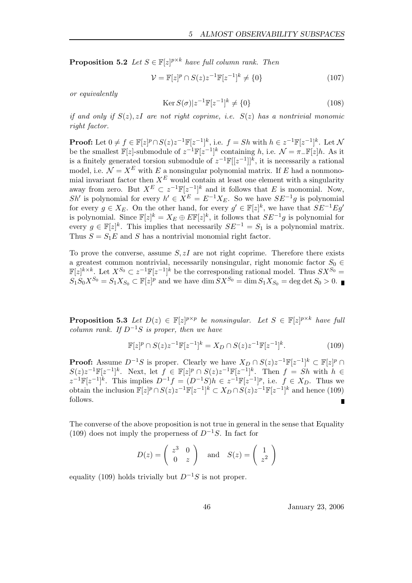**Proposition 5.2** Let  $S \in \mathbb{F}[z]^{p \times k}$  have full column rank. Then

$$
\mathcal{V} = \mathbb{F}[z]^p \cap S(z)z^{-1}\mathbb{F}[z^{-1}]^k \neq \{0\}
$$
 (107)

or equivalently

$$
Ker S(\sigma)|z^{-1}\mathbb{F}[z^{-1}]^{k} \neq \{0\}
$$
\n(108)

if and only if  $S(z)$ , zI are not right coprime, i.e.  $S(z)$  has a nontrivial monomic right factor.

**Proof:** Let  $0 \neq f \in \mathbb{F}[z]^p \cap S(z)z^{-1}\mathbb{F}[z^{-1}]^k$ , i.e.  $f = Sh$  with  $h \in z^{-1}\mathbb{F}[z^{-1}]^k$ . Let N be the smallest  $\mathbb{F}[z]$ -submodule of  $z^{-1}\mathbb{F}[z^{-1}]^k$  containing h, i.e.  $\mathcal{N} = \pi \mathbb{F}[z]h$ . As it is a finitely generated torsion submodule of  $z^{-1}\mathbb{F}[[z^{-1}]]^k$ , it is necessarily a rational model, i.e.  $\mathcal{N} = X^E$  with E a nonsingular polynomial matrix. If E had a nonmonomial invariant factor then  $X^E$  would contain at least one element with a singularity away from zero. But  $X^E \subset z^{-1} \mathbb{F}[z^{-1}]^k$  and it follows that E is monomial. Now, Sh' is polynomial for every  $h' \in X^E = E^{-1}X_E$ . So we have  $SE^{-1}g$  is polynomial for every  $g \in X_E$ . On the other hand, for every  $g' \in \mathbb{F}[z]^k$ , we have that  $SE^{-1}Eg'$ is polynomial. Since  $\mathbb{F}[z]^k = X_E \oplus E\mathbb{F}[z]^k$ , it follows that  $SE^{-1}g$  is polynomial for every  $g \in \mathbb{F}[z]^k$ . This implies that necessarily  $SE^{-1} = S_1$  is a polynomial matrix. Thus  $S = S_1E$  and S has a nontrivial monomial right factor.

To prove the converse, assume  $S, zI$  are not right coprime. Therefore there exists a greatest common nontrivial, necessarily nonsingular, right monomic factor  $S_0 \in$  $\mathbb{F}[z]^{k \times k}$ . Let  $X^{S_0} \subset z^{-1} \mathbb{F}[z^{-1}]^k$  be the corresponding rational model. Thus  $S X^{S_0} =$  $S_1S_0X^{S_0} = S_1X_{S_0} \subset \mathbb{F}[z]^p$  and we have  $\dim SX^{S_0} = \dim S_1X_{S_0} = \deg \det S_0 > 0$ .

**Proposition 5.3** Let  $D(z) \in \mathbb{F}[z]^{p \times p}$  be nonsingular. Let  $S \in \mathbb{F}[z]^{p \times k}$  have full column rank. If  $D^{-1}S$  is proper, then we have

$$
\mathbb{F}[z]^p \cap S(z)z^{-1}\mathbb{F}[z^{-1}]^k = X_D \cap S(z)z^{-1}\mathbb{F}[z^{-1}]^k.
$$
 (109)

**Proof:** Assume  $D^{-1}S$  is proper. Clearly we have  $X_D \cap S(z)z^{-1}\mathbb{F}[z^{-1}]^k \subset \mathbb{F}[z]^p \cap S(z)$  $S(z)z^{-1}\mathbb{F}[z^{-1}]^k$ . Next, let  $f \in \mathbb{F}[z]^p \cap S(z)z^{-1}\mathbb{F}[z^{-1}]^k$ . Then  $f = Sh$  with  $h \in$  $z^{-1}\mathbb{F}[z^{-1}]^k$ . This implies  $D^{-1}f = (D^{-1}S)h \in z^{-1}\mathbb{F}[z^{-1}]^p$ , i.e.  $f \in X_D$ . Thus we obtain the inclusion  $\mathbb{F}[z]^p \cap S(z)z^{-1}\mathbb{F}[z^{-1}]^k \subset X_D \cap S(z)z^{-1}\mathbb{F}[z^{-1}]^k$  and hence (109) follows. Ē

The converse of the above proposition is not true in general in the sense that Equality (109) does not imply the properness of  $D^{-1}S$ . In fact for

$$
D(z) = \begin{pmatrix} z^3 & 0 \\ 0 & z \end{pmatrix} \text{ and } S(z) = \begin{pmatrix} 1 \\ z^2 \end{pmatrix}
$$

equality (109) holds trivially but  $D^{-1}S$  is not proper.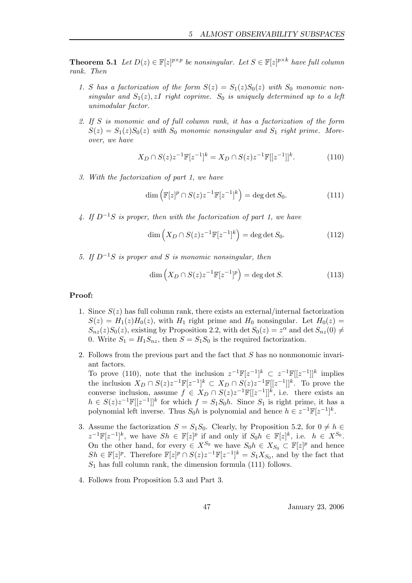**Theorem 5.1** Let  $D(z) \in \mathbb{F}[z]^{p \times p}$  be nonsingular. Let  $S \in \mathbb{F}[z]^{p \times k}$  have full column rank. Then

- 1. S has a factorization of the form  $S(z) = S_1(z)S_0(z)$  with  $S_0$  monomic nonsingular and  $S_1(z)$ , zI right coprime. S<sub>0</sub> is uniquely determined up to a left unimodular factor.
- 2. If S is monomic and of full column rank, it has a factorization of the form  $S(z) = S_1(z)S_0(z)$  with  $S_0$  monomic nonsingular and  $S_1$  right prime. Moreover, we have

$$
X_D \cap S(z)z^{-1}\mathbb{F}[z^{-1}]^k = X_D \cap S(z)z^{-1}\mathbb{F}[[z^{-1}]]^k.
$$
 (110)

3. With the factorization of part 1, we have

$$
\dim\left(\mathbb{F}[z]^p \cap S(z)z^{-1}\mathbb{F}[z^{-1}]^k\right) = \deg\det S_0.
$$
\n(111)

4. If  $D^{-1}S$  is proper, then with the factorization of part 1, we have

$$
\dim\left(X_D \cap S(z)z^{-1}\mathbb{F}[z^{-1}]^k\right) = \deg\det S_0.
$$
\n(112)

5. If  $D^{-1}S$  is proper and S is monomic nonsingular, then

$$
\dim\left(X_D \cap S(z)z^{-1}\mathbb{F}[z^{-1}]^p\right) = \deg\det S.
$$
 (113)

#### Proof:

- 1. Since  $S(z)$  has full column rank, there exists an external/internal factorization  $S(z) = H_1(z)H_0(z)$ , with  $H_1$  right prime and  $H_0$  nonsingular. Let  $H_0(z)$  $S_{nz}(z)S_0(z)$ , existing by Proposition 2.2, with det  $S_0(z) = z^{\alpha}$  and det  $S_{nz}(0) \neq$ 0. Write  $S_1 = H_1 S_{nz}$ , then  $S = S_1 S_0$  is the required factorization.
- 2. Follows from the previous part and the fact that S has no nonmonomic invariant factors.

To prove (110), note that the inclusion  $z^{-1}\mathbb{F}[z^{-1}]^k \subset z^{-1}\mathbb{F}[[z^{-1}]]^k$  implies the inclusion  $X_D \cap S(z)z^{-1}\mathbb{F}[z^{-1}]^k \subset X_D \cap S(z)z^{-1}\mathbb{F}[[z^{-1}]]^k$ . To prove the converse inclusion, assume  $f \in X_D \cap S(z)z^{-1}\mathbb{F}[[z^{-1}]]^k$ , i.e. there exists an  $h \in S(z)z^{-1}\mathbb{F}[[z^{-1}]]^k$  for which  $f = S_1S_0h$ . Since  $S_1$  is right prime, it has a polynomial left inverse. Thus  $S_0 h$  is polynomial and hence  $h \in z^{-1} \mathbb{F}[z^{-1}]^k$ .

- 3. Assume the factorization  $S = S_1S_0$ . Clearly, by Proposition 5.2, for  $0 \neq h \in$  $z^{-1}\mathbb{F}[z^{-1}]^k$ , we have  $Sh \in \mathbb{F}[z]^p$  if and only if  $S_0 h \in \mathbb{F}[z]^k$ , i.e.  $h \in X^{S_0}$ . On the other hand, for every  $\in X^{S_0}$  we have  $S_0 h \in X_{S_0} \subset \mathbb{F}[z]^p$  and hence  $Sh \in \mathbb{F}[z]^p$ . Therefore  $\mathbb{F}[z]^p \cap S(z)z^{-1}\mathbb{F}[z^{-1}]^k = S_1X_{S_0}$ , and by the fact that  $S_1$  has full column rank, the dimension formula (111) follows.
- 4. Follows from Proposition 5.3 and Part 3.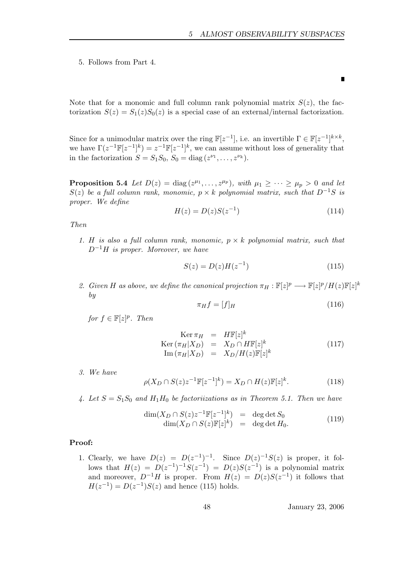Г

5. Follows from Part 4.

Note that for a monomic and full column rank polynomial matrix  $S(z)$ , the factorization  $S(z) = S_1(z)S_0(z)$  is a special case of an external/internal factorization.

Since for a unimodular matrix over the ring  $\mathbb{F}[z^{-1}]$ , i.e. an invertible  $\Gamma \in \mathbb{F}[z^{-1}]^{k \times k}$ , we have  $\Gamma(z^{-1}\mathbb{F}[z^{-1}]^k) = z^{-1}\mathbb{F}[z^{-1}]^k$ , we can assume without loss of generality that in the factorization  $S = S_1 S_0$ ,  $S_0 = \text{diag}(z^{\nu_1}, \dots, z^{\nu_k}).$ 

**Proposition 5.4** Let  $D(z) = \text{diag}(z^{\mu_1}, \dots, z^{\mu_p}),$  with  $\mu_1 \geq \dots \geq \mu_p > 0$  and let  $S(z)$  be a full column rank, monomic,  $p \times k$  polynomial matrix, such that  $D^{-1}S$  is proper. We define

$$
H(z) = D(z)S(z^{-1})
$$
\n(114)

Then

1. H is also a full column rank, monomic,  $p \times k$  polynomial matrix, such that  $D^{-1}H$  is proper. Moreover, we have

$$
S(z) = D(z)H(z^{-1})
$$
\n(115)

2. Given H as above, we define the canonical projection  $\pi_H : \mathbb{F}[z]^p \longrightarrow \mathbb{F}[z]^p / H(z) \mathbb{F}[z]^k$ by

$$
\pi_H f = [f]_H \tag{116}
$$

for 
$$
f \in \mathbb{F}[z]^p
$$
. Then

$$
\begin{array}{rcl}\n\operatorname{Ker} \pi_H & = & H\mathbb{F}[z]^k \\
\operatorname{Ker} \left(\pi_H | X_D\right) & = & X_D \cap H\mathbb{F}[z]^k \\
\operatorname{Im} \left(\pi_H | X_D\right) & = & X_D / H(z)\mathbb{F}[z]^k\n\end{array} \tag{117}
$$

3. We have

$$
\rho(X_D \cap S(z)z^{-1}\mathbb{F}[z^{-1}]^k) = X_D \cap H(z)\mathbb{F}[z]^k.
$$
\n(118)

4. Let  $S = S_1S_0$  and  $H_1H_0$  be factorizations as in Theorem 5.1. Then we have

$$
\dim(X_D \cap S(z)z^{-1}\mathbb{F}[z^{-1}]^k) = \deg \det S_0
$$
  
\n
$$
\dim(X_D \cap S(z)\mathbb{F}[z]^k) = \deg \det H_0.
$$
\n(119)

# Proof:

1. Clearly, we have  $D(z) = D(z^{-1})^{-1}$ . Since  $D(z)^{-1}S(z)$  is proper, it follows that  $H(z) = D(z^{-1})^{-1}S(z^{-1}) = D(z)S(z^{-1})$  is a polynomial matrix and moreover,  $D^{-1}H$  is proper. From  $H(z) = D(z)S(z^{-1})$  it follows that  $H(z^{-1}) = D(z^{-1})S(z)$  and hence (115) holds.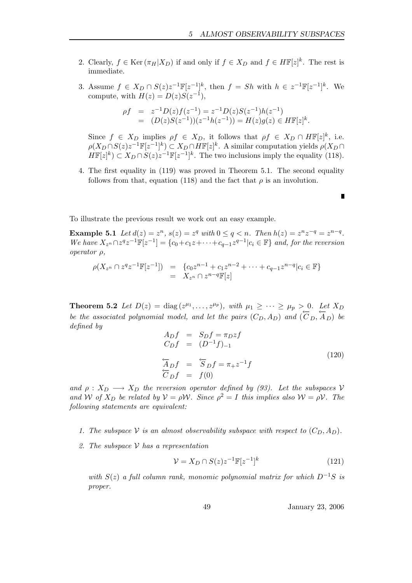- 2. Clearly,  $f \in \text{Ker}(\pi_H | X_D)$  if and only if  $f \in X_D$  and  $f \in H\mathbb{F}[z]^k$ . The rest is immediate.
- 3. Assume  $f \in X_D \cap S(z)z^{-1}\mathbb{F}[z^{-1}]^k$ , then  $f = Sh$  with  $h \in z^{-1}\mathbb{F}[z^{-1}]^k$ . We compute, with  $H(z) = D(z)S(z^{-1}),$

$$
\begin{array}{rcl}\n\rho f & = & z^{-1} D(z) f(z^{-1}) = z^{-1} D(z) S(z^{-1}) h(z^{-1}) \\
& = & (D(z) S(z^{-1})) (z^{-1} h(z^{-1})) = H(z) g(z) \in H\mathbb{F}[z]^k.\n\end{array}
$$

Since  $f \in X_D$  implies  $\rho f \in X_D$ , it follows that  $\rho f \in X_D \cap H\mathbb{F}[z]^k$ , i.e.  $\rho(X_D \cap S(z)z^{-1}\mathbb{F}[z^{-1}]^k) \subset X_D \cap H\mathbb{F}[z]^k$ . A similar computation yields  $\rho(X_D \cap S(z))$  $H\mathbb{F}[z]^k \subset X_D \cap S(z)z^{-1}\mathbb{F}[z^{-1}]^k$ . The two inclusions imply the equality (118).

4. The first equality in (119) was proved in Theorem 5.1. The second equality follows from that, equation (118) and the fact that  $\rho$  is an involution.

To illustrate the previous result we work out an easy example.

**Example 5.1** Let  $d(z) = z^n$ ,  $s(z) = z^q$  with  $0 \le q < n$ . Then  $h(z) = z^n z^{-q} = z^{n-q}$ . We have  $X_{z^n} \cap z^q z^{-1} \mathbb{F}[z^{-1}] = \{c_0 + c_1 z + \cdots + c_{q-1} z^{q-1} | c_i \in \mathbb{F} \}$  and, for the reversion operator ρ,

$$
\rho(X_{z^n} \cap z^q z^{-1} \mathbb{F}[z^{-1}]) = \{c_0 z^{n-1} + c_1 z^{n-2} + \dots + c_{q-1} z^{n-q} | c_i \in \mathbb{F} \} \n= X_{z^n} \cap z^{n-q} \mathbb{F}[z]
$$

**Theorem 5.2** Let  $D(z) = \text{diag}(z^{\mu_1}, \dots, z^{\mu_p}),$  with  $\mu_1 \geq \cdots \geq \mu_p > 0$ . Let  $X_D$ be the associated polynomial model, and let the pairs  $(C_D, A_D)$  and  $(\overline{C}_D, \overline{A}_D)$  be defined by

$$
A_D f = S_D f = \pi_D z f
$$
  
\n
$$
C_D f = (D^{-1} f)_{-1}
$$
  
\n
$$
\overleftarrow{A}_D f = \overleftarrow{S}_D f = \pi_+ z^{-1} f
$$
  
\n
$$
\overleftarrow{C}_D f = f(0)
$$
\n(120)

and  $\rho: X_D \longrightarrow X_D$  the reversion operator defined by (93). Let the subspaces V and W of  $X_D$  be related by  $V = \rho W$ . Since  $\rho^2 = I$  this implies also  $W = \rho V$ . The following statements are equivalent:

- 1. The subspace V is an almost observability subspace with respect to  $(C_D, A_D)$ .
- 2. The subspace  $\mathcal V$  has a representation

$$
\mathcal{V} = X_D \cap S(z) z^{-1} \mathbb{F}[z^{-1}]^k \tag{121}
$$

with  $S(z)$  a full column rank, monomic polynomial matrix for which  $D^{-1}S$  is proper.

49 January 23, 2006

Г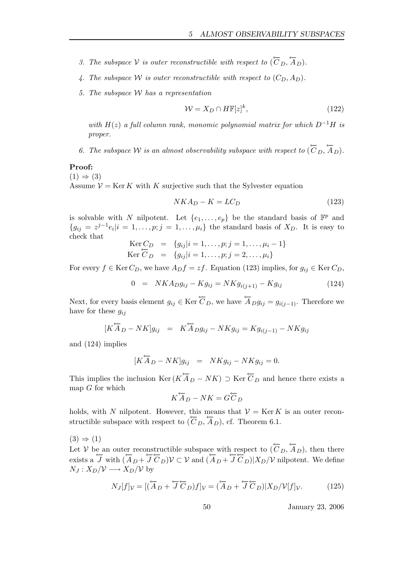- 3. The subspace V is outer reconstructible with respect to  $(\overleftarrow{C}_D, \overleftarrow{A}_D)$ .
- 4. The subspace W is outer reconstructible with respect to  $(C_D, A_D)$ .
- 5. The subspace W has a representation

$$
\mathcal{W} = X_D \cap H\mathbb{F}[z]^k,\tag{122}
$$

with  $H(z)$  a full column rank, monomic polynomial matrix for which  $D^{-1}H$  is proper.

6. The subspace W is an almost observability subspace with respect to  $(\overleftarrow{C}_D, \overleftarrow{A}_D)$ .

#### Proof:

 $(1) \Rightarrow (3)$ Assume  $V = \text{Ker } K$  with K surjective such that the Sylvester equation

$$
NKA_D - K = LC_D \tag{123}
$$

is solvable with N nilpotent. Let  $\{e_1, \ldots, e_p\}$  be the standard basis of  $\mathbb{F}^p$  and  ${g_{ij} = z^{j-1}e_i|i = 1,\ldots,p;j = 1,\ldots,\mu_i}$  the standard basis of  $X_D$ . It is easy to check that

$$
\begin{array}{rcl}\n\text{Ker } C_D & = & \{g_{ij} | i = 1, \dots, p; j = 1, \dots, \mu_i - 1\} \\
\text{Ker } \overline{C}_D & = & \{g_{ij} | i = 1, \dots, p; j = 2, \dots, \mu_i\}\n\end{array}
$$

For every  $f \in \text{Ker } C_D$ , we have  $A_D f = z f$ . Equation (123) implies, for  $g_{ij} \in \text{Ker } C_D$ ,

$$
0 = NKA_Dg_{ij} - Kg_{ij} = NKg_{i(j+1)} - Kg_{ij}
$$
\n(124)

Next, for every basis element  $g_{ij} \in \text{Ker } \overleftarrow{C}_D$ , we have  $\overleftarrow{A}_D g_{ij} = g_{i(i-1)}$ . Therefore we have for these  $q_{ij}$ 

$$
[K\overleftarrow{A}_D - NK]g_{ij} = K\overleftarrow{A}_D g_{ij} - NK g_{ij} = K g_{i(j-1)} - NK g_{ij}
$$

and (124) implies

$$
[K\overleftarrow{A}_D - NK]g_{ij} = NKg_{ij} - NKg_{ij} = 0.
$$

This implies the inclusion  $\text{Ker}(K\overleftarrow{A}_D - NK) \supset \text{Ker} \overleftarrow{C}_D$  and hence there exists a map  $G$  for which

$$
K\overleftarrow{A}_D - NK = G\overleftarrow{C}_D
$$

holds, with N nilpotent. However, this means that  $\mathcal{V} = \text{Ker } K$  is an outer reconstructible subspace with respect to  $(\overline{C}_D, \overline{A}_D)$ , cf. Theorem 6.1.

 $(3) \Rightarrow (1)$ 

Let V be an outer reconstructible subspace with respect to  $(\overleftarrow{C}_D, \overleftarrow{A}_D)$ , then there exists a  $\overline{J}$  with  $(\overline{A}_D + \overline{J} C_D) V \subset V$  and  $(\overline{A}_D + \overline{J} C_D) |X_D/V$  nilpotent. We define  $N_J: X_D/V \longrightarrow X_D/V$  by

$$
N_J[f]_{\mathcal{V}} = [(\overleftarrow{A}_D + \overleftarrow{J}\overleftarrow{C}_D)f]_{\mathcal{V}} = (\overleftarrow{A}_D + \overleftarrow{J}\overleftarrow{C}_D)|X_D/\mathcal{V}[f]_{\mathcal{V}}.
$$
(125)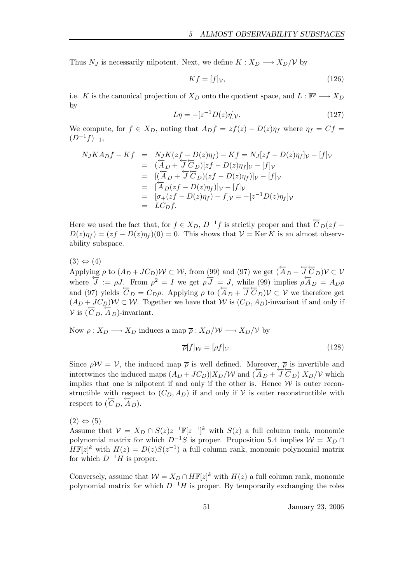Thus  $N_J$  is necessarily nilpotent. Next, we define  $K: X_D \longrightarrow X_D/V$  by

$$
Kf = [f]_{\mathcal{V}},\tag{126}
$$

i.e. K is the canonical projection of  $X_D$  onto the quotient space, and  $L : \mathbb{F}^p \longrightarrow X_D$ by

$$
L\eta = -[z^{-1}D(z)\eta]v.\tag{127}
$$

We compute, for  $f \in X_D$ , noting that  $A_D f = z f(z) - D(z) \eta_f$  where  $\eta_f = C f$  $(D^{-1}f)_{-1}$ ,

$$
N_J K A_D f - K f = N_J K (zf - D(z)\eta_f) - K f = N_J [zf - D(z)\eta_f]v - [f]v
$$
  
\n
$$
= (\overleftarrow{A}_D + \overleftarrow{J} \overleftarrow{C}_D)[zf - D(z)\eta_f]v - [f]v
$$
  
\n
$$
= [(\overleftarrow{A}_D + \overleftarrow{J} \overleftarrow{C}_D)(zf - D(z)\eta_f)]v - [f]v
$$
  
\n
$$
= [\overleftarrow{A}_D(zf - D(z)\eta_f)]v - [f]v
$$
  
\n
$$
= [\sigma_+(zf - D(z)\eta_f) - f]v = -[z^{-1}D(z)\eta_f]v
$$
  
\n
$$
= LC_D f.
$$

Here we used the fact that, for  $f \in X_D$ ,  $D^{-1}f$  is strictly proper and that  $\overleftarrow{C}_D(zf D(z)\eta_f = (zf - D(z)\eta_f)(0) = 0$ . This shows that  $V = \text{Ker } K$  is an almost observability subspace.

 $(3) \Leftrightarrow (4)$ 

Applying  $\rho$  to  $(A_D + JC_D)W \subset W$ , from (99) and (97) we get  $(\overleftarrow{A}_D + \overleftarrow{J} \overleftarrow{C}_D)V \subset V$ where  $\overline{J} := \rho J$ . From  $\rho^2 = I$  we get  $\rho \overline{J} = J$ , while (99) implies  $\rho A_D = A_D \rho$ and (97) yields  $C_D = C_D \rho$ . Applying  $\rho$  to  $(\overline{A}_D + \overline{J} C_D) \mathcal{V} \subset \mathcal{V}$  we therefore get  $(A_D + JC_D)\mathcal{W} \subset \mathcal{W}$ . Together we have that W is  $(C_D, A_D)$ -invariant if and only if  $V$  is  $(\overline{C}_D, \overline{A}_D)$ -invariant.

Now  $\rho: X_D \longrightarrow X_D$  induces a map  $\overline{\rho}: X_D/\mathcal{W} \longrightarrow X_D/\mathcal{V}$  by

$$
\overline{\rho}[f]_{\mathcal{W}} = [\rho f]_{\mathcal{V}}.\tag{128}
$$

Since  $\rho \mathcal{W} = \mathcal{V}$ , the induced map  $\bar{\rho}$  is well defined. Moreover,  $\bar{\rho}$  is invertible and intertwines the induced maps  $(A_D + JC_D)|X_D/W$  and  $(A_D + JC_D)|X_D/V$  which implies that one is nilpotent if and only if the other is. Hence  $W$  is outer reconstructible with respect to  $(C_D, A_D)$  if and only if V is outer reconstructible with respect to  $(\overleftarrow{C}_D, \overleftarrow{A}_D)$ .

 $(2) \Leftrightarrow (5)$ 

Assume that  $\mathcal{V} = X_D \cap S(z)z^{-1}\mathbb{F}[z^{-1}]^k$  with  $S(z)$  a full column rank, monomic polynomial matrix for which  $D^{-1}S$  is proper. Proposition 5.4 implies  $W = X_D \cap$  $H\mathbb{F}[z]^k$  with  $H(z) = D(z)S(z^{-1})$  a full column rank, monomic polynomial matrix for which  $D^{-1}H$  is proper.

Conversely, assume that  $W = X_D \cap H\mathbb{F}[z]^k$  with  $H(z)$  a full column rank, monomic polynomial matrix for which  $D^{-1}H$  is proper. By temporarily exchanging the roles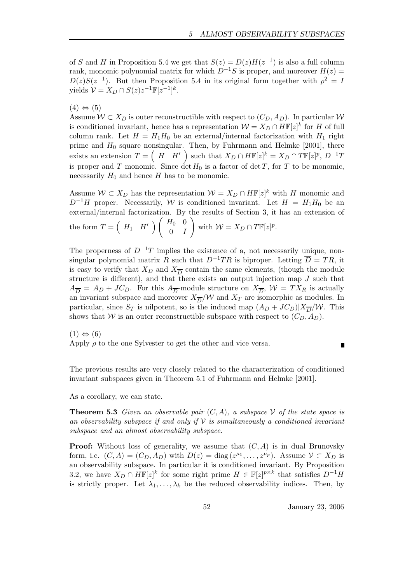of S and H in Proposition 5.4 we get that  $S(z) = D(z)H(z^{-1})$  is also a full column rank, monomic polynomial matrix for which  $D^{-1}S$  is proper, and moreover  $H(z) =$  $D(z)S(z^{-1})$ . But then Proposition 5.4 in its original form together with  $\rho^2 = I$ yields  $\mathcal{V} = X_D \cap S(z)z^{-1}\mathbb{F}[z^{-1}]^k$ .

 $(4) \Leftrightarrow (5)$ 

Assume  $W \subset X_D$  is outer reconstructible with respect to  $(C_D, A_D)$ . In particular W is conditioned invariant, hence has a representation  $\mathcal{W} = X_D \cap H\mathbb{F}[z]^k$  for H of full column rank. Let  $H = H_1 H_0$  be an external/internal factorization with  $H_1$  right prime and  $H_0$  square nonsingular. Then, by Fuhrmann and Helmke [2001], there exists an extension  $T = \begin{pmatrix} H & H' \end{pmatrix}$  such that  $X_D \cap H\mathbb{F}[z]^k = X_D \cap T\mathbb{F}[z]^p$ ,  $D^{-1}T$ is proper and T monomic. Since  $\det H_0$  is a factor of  $\det T$ , for T to be monomic, necessarily  $H_0$  and hence H has to be monomic.

Assume  $W \subset X_D$  has the representation  $W = X_D \cap H\mathbb{F}[z]^k$  with H monomic and  $D^{-1}H$  proper. Necessarily, W is conditioned invariant. Let  $H = H_1H_0$  be an external/internal factorization. By the results of Section 3, it has an extension of the form  $T = \begin{pmatrix} H_1 & H' \end{pmatrix} \begin{pmatrix} H_0 & 0 \\ 0 & I \end{pmatrix}$  $0 \quad I$ ! with  $W = X_D \cap T\mathbb{F}[z]^p$ .

The properness of  $D^{-1}T$  implies the existence of a, not necessarily unique, nonsingular polynomial matrix R such that  $D^{-1}TR$  is biproper. Letting  $\overline{D} = TR$ , it is easy to verify that  $X_D$  and  $X_{\overline{D}}$  contain the same elements, (though the module structure is different), and that there exists an output injection map J such that  $A_{\overline{D}} = A_D + JC_D$ . For this  $A_{\overline{D}}$ -module structure on  $X_{\overline{D}}$ ,  $W = TX_R$  is actually an invariant subspace and moreover  $X_{\overline{D}}/\mathcal{W}$  and  $X_T$  are isomorphic as modules. In particular, since  $S_T$  is nilpotent, so is the induced map  $(A_D + JC_D)|X_{\overline{D}}/W$ . This shows that W is an outer reconstructible subspace with respect to  $(C_D, A_D)$ .

 $(1) \Leftrightarrow (6)$ Apply  $\rho$  to the one Sylvester to get the other and vice versa.

Г

The previous results are very closely related to the characterization of conditioned invariant subspaces given in Theorem 5.1 of Fuhrmann and Helmke [2001].

As a corollary, we can state.

**Theorem 5.3** Given an observable pair  $(C, A)$ , a subspace V of the state space is an observability subspace if and only if  $\mathcal V$  is simultaneously a conditioned invariant subspace and an almost observability subspace.

**Proof:** Without loss of generality, we assume that  $(C, A)$  is in dual Brunovsky form, i.e.  $(C, A) = (C_D, A_D)$  with  $D(z) = \text{diag}(z^{\mu_1}, \dots, z^{\mu_p})$ . Assume  $V \subset X_D$  is an observability subspace. In particular it is conditioned invariant. By Proposition 3.2, we have  $X_D \cap H\mathbb{F}[z]^k$  for some right prime  $H \in \mathbb{F}[z]^{p\times k}$  that satisfies  $D^{-1}H$ is strictly proper. Let  $\lambda_1, \ldots, \lambda_k$  be the reduced observability indices. Then, by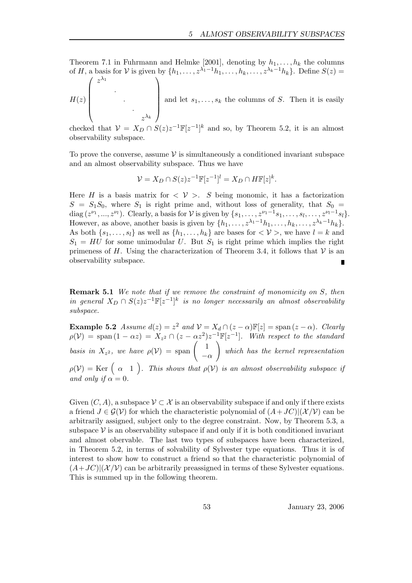Theorem 7.1 in Fuhrmann and Helmke [2001], denoting by  $h_1, \ldots, h_k$  the columns of H, a basis for V is given by  $\{h_1, \ldots, z^{\lambda_1-1}h_1, \ldots, h_k, \ldots, z^{\lambda_k-1}h_k\}$ . Define  $S(z)$  $\sqrt{ }$  $\lambda_1$  $\setminus$ 

$$
H(z)\begin{pmatrix} z^{\lambda_1} & & & \\ & \ddots & & \\ & & \ddots & \\ & & & z^{\lambda_k} \end{pmatrix}
$$
 and let  $s_1, \ldots, s_k$  the columns of  $S$ . Then it is easily

checked that  $\mathcal{V} = X_D \cap S(z)z^{-1}\mathbb{F}[z^{-1}]^k$  and so, by Theorem 5.2, it is an almost observability subspace.

To prove the converse, assume  $\mathcal V$  is simultaneously a conditioned invariant subspace and an almost observability subspace. Thus we have

$$
\mathcal{V} = X_D \cap S(z) z^{-1} \mathbb{F}[z^{-1}]^l = X_D \cap H\mathbb{F}[z]^k.
$$

Here H is a basis matrix for  $\langle V \rangle$ . S being monomic, it has a factorization  $S = S_1S_0$ , where  $S_1$  is right prime and, without loss of generality, that  $S_0 =$ diag  $(z^{\nu_1},...,z^{\nu_l})$ . Clearly, a basis for  $\mathcal V$  is given by  $\{s_1,\ldots,z^{\nu_1-1}s_1,\ldots,s_l,\ldots,z^{\nu_l-1}s_l\}$ . However, as above, another basis is given by  $\{h_1, \ldots, z^{\lambda_1-1}h_1, \ldots, h_k, \ldots, z^{\lambda_k-1}h_k\}.$ As both  $\{s_1, \ldots, s_l\}$  as well as  $\{h_1, \ldots, h_k\}$  are bases for  $\langle \mathcal{V} \rangle$ , we have  $l = k$  and  $S_1 = HU$  for some unimodular U. But  $S_1$  is right prime which implies the right primeness of H. Using the characterization of Theorem 3.4, it follows that  $V$  is an observability subspace. П

**Remark 5.1** We note that if we remove the constraint of monomicity on S, then in general  $X_D \cap S(z)z^{-1}\mathbb{F}[z^{-1}]^k$  is no longer necessarily an almost observability subspace.

**Example 5.2** Assume  $d(z) = z^2$  and  $\mathcal{V} = X_d \cap (z - \alpha) \mathbb{F}[z] = \text{span}(z - \alpha)$ . Clearly  $\rho(\mathcal{V}) = \text{span} (1 - \alpha z) = X_{z^2} \cap (z - \alpha z^2) z^{-1} \mathbb{F}[z^{-1}]$ . With respect to the standard basis in  $X_{z^2}$ , we have  $\rho(\mathcal{V}) = \text{span} \begin{pmatrix} 1 \\ -1 \end{pmatrix}$  $-\alpha$ ! which has the kernel representation  $\rho(\mathcal{V}) = \text{Ker} \left( \begin{array}{cc} \alpha & 1 \end{array} \right)$ . This shows that  $\rho(\mathcal{V})$  is an almost observability subspace if and only if  $\alpha = 0$ .

Given  $(C, A)$ , a subspace  $\mathcal{V} \subset \mathcal{X}$  is an observability subspace if and only if there exists a friend  $J \in \mathcal{G(V)}$  for which the characteristic polynomial of  $(A+JC)|(\mathcal{X/V})$  can be arbitrarily assigned, subject only to the degree constraint. Now, by Theorem 5.3, a subspace  $\mathcal V$  is an observability subspace if and only if it is both conditioned invariant and almost obervable. The last two types of subspaces have been characterized, in Theorem 5.2, in terms of solvability of Sylvester type equations. Thus it is of interest to show how to construct a friend so that the characteristic polynomial of  $(A+JC)|(\mathcal{X}/\mathcal{V})$  can be arbitrarily preassigned in terms of these Sylvester equations. This is summed up in the following theorem.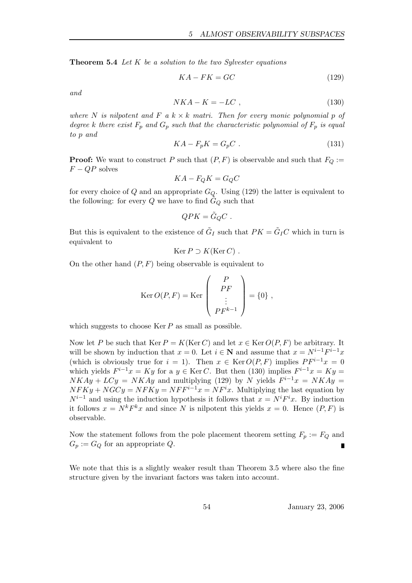**Theorem 5.4** Let  $K$  be a solution to the two Sylvester equations

$$
KA - FK = GC \tag{129}
$$

and

$$
NKA - K = -LC \t{,} \t(130)
$$

where N is nilpotent and F a  $k \times k$  matri. Then for every monic polynomial p of degree k there exist  $F_p$  and  $G_p$  such that the characteristic polynomial of  $F_p$  is equal to p and

$$
KA - F_pK = G_pC \t\t(131)
$$

**Proof:** We want to construct P such that  $(P, F)$  is observable and such that  $F_Q :=$  $F - QP$  solves

$$
KA - F_QK = G_QC
$$

for every choice of Q and an appropriate  $G_Q$ . Using (129) the latter is equivalent to the following: for every Q we have to find  $\tilde{G}_Q$  such that

$$
QPK = \tilde{G}_Q C .
$$

But this is equivalent to the existence of  $\tilde{G}_I$  such that  $PK = \tilde{G}_I C$  which in turn is equivalent to

$$
Ker P \supset K(Ker C) .
$$

On the other hand  $(P, F)$  being observable is equivalent to

$$
\operatorname{Ker} O(P, F) = \operatorname{Ker} \begin{pmatrix} P \\ PF \\ \vdots \\ PF^{k-1} \end{pmatrix} = \{0\} ,
$$

which suggests to choose  $\text{Ker } P$  as small as possible.

Now let P be such that Ker  $P = K(\text{Ker } C)$  and let  $x \in \text{Ker } O(P, F)$  be arbitrary. It will be shown by induction that  $x = 0$ . Let  $i \in \mathbb{N}$  and assume that  $x = N^{i-1}F^{i-1}x$ (which is obviously true for  $i = 1$ ). Then  $x \in \text{Ker } O(P, F)$  implies  $PF^{i-1}x = 0$ which yields  $F^{i-1}x = Ky$  for a  $y \in \text{Ker } C$ . But then (130) implies  $F^{i-1}x = Ky =$  $NKAy + LCy = NKAy$  and multiplying (129) by N yields  $F^{i-1}x = NKAy$  $NFKy + NGCy = NFKy = NFF^{i-1}x = NF^{i}x$ . Multiplying the last equation by  $N^{i-1}$  and using the induction hypothesis it follows that  $x = N^{i}F^{i}x$ . By induction it follows  $x = N^k F^k x$  and since N is nilpotent this yields  $x = 0$ . Hence  $(P, F)$  is observable.

Now the statement follows from the pole placement theorem setting  $F_p := F_Q$  and  $G_p := G_Q$  for an appropriate Q.

We note that this is a slightly weaker result than Theorem 3.5 where also the fine structure given by the invariant factors was taken into account.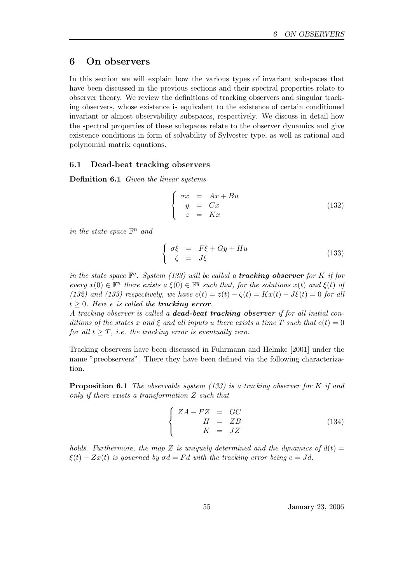# 6 On observers

In this section we will explain how the various types of invariant subspaces that have been discussed in the previous sections and their spectral properties relate to observer theory. We review the definitions of tracking observers and singular tracking observers, whose existence is equivalent to the existence of certain conditioned invariant or almost observability subspaces, respectively. We discuss in detail how the spectral properties of these subspaces relate to the observer dynamics and give existence conditions in form of solvability of Sylvester type, as well as rational and polynomial matrix equations.

### 6.1 Dead-beat tracking observers

Definition 6.1 Given the linear systems

$$
\begin{cases}\n\sigma x = Ax + Bu \\
y = Cx \\
z = Kx\n\end{cases}
$$
\n(132)

in the state space  $\mathbb{F}^n$  and

$$
\begin{cases}\n\sigma\xi = F\xi + Gy + Hu \\
\zeta = J\xi\n\end{cases}
$$
\n(133)

in the state space  $\mathbb{F}^q$ . System (133) will be called a **tracking observer** for K if for every  $x(0) \in \mathbb{F}^n$  there exists  $a \xi(0) \in \mathbb{F}^q$  such that, for the solutions  $x(t)$  and  $\xi(t)$  of (132) and (133) respectively, we have  $e(t) = z(t) - \zeta(t) = Kx(t) - J\xi(t) = 0$  for all  $t \geq 0$ . Here e is called the **tracking error**.

A tracking observer is called a dead-beat tracking observer if for all initial conditions of the states x and  $\xi$  and all inputs u there exists a time T such that  $e(t) = 0$ for all  $t > T$ , *i.e.* the tracking error is eventually zero.

Tracking observers have been discussed in Fuhrmann and Helmke [2001] under the name "preobservers". There they have been defined via the following characterization.

**Proposition 6.1** The observable system  $(133)$  is a tracking observer for K if and only if there exists a transformation Z such that

$$
\begin{cases}\nZA - FZ = GC \\
H = ZB \\
K = JZ\n\end{cases}
$$
\n(134)

holds. Furthermore, the map Z is uniquely determined and the dynamics of  $d(t) =$  $\xi(t) - Zx(t)$  is governed by  $\sigma d = Fd$  with the tracking error being  $e = Jd$ .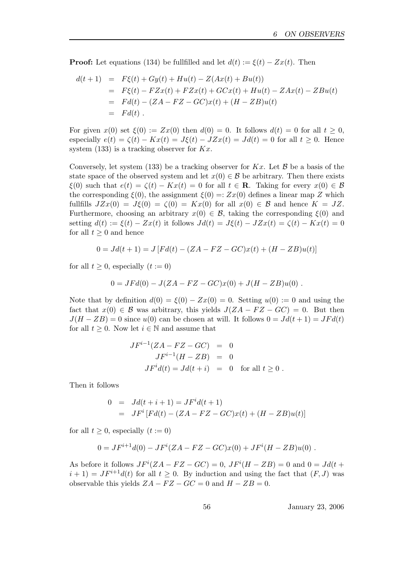**Proof:** Let equations (134) be fullfilled and let  $d(t) := \xi(t) - Zx(t)$ . Then

$$
d(t+1) = F\xi(t) + Gy(t) + Hu(t) - Z(Ax(t) + Bu(t))
$$
  
=  $F\xi(t) - FZx(t) + FZx(t) + GCx(t) + Hu(t) - ZAx(t) - ZBu(t)$   
=  $Fd(t) - (ZA - FZ - GC)x(t) + (H - ZB)u(t)$   
=  $Fd(t)$ .

For given  $x(0)$  set  $\xi(0) := Zx(0)$  then  $d(0) = 0$ . It follows  $d(t) = 0$  for all  $t \geq 0$ , especially  $e(t) = \zeta(t) - Kx(t) = J\xi(t) - JZx(t) = Jd(t) = 0$  for all  $t \geq 0$ . Hence system  $(133)$  is a tracking observer for  $Kx$ .

Conversely, let system (133) be a tracking observer for  $Kx$ . Let  $\beta$  be a basis of the state space of the observed system and let  $x(0) \in \mathcal{B}$  be arbitrary. Then there exists  $\xi(0)$  such that  $e(t) = \zeta(t) - Kx(t) = 0$  for all  $t \in \mathbb{R}$ . Taking for every  $x(0) \in \mathcal{B}$ the corresponding  $\xi(0)$ , the assignment  $\xi(0) =: Zx(0)$  defines a linear map Z which fullfills  $JZx(0) = J\xi(0) = \zeta(0) = Kx(0)$  for all  $x(0) \in \mathcal{B}$  and hence  $K = JZ$ . Furthermore, choosing an arbitrary  $x(0) \in \mathcal{B}$ , taking the corresponding  $\xi(0)$  and setting  $d(t) := \xi(t) - Zx(t)$  it follows  $Jd(t) = J\xi(t) - JZx(t) = \zeta(t) - Kx(t) = 0$ for all  $t > 0$  and hence

$$
0 = Jd(t+1) = J [Fd(t) - (ZA - FZ - GC)x(t) + (H - ZB)u(t)]
$$

for all  $t \geq 0$ , especially  $(t := 0)$ 

$$
0 = JFd(0) - J(ZA - FZ - GC)x(0) + J(H - ZB)u(0) .
$$

Note that by definition  $d(0) = \xi(0) - Zx(0) = 0$ . Setting  $u(0) := 0$  and using the fact that  $x(0) \in \mathcal{B}$  was arbitrary, this yields  $J(ZA - FZ - GC) = 0$ . But then  $J(H - ZB) = 0$  since  $u(0)$  can be chosen at will. It follows  $0 = Jd(t+1) = JFd(t)$ for all  $t \geq 0$ . Now let  $i \in \mathbb{N}$  and assume that

$$
JF^{i-1}(ZA - FZ - GC) = 0
$$
  
\n
$$
JF^{i-1}(H - ZB) = 0
$$
  
\n
$$
JF^{i}d(t) = Jd(t + i) = 0 \text{ for all } t \ge 0.
$$

Then it follows

$$
0 = Jd(t + i + 1) = JFi d(t + 1)
$$
  
= JF<sup>i</sup> [Fd(t) - (ZA - FZ - GC)x(t) + (H - ZB)u(t)]

for all  $t > 0$ , especially  $(t := 0)$ 

$$
0 = JF^{i+1}d(0) - JF^{i}(ZA - FZ - GC)x(0) + JF^{i}(H - ZB)u(0) .
$$

As before it follows  $JF^{i}(ZA - FZ - GC) = 0$ ,  $JF^{i}(H - ZB) = 0$  and  $0 = Jd(t +$  $i + 1$ ) =  $JF^{i+1}d(t)$  for all  $t \ge 0$ . By induction and using the fact that  $(F, J)$  was observable this yields  $ZA - FZ - GC = 0$  and  $H - ZB = 0$ .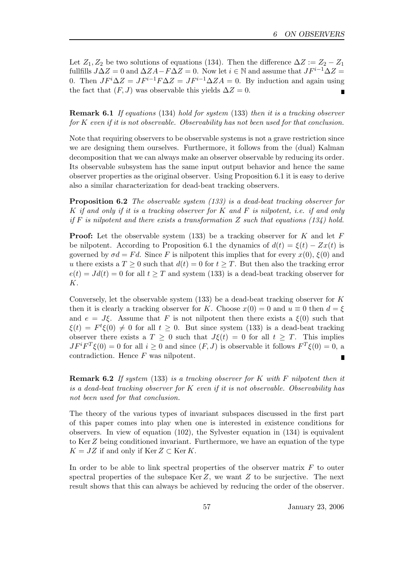Let  $Z_1, Z_2$  be two solutions of equations (134). Then the difference  $\Delta Z := Z_2 - Z_1$ fullfills  $J\Delta Z = 0$  and  $\Delta ZA - F\Delta Z = 0$ . Now let  $i \in \mathbb{N}$  and assume that  $JF^{i-1}\Delta Z =$ 0. Then  $JF^i\Delta Z = JF^{i-1}F\Delta Z = JF^{i-1}\Delta ZA = 0$ . By induction and again using the fact that  $(F, J)$  was observable this yields  $\Delta Z = 0$ . Г

Remark 6.1 If equations (134) hold for system (133) then it is a tracking observer for  $K$  even if it is not observable. Observability has not been used for that conclusion.

Note that requiring observers to be observable systems is not a grave restriction since we are designing them ourselves. Furthermore, it follows from the (dual) Kalman decomposition that we can always make an observer observable by reducing its order. Its observable subsystem has the same input output behavior and hence the same observer properties as the original observer. Using Proposition 6.1 it is easy to derive also a similar characterization for dead-beat tracking observers.

Proposition 6.2 The observable system (133) is a dead-beat tracking observer for K if and only if it is a tracking observer for  $K$  and  $F$  is nilpotent, i.e. if and only if F is nilpotent and there exists a transformation Z such that equations  $(134)$  hold.

**Proof:** Let the observable system (133) be a tracking observer for K and let  $F$ be nilpotent. According to Proposition 6.1 the dynamics of  $d(t) = \xi(t) - Zx(t)$  is governed by  $\sigma d = F d$ . Since F is nilpotent this implies that for every  $x(0), \xi(0)$  and u there exists a  $T \geq 0$  such that  $d(t) = 0$  for  $t \geq T$ . But then also the tracking error  $e(t) = Jd(t) = 0$  for all  $t \geq T$  and system (133) is a dead-beat tracking observer for K.

Conversely, let the observable system  $(133)$  be a dead-beat tracking observer for K then it is clearly a tracking observer for K. Choose  $x(0) = 0$  and  $u \equiv 0$  then  $d = \xi$ and  $e = J\xi$ . Assume that F is not nilpotent then there exists a  $\xi(0)$  such that  $\xi(t) = F^t \xi(0) \neq 0$  for all  $t \geq 0$ . But since system (133) is a dead-beat tracking observer there exists a  $T \geq 0$  such that  $J\xi(t) = 0$  for all  $t \geq T$ . This implies  $JF^{i}F^{T}\xi(0) = 0$  for all  $i \geq 0$  and since  $(F, J)$  is observable it follows  $F^{T}\xi(0) = 0$ , a contradiction. Hence  $F$  was nilpotent.

**Remark 6.2** If system (133) is a tracking observer for K with F nilpotent then it is a dead-beat tracking observer for  $K$  even if it is not observable. Observability has not been used for that conclusion.

The theory of the various types of invariant subspaces discussed in the first part of this paper comes into play when one is interested in existence conditions for observers. In view of equation (102), the Sylvester equation in (134) is equivalent to KerZ being conditioned invariant. Furthermore, we have an equation of the type  $K = JZ$  if and only if  $\text{Ker } Z \subset \text{Ker } K$ .

In order to be able to link spectral properties of the observer matrix  $F$  to outer spectral properties of the subspace  $\text{Ker }Z$ , we want Z to be surjective. The next result shows that this can always be achieved by reducing the order of the observer.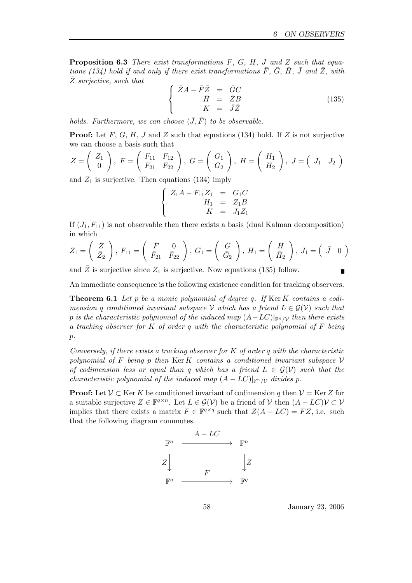**Proposition 6.3** There exist transformations  $F$ ,  $G$ ,  $H$ ,  $J$  and  $Z$  such that equations (134) hold if and only if there exist transformations  $\bar{F}$ ,  $\bar{G}$ ,  $\bar{H}$ ,  $\bar{J}$  and  $\bar{Z}$ , with  $\bar{Z}$  surjective, such that

$$
\begin{cases}\n\bar{Z}A - \bar{F}\bar{Z} &= \bar{G}C\\
\bar{H} &= \bar{Z}B\\
K &= \bar{J}\bar{Z}\n\end{cases}
$$
\n(135)

holds. Furthermore, we can choose  $(\bar{J}, \bar{F})$  to be observable.

**Proof:** Let F, G, H, J and Z such that equations (134) hold. If Z is not surjective we can choose a basis such that

$$
Z = \left(\begin{array}{c} Z_1 \\ 0 \end{array}\right), \ F = \left(\begin{array}{cc} F_{11} & F_{12} \\ F_{21} & F_{22} \end{array}\right), \ G = \left(\begin{array}{c} G_1 \\ G_2 \end{array}\right), \ H = \left(\begin{array}{c} H_1 \\ H_2 \end{array}\right), \ J = \left(\begin{array}{cc} J_1 & J_2 \end{array}\right)
$$

and  $Z_1$  is surjective. Then equations (134) imply

$$
\begin{cases}\nZ_1 A - F_{11} Z_1 &= G_1 C \\
H_1 &= Z_1 B \\
K &= J_1 Z_1\n\end{cases}
$$

If  $(J_1, F_{11})$  is not observable then there exists a basis (dual Kalman decomposition) in which

$$
Z_1 = \begin{pmatrix} \bar{Z} \\ \bar{Z}_2 \end{pmatrix}, F_{11} = \begin{pmatrix} \bar{F} & 0 \\ \bar{F}_{21} & \bar{F}_{22} \end{pmatrix}, G_1 = \begin{pmatrix} \bar{G} \\ \bar{G}_2 \end{pmatrix}, H_1 = \begin{pmatrix} \bar{H} \\ \bar{H}_2 \end{pmatrix}, J_1 = \begin{pmatrix} \bar{J} & 0 \end{pmatrix}
$$

and Z is surjective since  $Z_1$  is surjective. Now equations (135) follow.

An immediate consequence is the following existence condition for tracking observers.

**Theorem 6.1** Let p be a monic polynomial of degree q. If  $\text{Ker } K$  contains a codimension q conditioned invariant subspace V which has a friend  $L \in \mathcal{G}(V)$  such that p is the characteristic polynomial of the induced map  $(A-LC)|_{\mathbb{F}^n/\mathcal{V}}$  then there exists a tracking observer for K of order q with the characteristic polynomial of F being  $p$ .

Conversely, if there exists a tracking observer for  $K$  of order q with the characteristic polynomial of F being p then  $\text{Ker } K$  contains a conditioned invariant subspace V of codimension less or equal than q which has a friend  $L \in \mathcal{G}(\mathcal{V})$  such that the characteristic polynomial of the induced map  $(A - LC)|_{\mathbb{F}^n/\mathcal{V}}$  divides p.

**Proof:** Let  $V \subset \text{Ker } K$  be conditioned invariant of codimension q then  $V = \text{Ker } Z$  for a suitable surjective  $Z \in \mathbb{F}^{q \times n}$ . Let  $L \in \mathcal{G}(V)$  be a friend of V then  $(A - LC)V \subset V$ implies that there exists a matrix  $F \in \mathbb{F}^{q \times q}$  such that  $Z(A - LC) = FZ$ , i.e. such that the following diagram commutes.



58 January 23, 2006

 $\blacksquare$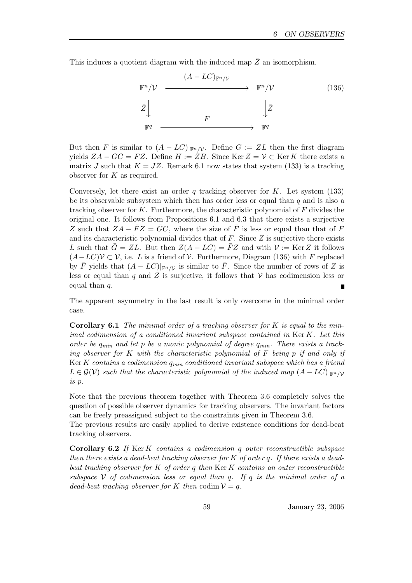This induces a quotient diagram with the induced map  $\overline{Z}$  an isomorphism.



But then F is similar to  $(A - LC)|_{\mathbb{F}^n/\mathcal{V}}$ . Define  $G := ZL$  then the first diagram yields  $ZA - GC = FZ$ . Define  $H := ZB$ . Since Ker  $Z = V \subset \text{Ker } K$  there exists a matrix J such that  $K = JZ$ . Remark 6.1 now states that system (133) is a tracking observer for  $K$  as required.

Conversely, let there exist an order q tracking observer for  $K$ . Let system (133) be its observable subsystem which then has order less or equal than  $q$  and is also a tracking observer for K. Furthermore, the characteristic polynomial of  $F$  divides the original one. It follows from Propositions 6.1 and 6.3 that there exists a surjective Z such that  $ZA - \bar{F}Z = \bar{G}C$ , where the size of  $\bar{F}$  is less or equal than that of F and its characteristic polynomial divides that of  $F$ . Since  $Z$  is surjective there exists L such that  $\bar{G} = ZL$ . But then  $Z(A - LC) = \bar{F}Z$  and with  $\mathcal{V} := \text{Ker }Z$  it follows  $(A-LC)\mathcal{V} \subset \mathcal{V}$ , i.e. L is a friend of  $\mathcal{V}$ . Furthermore, Diagram (136) with F replaced by  $\bar{F}$  yields that  $(A - LC)|_{\mathbb{F}^n/\mathcal{V}}$  is similar to  $\bar{F}$ . Since the number of rows of Z is less or equal than q and Z is surjective, it follows that  $\mathcal V$  has codimension less or equal than  $q$ . П

The apparent asymmetry in the last result is only overcome in the minimal order case.

**Corollary 6.1** The minimal order of a tracking observer for  $K$  is equal to the minimal codimension of a conditioned invariant subspace contained in Ker K. Let this order be  $q_{min}$  and let p be a monic polynomial of degree  $q_{min}$ . There exists a tracking observer for K with the characteristic polynomial of  $F$  being p if and only if Ker K contains a codimension  $q_{min}$  conditioned invariant subspace which has a friend  $L \in \mathcal{G(V)}$  such that the characteristic polynomial of the induced map  $(A - LC)|_{\mathbb{F}^n/V}$ is p.

Note that the previous theorem together with Theorem 3.6 completely solves the question of possible observer dynamics for tracking observers. The invariant factors can be freely preassigned subject to the constraints given in Theorem 3.6.

The previous results are easily applied to derive existence conditions for dead-beat tracking observers.

Corollary 6.2 If Ker K contains a codimension q outer reconstructible subspace then there exists a dead-beat tracking observer for  $K$  of order q. If there exists a deadbeat tracking observer for  $K$  of order q then  $\text{Ker } K$  contains an outer reconstructible subspace  $V$  of codimension less or equal than q. If q is the minimal order of a dead-beat tracking observer for K then codim  $\mathcal{V} = q$ .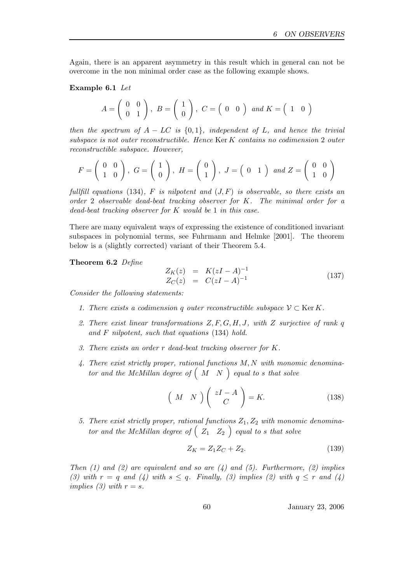Again, there is an apparent asymmetry in this result which in general can not be overcome in the non minimal order case as the following example shows.

### Example 6.1 Let

$$
A = \left(\begin{array}{cc} 0 & 0 \\ 0 & 1 \end{array}\right), B = \left(\begin{array}{c} 1 \\ 0 \end{array}\right), C = \left(\begin{array}{cc} 0 & 0 \end{array}\right) \text{ and } K = \left(\begin{array}{cc} 1 & 0 \end{array}\right)
$$

then the spectrum of  $A - LC$  is  $\{0, 1\}$ , independent of L, and hence the trivial subspace is not outer reconstructible. Hence Ker K contains no codimension 2 outer reconstructible subspace. However,

$$
F = \begin{pmatrix} 0 & 0 \\ 1 & 0 \end{pmatrix}, G = \begin{pmatrix} 1 \\ 0 \end{pmatrix}, H = \begin{pmatrix} 0 \\ 1 \end{pmatrix}, J = \begin{pmatrix} 0 & 1 \end{pmatrix} and Z = \begin{pmatrix} 0 & 0 \\ 1 & 0 \end{pmatrix}
$$

fullfill equations (134), F is nilpotent and  $(J, F)$  is observable, so there exists an order 2 observable dead-beat tracking observer for K. The minimal order for a dead-beat tracking observer for  $K$  would be 1 in this case.

There are many equivalent ways of expressing the existence of conditioned invariant subspaces in polynomial terms, see Fuhrmann and Helmke [2001]. The theorem below is a (slightly corrected) variant of their Theorem 5.4.

Theorem 6.2 Define

$$
Z_K(z) = K(zI - A)^{-1}
$$
  
\n
$$
Z_C(z) = C(zI - A)^{-1}
$$
\n(137)

Consider the following statements:

- 1. There exists a codimension q outer reconstructible subspace  $\mathcal{V} \subset \text{Ker } K$ .
- 2. There exist linear transformations  $Z, F, G, H, J$ , with Z surjective of rank q and F nilpotent, such that equations (134) hold.
- 3. There exists an order r dead-beat tracking observer for K.
- 4. There exist strictly proper, rational functions M, N with monomic denominator and the McMillan degree of  $(M \ N)$  equal to s that solve

$$
\left(M \ N\right) \left(\begin{array}{c} zI - A \\ C\end{array}\right) = K. \tag{138}
$$

5. There exist strictly proper, rational functions  $Z_1, Z_2$  with monomic denominator and the McMillan degree of  $\begin{pmatrix} z_1 & Z_2 \end{pmatrix}$  equal to s that solve

$$
Z_K = Z_1 Z_C + Z_2. \t\t(139)
$$

Then (1) and (2) are equivalent and so are (4) and (5). Furthermore, (2) implies (3) with  $r = q$  and (4) with  $s \leq q$ . Finally, (3) implies (2) with  $q \leq r$  and (4) implies (3) with  $r = s$ .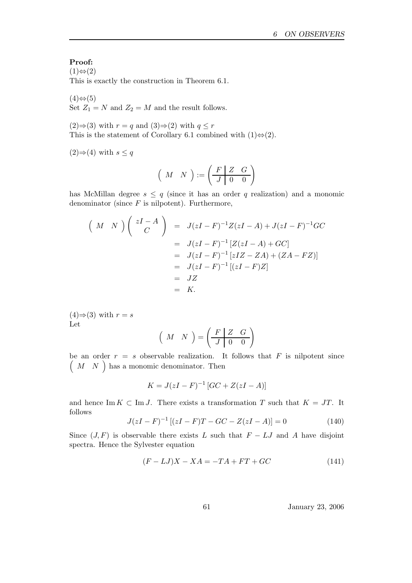## Proof:

 $(1) \Leftrightarrow (2)$ 

This is exactly the construction in Theorem 6.1.

 $(4) \Leftrightarrow (5)$ Set  $Z_1 = N$  and  $Z_2 = M$  and the result follows.

(2)⇒(3) with  $r = q$  and (3)⇒(2) with  $q \leq r$ This is the statement of Corollary 6.1 combined with  $(1) \Leftrightarrow (2)$ .

 $(2)$ ⇒ $(4)$  with  $s ≤ q$ 

$$
\left(\begin{array}{cc}M&N\end{array}\right):=\left(\begin{array}{cc|cc}F&Z&G\\ \hline J&0&0\end{array}\right)
$$

has McMillan degree  $s \leq q$  (since it has an order q realization) and a monomic denominator (since  $F$  is nilpotent). Furthermore,

$$
\begin{aligned}\n\left(\begin{array}{cc} M & N \end{array}\right) \begin{pmatrix} zI - A \\ C \end{pmatrix} &= J(zI - F)^{-1}Z(zI - A) + J(zI - F)^{-1}GC \\
&= J(zI - F)^{-1}\left[Z(zI - A) + GC\right] \\
&= J(zI - F)^{-1}\left[zIZ - ZA\right) + (ZA - FZ)\right] \\
&= J(ZI - F)^{-1}\left[(zI - F)Z\right] \\
&= JZ \\
&= K.\n\end{aligned}
$$

 $(4) \Rightarrow (3)$  with  $r = s$ Let

$$
\left(\begin{array}{cc}M&N\end{array}\right)=\left(\begin{array}{cc|cc}F&Z&G\\ \hline J&0&0\end{array}\right)
$$

be an order  $r = s$  observable realization. It follows that  $F$  is nilpotent since  $\left( \begin{array}{cc} M & N \end{array} \right)$  has a monomic denominator. Then

$$
K = J(zI - F)^{-1} [GC + Z(zI - A)]
$$

and hence Im  $K \subset \text{Im } J$ . There exists a transformation T such that  $K = JT$ . It follows

$$
J(zI - F)^{-1} [(zI - F)T - GC - Z(zI - A)] = 0
$$
\n(140)

Since  $(J, F)$  is observable there exists L such that  $F - LJ$  and A have disjoint spectra. Hence the Sylvester equation

$$
(F - LJ)X - XA = -TA + FT + GC \tag{141}
$$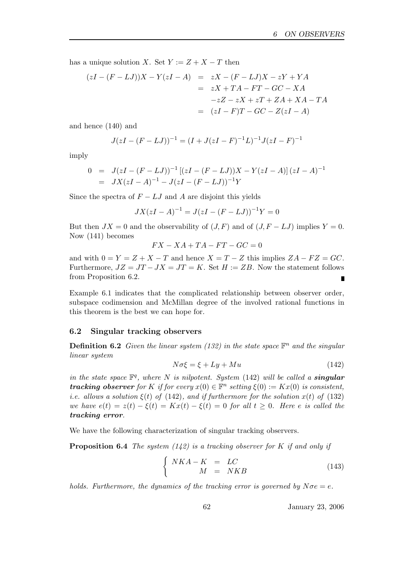has a unique solution X. Set  $Y := Z + X - T$  then

$$
(zI - (F - LJ))X - Y(zI - A) = zX - (F - LJ)X - zY + YA
$$
  

$$
= zX + TA - FT - GC - XA
$$
  

$$
-zZ - zX + zT + ZA + XA - TA
$$
  

$$
= (zI - F)T - GC - Z(zI - A)
$$

and hence (140) and

$$
J(zI - (F - LJ))^{-1} = (I + J(zI - F))^{-1}L)^{-1}J(zI - F)^{-1}
$$

imply

$$
0 = J(zI - (F - LJ))^{-1} [(zI - (F - LJ))X - Y(zI - A)] (zI - A)^{-1}
$$
  
=  $JX(zI - A)^{-1} - J(zI - (F - LJ))^{-1}Y$ 

Since the spectra of  $F - LJ$  and A are disjoint this yields

$$
JX(zI - A)^{-1} = J(zI - (F - LJ))^{-1}Y = 0
$$

But then  $JX = 0$  and the observability of  $(J, F)$  and of  $(J, F - LJ)$  implies  $Y = 0$ . Now (141) becomes

$$
FX - XA + TA - FT - GC = 0
$$

and with  $0 = Y = Z + X - T$  and hence  $X = T - Z$  this implies  $ZA - FZ = GC$ . Furthermore,  $JZ = JT - JX = JT = K$ . Set  $H := ZB$ . Now the statement follows from Proposition 6.2. Ē

Example 6.1 indicates that the complicated relationship between observer order, subspace codimension and McMillan degree of the involved rational functions in this theorem is the best we can hope for.

#### 6.2 Singular tracking observers

**Definition 6.2** Given the linear system (132) in the state space  $\mathbb{F}^n$  and the singular linear system

$$
N\sigma\xi = \xi + Ly + Mu \tag{142}
$$

in the state space  $\mathbb{F}^q$ , where N is nilpotent. System (142) will be called a **singular tracking observer** for K if for every  $x(0) \in \mathbb{F}^n$  setting  $\xi(0) := Kx(0)$  is consistent, *i.e.* allows a solution  $\xi(t)$  of (142), and if furthermore for the solution  $x(t)$  of (132) we have  $e(t) = z(t) - \xi(t) = Kx(t) - \xi(t) = 0$  for all  $t \geq 0$ . Here e is called the tracking error.

We have the following characterization of singular tracking observers.

**Proposition 6.4** The system  $(142)$  is a tracking observer for K if and only if

$$
\begin{cases}\nNKA - K & = LC \\
M & = NKB\n\end{cases}
$$
\n(143)

holds. Furthermore, the dynamics of the tracking error is governed by  $N\sigma e = e$ .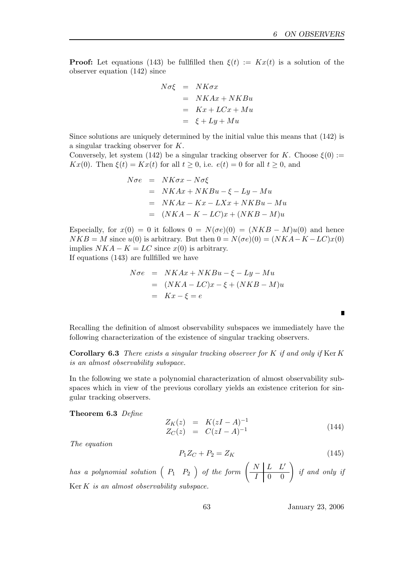**Proof:** Let equations (143) be fullfilled then  $\xi(t) := Kx(t)$  is a solution of the observer equation (142) since

$$
N\sigma\xi = NK\sigma x
$$
  
=  $NKAx + NKBu$   
=  $Kx + LCx + Mu$   
=  $\xi + Ly + Mu$ 

Since solutions are uniquely determined by the initial value this means that (142) is a singular tracking observer for K.

Conversely, let system (142) be a singular tracking observer for K. Choose  $\xi(0) :=$  $Kx(0)$ . Then  $\xi(t) = Kx(t)$  for all  $t \geq 0$ , i.e.  $e(t) = 0$  for all  $t \geq 0$ , and

$$
N\sigma e = NK\sigma x - N\sigma\xi
$$
  
= NKAx + NKBu - \xi - Ly - Mu  
= NKAx - Kx - LXx + NKBu - Mu  
= (NKA - K - LC)x + (NKB - M)u

Especially, for  $x(0) = 0$  it follows  $0 = N(\sigma e)(0) = (NKB - M)u(0)$  and hence  $NKB = M$  since  $u(0)$  is arbitrary. But then  $0 = N(\sigma e)(0) = (NKA - K - LC)x(0)$ implies  $NKA - K = LC$  since  $x(0)$  is arbitrary. If equations (143) are fullfilled we have

$$
N\sigma e = NKAx + NKBu - \xi - Ly - Mu
$$
  
=  $(NKA - LC)x - \xi + (NKB - M)u$   
=  $Kx - \xi = e$ 

Recalling the definition of almost observability subspaces we immediately have the following characterization of the existence of singular tracking observers.

**Corollary 6.3** There exists a singular tracking observer for K if and only if Ker K is an almost observability subspace.

In the following we state a polynomial characterization of almost observability subspaces which in view of the previous corollary yields an existence criterion for singular tracking observers.

Theorem 6.3 Define

$$
Z_K(z) = K(zI - A)^{-1}
$$
  
\n
$$
Z_C(z) = C(zI - A)^{-1}
$$
\n(144)

The equation

$$
P_1 Z_C + P_2 = Z_K \tag{145}
$$

has a polynomial solution  $\left(\begin{array}{cc} P_1 & P_2 \end{array}\right)$  of the form  $\left(\begin{array}{cc} N & L & L' \ \hline I & 0 & 0 \end{array}\right)$  if and only if  $Ker K$  is an almost observability subspace.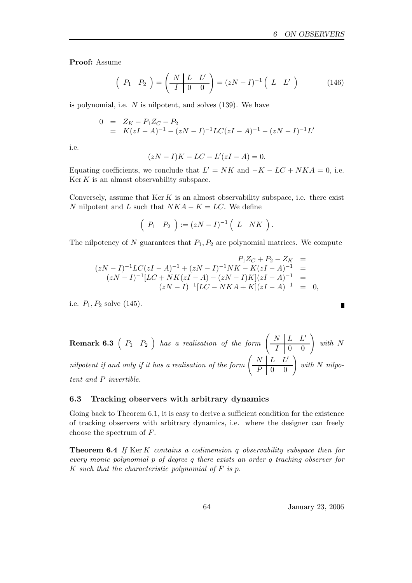Proof: Assume

$$
\left(\begin{array}{cc} P_1 & P_2 \end{array}\right) = \left(\begin{array}{c|cc} N & L & L' \\ \hline I & 0 & 0 \end{array}\right) = (zN - I)^{-1} \left(\begin{array}{cc} L & L' \end{array}\right) \tag{146}
$$

is polynomial, i.e.  $N$  is nilpotent, and solves  $(139)$ . We have

$$
0 = Z_K - P_1 Z_C - P_2
$$
  
=  $K(zI - A)^{-1} - (zN - I)^{-1}LC(zI - A)^{-1} - (zN - I)^{-1}L'$ 

i.e.

$$
(zN - I)K - LC - L'(zI - A) = 0.
$$

Equating coefficients, we conclude that  $L' = NK$  and  $-K - LC + NKA = 0$ , i.e.  $\text{Ker } K$  is an almost observability subspace.

Conversely, assume that  $\text{Ker } K$  is an almost observability subspace, i.e. there exist N nilpotent and L such that  $NKA - K = LC$ . We define

$$
\left(\begin{array}{cc} P_1 & P_2 \end{array}\right) := (zN - I)^{-1} \left(\begin{array}{cc} L & N K \end{array}\right).
$$

The nilpotency of N guarantees that  $P_1, P_2$  are polynomial matrices. We compute

$$
P_1Z_C + P_2 - Z_K =
$$
  
\n
$$
(zN - I)^{-1}LC(zI - A)^{-1} + (zN - I)^{-1}NK - K(zI - A)^{-1} =
$$
  
\n
$$
(zN - I)^{-1}[LC + NK(zI - A) - (zN - I)K](zI - A)^{-1} =
$$
  
\n
$$
(zN - I)^{-1}[LC - NKA + K](zI - A)^{-1} = 0,
$$

i.e.  $P_1, P_2$  solve (145).

**Remark 6.3**  $\left(P_1 \quad P_2 \right)$  has a realisation of the form  $\left(\begin{array}{c|c} N & L & L' \\ \hline I & 0 & 0 \end{array}\right)$  with N nilpotent if and only if it has a realisation of the form  $\left(\begin{array}{cc|cc} N & L & L' \\ \hline P & 0 & 0 \end{array}\right)$  with N nilpotent and P invertible.

### 6.3 Tracking observers with arbitrary dynamics

Going back to Theorem 6.1, it is easy to derive a sufficient condition for the existence of tracking observers with arbitrary dynamics, i.e. where the designer can freely choose the spectrum of F.

Theorem 6.4 If Ker K contains a codimension q observability subspace then for every monic polynomial p of degree q there exists an order q tracking observer for K such that the characteristic polynomial of  $F$  is  $p$ .

64 January 23, 2006

 $\blacksquare$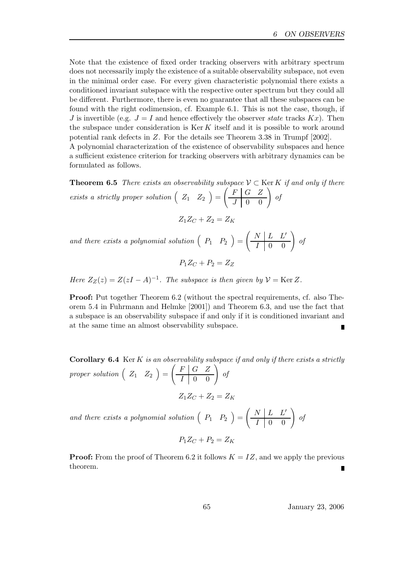Note that the existence of fixed order tracking observers with arbitrary spectrum does not necessarily imply the existence of a suitable observability subspace, not even in the minimal order case. For every given characteristic polynomial there exists a conditioned invariant subspace with the respective outer spectrum but they could all be different. Furthermore, there is even no guarantee that all these subspaces can be found with the right codimension, cf. Example 6.1. This is not the case, though, if J is invertible (e.g.  $J = I$  and hence effectively the observer state tracks  $Kx$ ). Then the subspace under consideration is  $\text{Ker } K$  itself and it is possible to work around potential rank defects in Z. For the details see Theorem 3.38 in Trumpf [2002]. A polynomial characterization of the existence of observability subspaces and hence a sufficient existence criterion for tracking observers with arbitrary dynamics can be formulated as follows.

**Theorem 6.5** There exists an observability subspace  $V \subset \text{Ker } K$  if and only if there exists a strictly proper solution  $\left( \begin{array}{cc} Z_1 & Z_2 \end{array} \right) =$  $\left(\begin{array}{c|cc} F & G & Z \\ \hline J & 0 & 0 \end{array}\right)$  of

$$
Z_1 Z_C + Z_2 = Z_K
$$

and there exists a polynomial solution  $\left( \begin{array}{cc} P_1 & P_2 \end{array} \right) =$  $\left(\begin{array}{c|cc} N & L & L' \\ \hline I & 0 & 0 \end{array}\right)$  of

$$
P_1Z_C+P_2=Z_Z
$$

Here  $Z_Z(z) = Z(zI - A)^{-1}$ . The subspace is then given by  $\mathcal{V} = \text{Ker } Z$ .

Proof: Put together Theorem 6.2 (without the spectral requirements, cf. also Theorem 5.4 in Fuhrmann and Helmke [2001]) and Theorem 6.3, and use the fact that a subspace is an observability subspace if and only if it is conditioned invariant and at the same time an almost observability subspace.

**Corollary 6.4** Ker K is an observability subspace if and only if there exists a strictly proper solution  $\left( \begin{array}{cc} Z_1 & Z_2 \end{array} \right) =$  $\left(\begin{array}{c|c} F & G & Z \\ \hline I & 0 & 0 \end{array}\right)$  of

 $Z_1Z_C + Z_2 = Z_K$ 

and there exists a polynomial solution  $\left( \begin{array}{cc} P_1 & P_2 \end{array} \right) =$  $\left(\begin{array}{c|cc} N & L & L' \\ \hline I & 0 & 0 \end{array}\right)$  of

$$
P_1 Z_C + P_2 = Z_K
$$

**Proof:** From the proof of Theorem 6.2 it follows  $K = IZ$ , and we apply the previous theorem.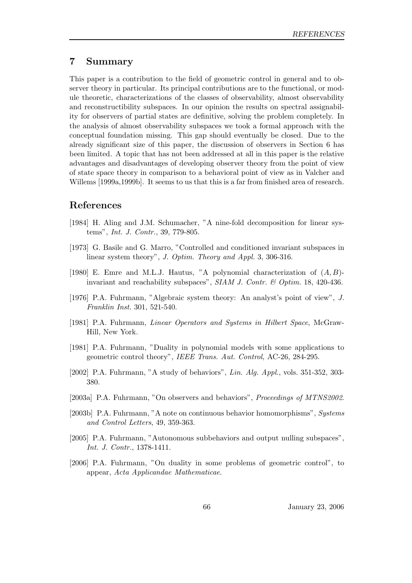# 7 Summary

This paper is a contribution to the field of geometric control in general and to observer theory in particular. Its principal contributions are to the functional, or module theoretic, characterizations of the classes of observability, almost observability and reconstructibility subspaces. In our opinion the results on spectral assignability for observers of partial states are definitive, solving the problem completely. In the analysis of almost observability subspaces we took a formal approach with the conceptual foundation missing. This gap should eventually be closed. Due to the already significant size of this paper, the discussion of observers in Section 6 has been limited. A topic that has not been addressed at all in this paper is the relative advantages and disadvantages of developing observer theory from the point of view of state space theory in comparison to a behavioral point of view as in Valcher and Willems [1999a,1999b]. It seems to us that this is a far from finished area of research.

# References

- [1984] H. Aling and J.M. Schumacher, "A nine-fold decomposition for linear systems", Int. J. Contr., 39, 779-805.
- [1973] G. Basile and G. Marro, "Controlled and conditioned invariant subspaces in linear system theory", J. Optim. Theory and Appl. 3, 306-316.
- [1980] E. Emre and M.L.J. Hautus, "A polynomial characterization of  $(A, B)$ invariant and reachability subspaces", SIAM J. Contr. & Optim. 18, 420-436.
- [1976] P.A. Fuhrmann, "Algebraic system theory: An analyst's point of view", J. Franklin Inst. 301, 521-540.
- [1981] P.A. Fuhrmann, Linear Operators and Systems in Hilbert Space, McGraw-Hill, New York.
- [1981] P.A. Fuhrmann, "Duality in polynomial models with some applications to geometric control theory", IEEE Trans. Aut. Control, AC-26, 284-295.
- [2002] P.A. Fuhrmann, "A study of behaviors", Lin. Alg. Appl., vols. 351-352, 303- 380.
- [2003a] P.A. Fuhrmann, "On observers and behaviors", *Proceedings of MTNS2002*.
- [2003b] P.A. Fuhrmann, "A note on continuous behavior homomorphisms", Systems and Control Letters, 49, 359-363.
- [2005] P.A. Fuhrmann, "Autonomous subbehaviors and output nulling subspaces", Int. J. Contr., 1378-1411.
- [2006] P.A. Fuhrmann, "On duality in some problems of geometric control", to appear, Acta Applicandae Mathematicae.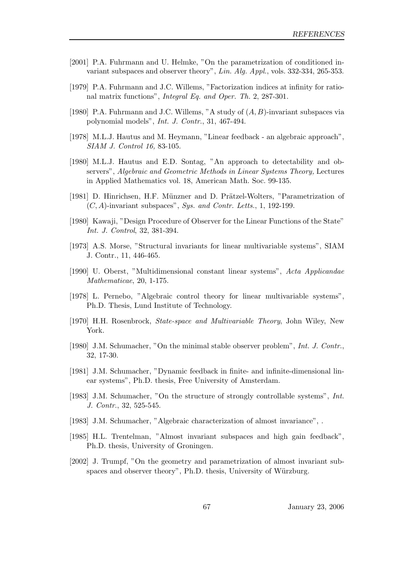- [2001] P.A. Fuhrmann and U. Helmke, "On the parametrization of conditioned invariant subspaces and observer theory", Lin. Alg. Appl., vols. 332-334, 265-353.
- [1979] P.A. Fuhrmann and J.C. Willems, "Factorization indices at infinity for rational matrix functions", Integral Eq. and Oper. Th. 2, 287-301.
- [1980] P.A. Fuhrmann and J.C. Willems, "A study of  $(A, B)$ -invariant subspaces via polynomial models", Int. J. Contr., 31, 467-494.
- [1978] M.L.J. Hautus and M. Heymann, "Linear feedback an algebraic approach", SIAM J. Control 16, 83-105.
- [1980] M.L.J. Hautus and E.D. Sontag, "An approach to detectability and observers", Algebraic and Geometric Methods in Linear Systems Theory, Lectures in Applied Mathematics vol. 18, American Math. Soc. 99-135.
- [1981] D. Hinrichsen, H.F. Münzner and D. Prätzel-Wolters, "Parametrization of  $(C, A)$ -invariant subspaces", Sys. and Contr. Letts., 1, 192-199.
- [1980] Kawaji, "Design Procedure of Observer for the Linear Functions of the State" Int. J. Control, 32, 381-394.
- [1973] A.S. Morse, "Structural invariants for linear multivariable systems", SIAM J. Contr., 11, 446-465.
- [1990] U. Oberst, "Multidimensional constant linear systems", Acta Applicandae Mathematicae, 20, 1-175.
- [1978] L. Pernebo, "Algebraic control theory for linear multivariable systems", Ph.D. Thesis, Lund Institute of Technology.
- [1970] H.H. Rosenbrock, State-space and Multivariable Theory, John Wiley, New York.
- [1980] J.M. Schumacher, "On the minimal stable observer problem", Int. J. Contr., 32, 17-30.
- [1981] J.M. Schumacher, "Dynamic feedback in finite- and infinite-dimensional linear systems", Ph.D. thesis, Free University of Amsterdam.
- [1983] J.M. Schumacher, "On the structure of strongly controllable systems", Int. J. Contr., 32, 525-545.
- [1983] J.M. Schumacher, "Algebraic characterization of almost invariance", .
- [1985] H.L. Trentelman, "Almost invariant subspaces and high gain feedback", Ph.D. thesis, University of Groningen.
- [2002] J. Trumpf, "On the geometry and parametrization of almost invariant subspaces and observer theory", Ph.D. thesis, University of Würzburg.